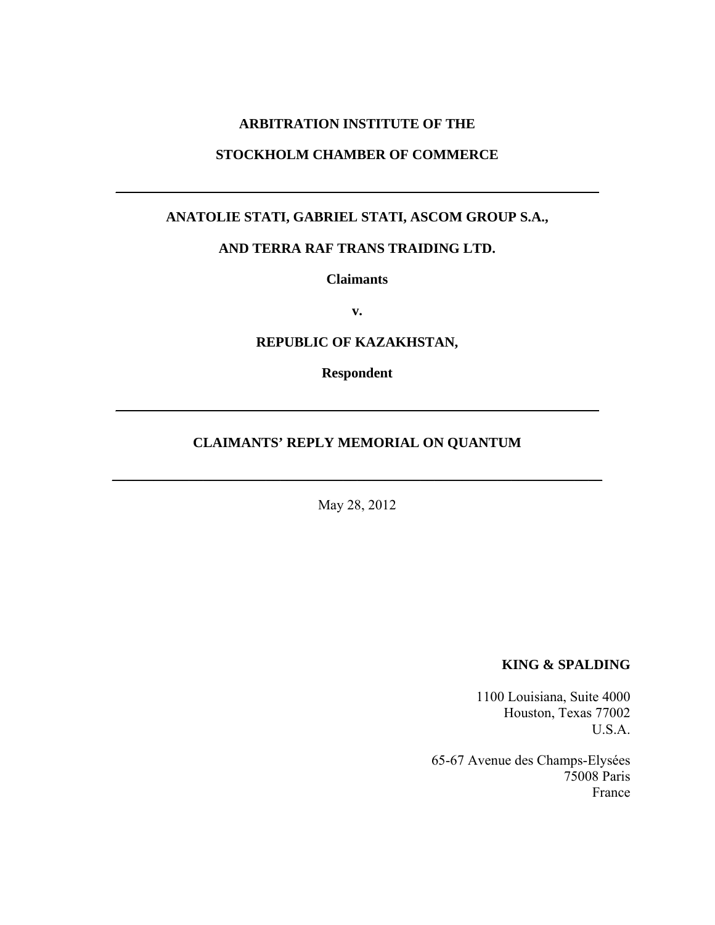### **ARBITRATION INSTITUTE OF THE**

### **STOCKHOLM CHAMBER OF COMMERCE**

 $\mathcal{L}_\text{max}$  , and the contract of the contract of the contract of the contract of the contract of the contract of the contract of the contract of the contract of the contract of the contract of the contract of the contr

# **ANATOLIE STATI, GABRIEL STATI, ASCOM GROUP S.A.,**

#### **AND TERRA RAF TRANS TRAIDING LTD.**

**Claimants** 

**v.** 

### **REPUBLIC OF KAZAKHSTAN,**

**Respondent** 

\_\_\_\_\_\_\_\_\_\_\_\_\_\_\_\_\_\_\_\_\_\_\_\_\_\_\_\_\_\_\_\_\_\_\_\_\_\_\_\_\_\_\_\_\_\_\_\_\_\_\_\_\_\_\_\_\_\_\_\_\_\_\_\_\_\_\_\_\_

#### **CLAIMANTS' REPLY MEMORIAL ON QUANTUM**

May 28, 2012

\_\_\_\_\_\_\_\_\_\_\_\_\_\_\_\_\_\_\_\_\_\_\_\_\_\_\_\_\_\_\_\_\_\_\_\_\_\_\_\_\_\_\_\_\_\_\_\_\_\_\_\_\_\_\_\_\_\_\_\_\_\_\_\_\_\_\_\_\_\_

#### **KING & SPALDING**

1100 Louisiana, Suite 4000 Houston, Texas 77002 U.S.A.

65-67 Avenue des Champs-Elysées 75008 Paris France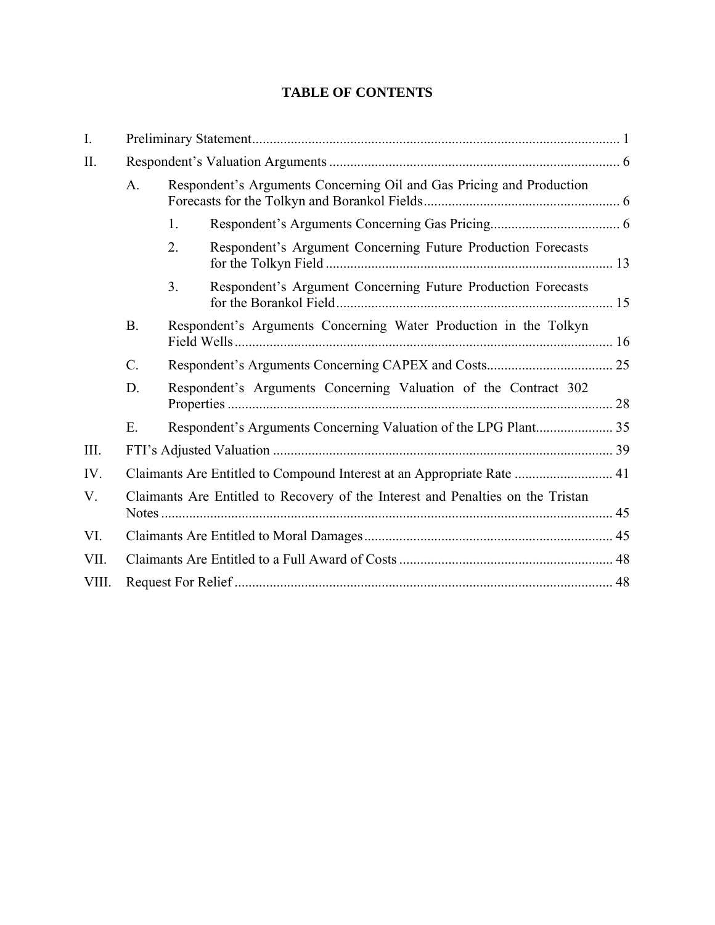# **TABLE OF CONTENTS**

| I.    |                                                                                 |                                                                      |  |  |
|-------|---------------------------------------------------------------------------------|----------------------------------------------------------------------|--|--|
| II.   |                                                                                 |                                                                      |  |  |
|       | A <sub>1</sub>                                                                  | Respondent's Arguments Concerning Oil and Gas Pricing and Production |  |  |
|       |                                                                                 | 1.                                                                   |  |  |
|       |                                                                                 | Respondent's Argument Concerning Future Production Forecasts<br>2.   |  |  |
|       |                                                                                 | Respondent's Argument Concerning Future Production Forecasts<br>3.   |  |  |
|       | <b>B.</b>                                                                       | Respondent's Arguments Concerning Water Production in the Tolkyn     |  |  |
|       | $\mathcal{C}$ .                                                                 |                                                                      |  |  |
|       | D.                                                                              | Respondent's Arguments Concerning Valuation of the Contract 302      |  |  |
|       | E.                                                                              |                                                                      |  |  |
| III.  |                                                                                 |                                                                      |  |  |
| IV.   | Claimants Are Entitled to Compound Interest at an Appropriate Rate  41          |                                                                      |  |  |
| V.    | Claimants Are Entitled to Recovery of the Interest and Penalties on the Tristan |                                                                      |  |  |
| VI.   |                                                                                 |                                                                      |  |  |
| VII.  |                                                                                 |                                                                      |  |  |
| VIII. |                                                                                 |                                                                      |  |  |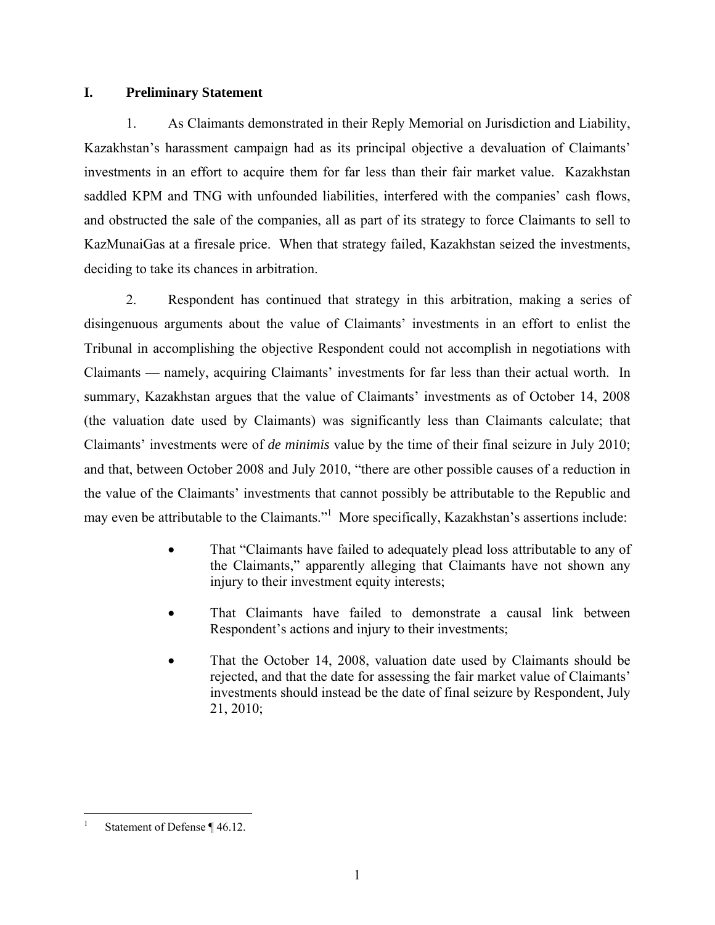### **I. Preliminary Statement**

1. As Claimants demonstrated in their Reply Memorial on Jurisdiction and Liability, Kazakhstan's harassment campaign had as its principal objective a devaluation of Claimants' investments in an effort to acquire them for far less than their fair market value. Kazakhstan saddled KPM and TNG with unfounded liabilities, interfered with the companies' cash flows, and obstructed the sale of the companies, all as part of its strategy to force Claimants to sell to KazMunaiGas at a firesale price. When that strategy failed, Kazakhstan seized the investments, deciding to take its chances in arbitration.

2. Respondent has continued that strategy in this arbitration, making a series of disingenuous arguments about the value of Claimants' investments in an effort to enlist the Tribunal in accomplishing the objective Respondent could not accomplish in negotiations with Claimants — namely, acquiring Claimants' investments for far less than their actual worth. In summary, Kazakhstan argues that the value of Claimants' investments as of October 14, 2008 (the valuation date used by Claimants) was significantly less than Claimants calculate; that Claimants' investments were of *de minimis* value by the time of their final seizure in July 2010; and that, between October 2008 and July 2010, "there are other possible causes of a reduction in the value of the Claimants' investments that cannot possibly be attributable to the Republic and may even be attributable to the Claimants."<sup>1</sup> More specifically, Kazakhstan's assertions include:

- That "Claimants have failed to adequately plead loss attributable to any of the Claimants," apparently alleging that Claimants have not shown any injury to their investment equity interests;
- That Claimants have failed to demonstrate a causal link between Respondent's actions and injury to their investments;
- That the October 14, 2008, valuation date used by Claimants should be rejected, and that the date for assessing the fair market value of Claimants' investments should instead be the date of final seizure by Respondent, July 21, 2010;

 $\overline{a}$ 1 Statement of Defense ¶ 46.12.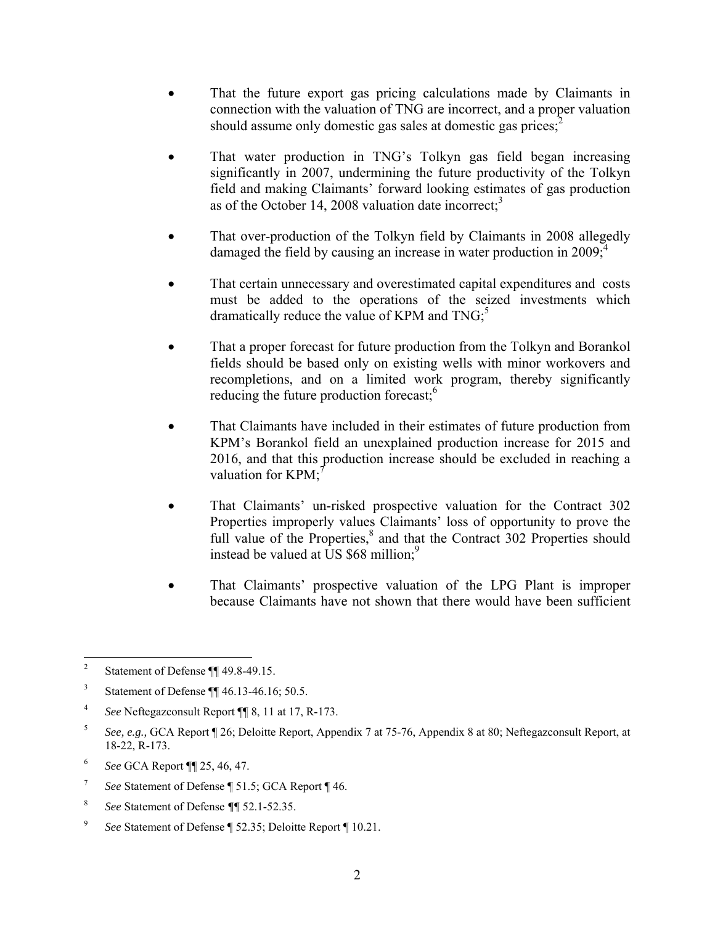- That the future export gas pricing calculations made by Claimants in connection with the valuation of TNG are incorrect, and a proper valuation should assume only domestic gas sales at domestic gas prices; $<sup>2</sup>$ </sup>
- That water production in TNG's Tolkyn gas field began increasing significantly in 2007, undermining the future productivity of the Tolkyn field and making Claimants' forward looking estimates of gas production as of the October 14, 2008 valuation date incorrect;<sup>3</sup>
- That over-production of the Tolkyn field by Claimants in 2008 allegedly damaged the field by causing an increase in water production in  $2009$ ;
- That certain unnecessary and overestimated capital expenditures and costs must be added to the operations of the seized investments which dramatically reduce the value of KPM and  $TNG<sub>i</sub><sup>5</sup>$
- That a proper forecast for future production from the Tolkyn and Borankol fields should be based only on existing wells with minor workovers and recompletions, and on a limited work program, thereby significantly reducing the future production forecast;<sup>6</sup>
- That Claimants have included in their estimates of future production from KPM's Borankol field an unexplained production increase for 2015 and 2016, and that this production increase should be excluded in reaching a valuation for  $KPM$ ;<sup>7</sup>
- That Claimants' un-risked prospective valuation for the Contract 302 Properties improperly values Claimants' loss of opportunity to prove the full value of the Properties,<sup>8</sup> and that the Contract 302 Properties should instead be valued at US  $$68$  million;<sup>9</sup>
- That Claimants' prospective valuation of the LPG Plant is improper because Claimants have not shown that there would have been sufficient

 $\frac{1}{2}$ Statement of Defense ¶¶ 49.8-49.15.

<sup>3</sup> Statement of Defense ¶¶ 46.13-46.16; 50.5.

<sup>4</sup> *See* Neftegazconsult Report ¶¶ 8, 11 at 17, R-173.

<sup>5</sup> *See, e.g.,* GCA Report ¶ 26; Deloitte Report, Appendix 7 at 75-76, Appendix 8 at 80; Neftegazconsult Report, at 18-22, R-173.

<sup>6</sup> *See* GCA Report ¶¶ 25, 46, 47.

<sup>7</sup> *See* Statement of Defense ¶ 51.5; GCA Report ¶ 46.

<sup>8</sup> *See* Statement of Defense *¶¶* 52.1-52.35.

<sup>9</sup> *See* Statement of Defense ¶ 52.35; Deloitte Report ¶ 10.21.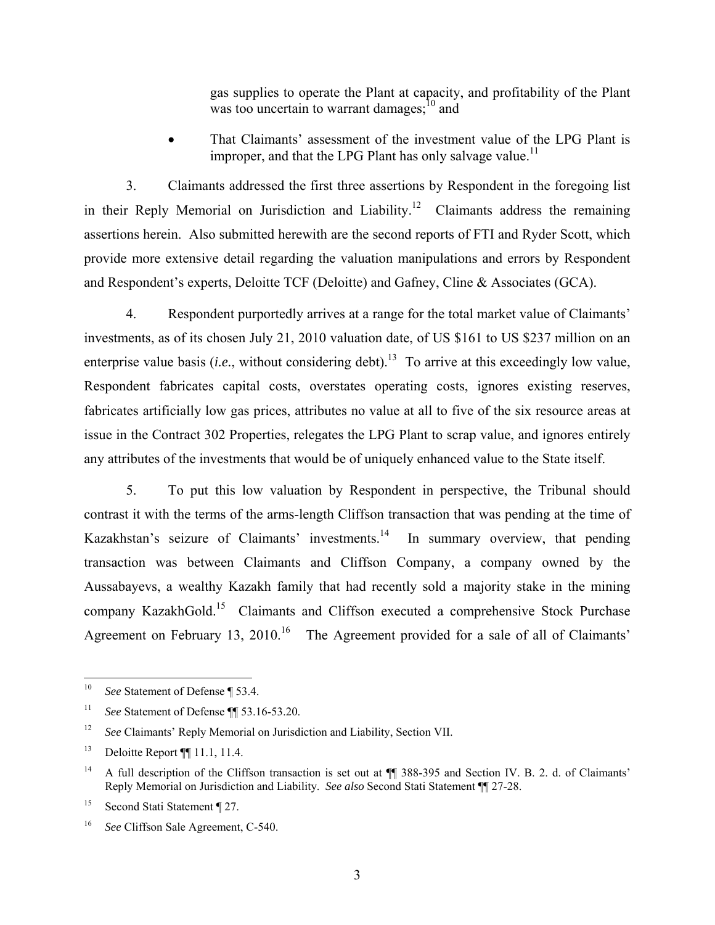gas supplies to operate the Plant at capacity, and profitability of the Plant was too uncertain to warrant damages; $^{10}$  and

 That Claimants' assessment of the investment value of the LPG Plant is improper, and that the LPG Plant has only salvage value.<sup>11</sup>

3. Claimants addressed the first three assertions by Respondent in the foregoing list in their Reply Memorial on Jurisdiction and Liability.<sup>12</sup> Claimants address the remaining assertions herein. Also submitted herewith are the second reports of FTI and Ryder Scott, which provide more extensive detail regarding the valuation manipulations and errors by Respondent and Respondent's experts, Deloitte TCF (Deloitte) and Gafney, Cline & Associates (GCA).

4. Respondent purportedly arrives at a range for the total market value of Claimants' investments, as of its chosen July 21, 2010 valuation date, of US \$161 to US \$237 million on an enterprise value basis (*i.e.*, without considering debt).<sup>13</sup> To arrive at this exceedingly low value, Respondent fabricates capital costs, overstates operating costs, ignores existing reserves, fabricates artificially low gas prices, attributes no value at all to five of the six resource areas at issue in the Contract 302 Properties, relegates the LPG Plant to scrap value, and ignores entirely any attributes of the investments that would be of uniquely enhanced value to the State itself.

5. To put this low valuation by Respondent in perspective, the Tribunal should contrast it with the terms of the arms-length Cliffson transaction that was pending at the time of Kazakhstan's seizure of Claimants' investments.<sup>14</sup> In summary overview, that pending transaction was between Claimants and Cliffson Company, a company owned by the Aussabayevs, a wealthy Kazakh family that had recently sold a majority stake in the mining company KazakhGold.15 Claimants and Cliffson executed a comprehensive Stock Purchase Agreement on February 13, 2010.<sup>16</sup> The Agreement provided for a sale of all of Claimants'

 $10\,$ See Statement of Defense ¶ 53.4.

<sup>11</sup> *See* Statement of Defense ¶¶ 53.16-53.20.

<sup>&</sup>lt;sup>12</sup> *See* Claimants' Reply Memorial on Jurisdiction and Liability, Section VII.

<sup>13</sup> Deloitte Report ¶¶ 11.1, 11.4.

<sup>&</sup>lt;sup>14</sup> A full description of the Cliffson transaction is set out at ¶¶ 388-395 and Section IV. B. 2. d. of Claimants' Reply Memorial on Jurisdiction and Liability. *See also* Second Stati Statement ¶¶ 27-28.

<sup>&</sup>lt;sup>15</sup> Second Stati Statement ¶ 27.

<sup>16</sup> *See* Cliffson Sale Agreement, C-540.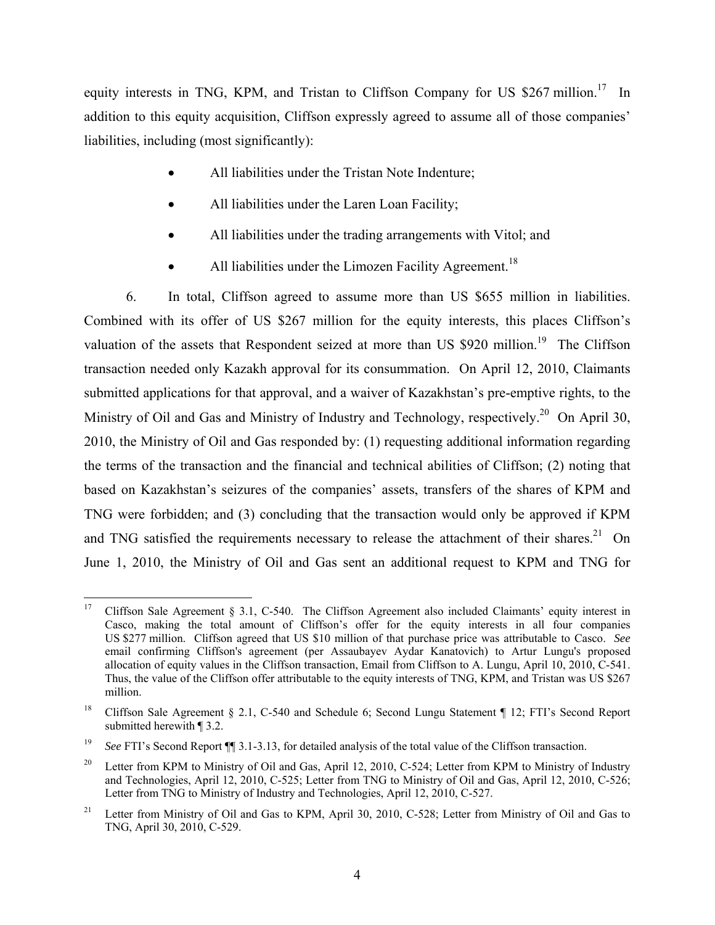equity interests in TNG, KPM, and Tristan to Cliffson Company for US \$267 million.<sup>17</sup> In addition to this equity acquisition, Cliffson expressly agreed to assume all of those companies' liabilities, including (most significantly):

- All liabilities under the Tristan Note Indenture;
- All liabilities under the Laren Loan Facility;
- All liabilities under the trading arrangements with Vitol; and
- All liabilities under the Limozen Facility Agreement.<sup>18</sup>

6. In total, Cliffson agreed to assume more than US \$655 million in liabilities. Combined with its offer of US \$267 million for the equity interests, this places Cliffson's valuation of the assets that Respondent seized at more than US \$920 million.<sup>19</sup> The Cliffson transaction needed only Kazakh approval for its consummation. On April 12, 2010, Claimants submitted applications for that approval, and a waiver of Kazakhstan's pre-emptive rights, to the Ministry of Oil and Gas and Ministry of Industry and Technology, respectively.<sup>20</sup> On April 30, 2010, the Ministry of Oil and Gas responded by: (1) requesting additional information regarding the terms of the transaction and the financial and technical abilities of Cliffson; (2) noting that based on Kazakhstan's seizures of the companies' assets, transfers of the shares of KPM and TNG were forbidden; and (3) concluding that the transaction would only be approved if KPM and TNG satisfied the requirements necessary to release the attachment of their shares.<sup>21</sup> On June 1, 2010, the Ministry of Oil and Gas sent an additional request to KPM and TNG for

<sup>17</sup> 17 Cliffson Sale Agreement § 3.1, C-540. The Cliffson Agreement also included Claimants' equity interest in Casco, making the total amount of Cliffson's offer for the equity interests in all four companies US \$277 million. Cliffson agreed that US \$10 million of that purchase price was attributable to Casco. *See* email confirming Cliffson's agreement (per Assaubayev Aydar Kanatovich) to Artur Lungu's proposed allocation of equity values in the Cliffson transaction, Email from Cliffson to A. Lungu, April 10, 2010, C-541. Thus, the value of the Cliffson offer attributable to the equity interests of TNG, KPM, and Tristan was US \$267 million.

<sup>18</sup> Cliffson Sale Agreement § 2.1, C-540 and Schedule 6; Second Lungu Statement ¶ 12; FTI's Second Report submitted herewith ¶ 3.2.

<sup>&</sup>lt;sup>19</sup> *See* FTI's Second Report  $\P$  3.1-3.13, for detailed analysis of the total value of the Cliffson transaction.

<sup>&</sup>lt;sup>20</sup> Letter from KPM to Ministry of Oil and Gas, April 12, 2010, C-524; Letter from KPM to Ministry of Industry and Technologies, April 12, 2010, C-525; Letter from TNG to Ministry of Oil and Gas, April 12, 2010, C-526; Letter from TNG to Ministry of Industry and Technologies, April 12, 2010, C-527.

<sup>&</sup>lt;sup>21</sup> Letter from Ministry of Oil and Gas to KPM, April 30, 2010, C-528; Letter from Ministry of Oil and Gas to TNG, April 30, 2010, C-529.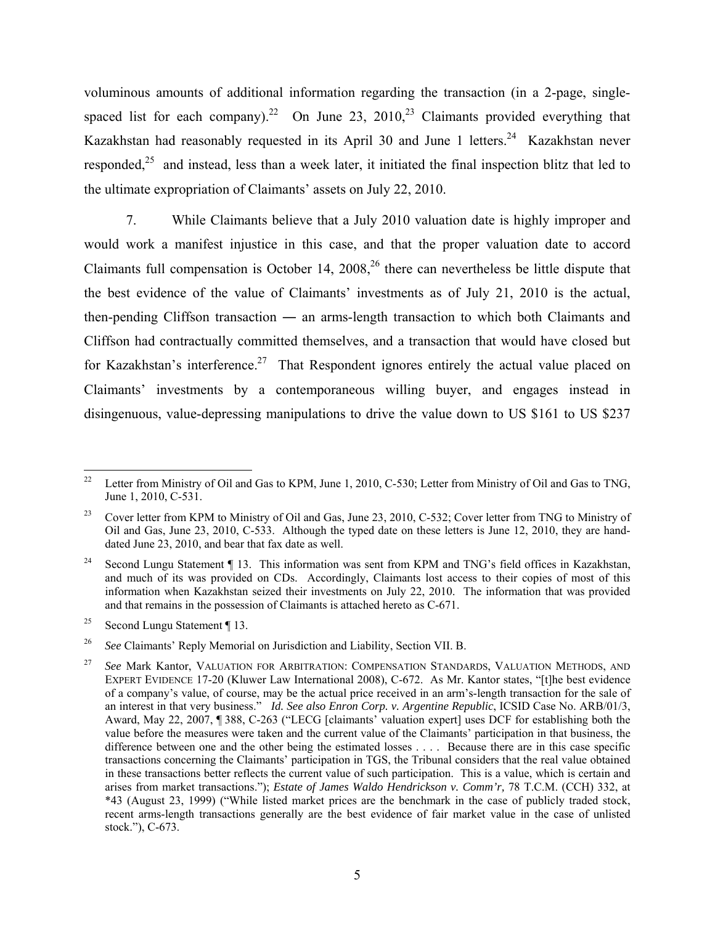voluminous amounts of additional information regarding the transaction (in a 2-page, singlespaced list for each company).<sup>22</sup> On June 23, 2010,<sup>23</sup> Claimants provided everything that Kazakhstan had reasonably requested in its April 30 and June 1 letters.<sup>24</sup> Kazakhstan never responded,<sup>25</sup> and instead, less than a week later, it initiated the final inspection blitz that led to the ultimate expropriation of Claimants' assets on July 22, 2010.

7. While Claimants believe that a July 2010 valuation date is highly improper and would work a manifest injustice in this case, and that the proper valuation date to accord Claimants full compensation is October 14,  $2008<sup>26</sup>$  there can nevertheless be little dispute that the best evidence of the value of Claimants' investments as of July 21, 2010 is the actual, then-pending Cliffson transaction ― an arms-length transaction to which both Claimants and Cliffson had contractually committed themselves, and a transaction that would have closed but for Kazakhstan's interference.<sup>27</sup> That Respondent ignores entirely the actual value placed on Claimants' investments by a contemporaneous willing buyer, and engages instead in disingenuous, value-depressing manipulations to drive the value down to US \$161 to US \$237

 $22$ Letter from Ministry of Oil and Gas to KPM, June 1, 2010, C-530; Letter from Ministry of Oil and Gas to TNG, June 1, 2010, C-531.

<sup>&</sup>lt;sup>23</sup> Cover letter from KPM to Ministry of Oil and Gas, June 23, 2010, C-532; Cover letter from TNG to Ministry of Oil and Gas, June 23, 2010, C-533. Although the typed date on these letters is June 12, 2010, they are handdated June 23, 2010, and bear that fax date as well.

<sup>&</sup>lt;sup>24</sup> Second Lungu Statement ¶ 13. This information was sent from KPM and TNG's field offices in Kazakhstan, and much of its was provided on CDs. Accordingly, Claimants lost access to their copies of most of this information when Kazakhstan seized their investments on July 22, 2010. The information that was provided and that remains in the possession of Claimants is attached hereto as C-671.

<sup>&</sup>lt;sup>25</sup> Second Lungu Statement ¶ 13.

<sup>&</sup>lt;sup>26</sup> *See* Claimants' Reply Memorial on Jurisdiction and Liability, Section VII. B.

<sup>27</sup> *See* Mark Kantor, VALUATION FOR ARBITRATION: COMPENSATION STANDARDS, VALUATION METHODS, AND EXPERT EVIDENCE 17-20 (Kluwer Law International 2008), C-672. As Mr. Kantor states, "[t]he best evidence of a company's value, of course, may be the actual price received in an arm's-length transaction for the sale of an interest in that very business." *Id. See also Enron Corp. v. Argentine Republic*, ICSID Case No. ARB/01/3, Award, May 22, 2007, ¶ 388, C-263 ("LECG [claimants' valuation expert] uses DCF for establishing both the value before the measures were taken and the current value of the Claimants' participation in that business, the difference between one and the other being the estimated losses . . . . Because there are in this case specific transactions concerning the Claimants' participation in TGS, the Tribunal considers that the real value obtained in these transactions better reflects the current value of such participation. This is a value, which is certain and arises from market transactions."); *Estate of James Waldo Hendrickson v. Comm'r,* 78 T.C.M. (CCH) 332, at \*43 (August 23, 1999) ("While listed market prices are the benchmark in the case of publicly traded stock, recent arms-length transactions generally are the best evidence of fair market value in the case of unlisted stock."), C-673.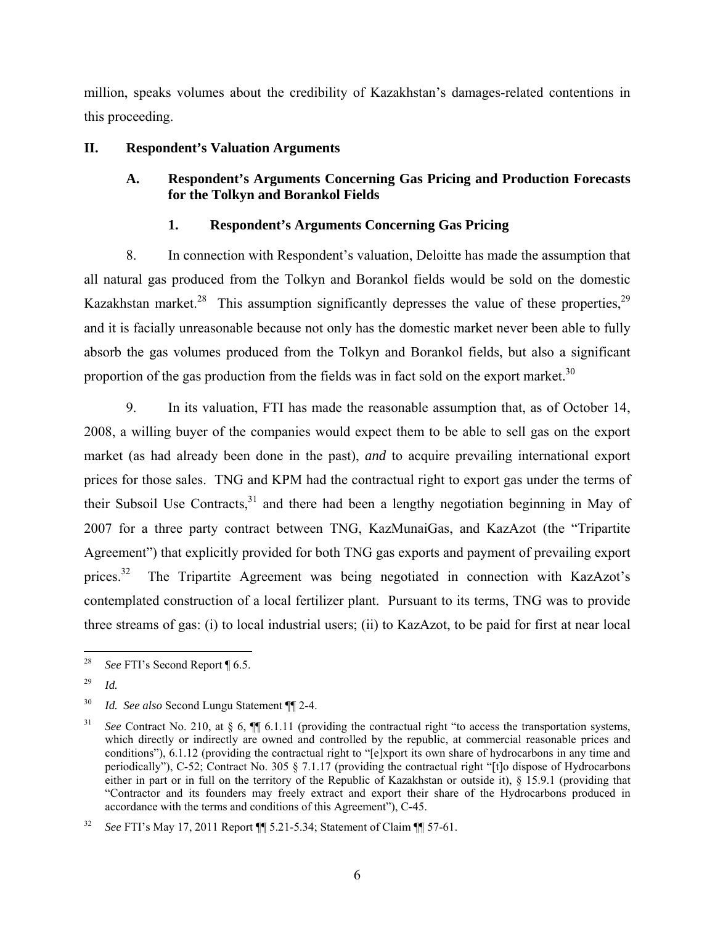million, speaks volumes about the credibility of Kazakhstan's damages-related contentions in this proceeding.

### **II. Respondent's Valuation Arguments**

# **A. Respondent's Arguments Concerning Gas Pricing and Production Forecasts for the Tolkyn and Borankol Fields**

# **1. Respondent's Arguments Concerning Gas Pricing**

8. In connection with Respondent's valuation, Deloitte has made the assumption that all natural gas produced from the Tolkyn and Borankol fields would be sold on the domestic Kazakhstan market.<sup>28</sup> This assumption significantly depresses the value of these properties.<sup>29</sup> and it is facially unreasonable because not only has the domestic market never been able to fully absorb the gas volumes produced from the Tolkyn and Borankol fields, but also a significant proportion of the gas production from the fields was in fact sold on the export market.<sup>30</sup>

9. In its valuation, FTI has made the reasonable assumption that, as of October 14, 2008, a willing buyer of the companies would expect them to be able to sell gas on the export market (as had already been done in the past), *and* to acquire prevailing international export prices for those sales. TNG and KPM had the contractual right to export gas under the terms of their Subsoil Use Contracts, $31$  and there had been a lengthy negotiation beginning in May of 2007 for a three party contract between TNG, KazMunaiGas, and KazAzot (the "Tripartite Agreement") that explicitly provided for both TNG gas exports and payment of prevailing export prices.<sup>32</sup> The Tripartite Agreement was being negotiated in connection with KazAzot's contemplated construction of a local fertilizer plant. Pursuant to its terms, TNG was to provide three streams of gas: (i) to local industrial users; (ii) to KazAzot, to be paid for first at near local

 $28\,$ *See* FTI's Second Report ¶ 6.5.

<sup>29</sup> *Id.*

<sup>30</sup> *Id. See also* Second Lungu Statement ¶¶ 2-4.

<sup>&</sup>lt;sup>31</sup> *See* Contract No. 210, at § 6,  $\P$  6.1.11 (providing the contractual right "to access the transportation systems, which directly or indirectly are owned and controlled by the republic, at commercial reasonable prices and conditions"), 6.1.12 (providing the contractual right to "[e]xport its own share of hydrocarbons in any time and periodically"), C-52; Contract No. 305 § 7.1.17 (providing the contractual right "[t]o dispose of Hydrocarbons either in part or in full on the territory of the Republic of Kazakhstan or outside it), § 15.9.1 (providing that "Contractor and its founders may freely extract and export their share of the Hydrocarbons produced in accordance with the terms and conditions of this Agreement"), C-45.

<sup>32</sup> *See* FTI's May 17, 2011 Report ¶¶ 5.21-5.34; Statement of Claim ¶¶ 57-61.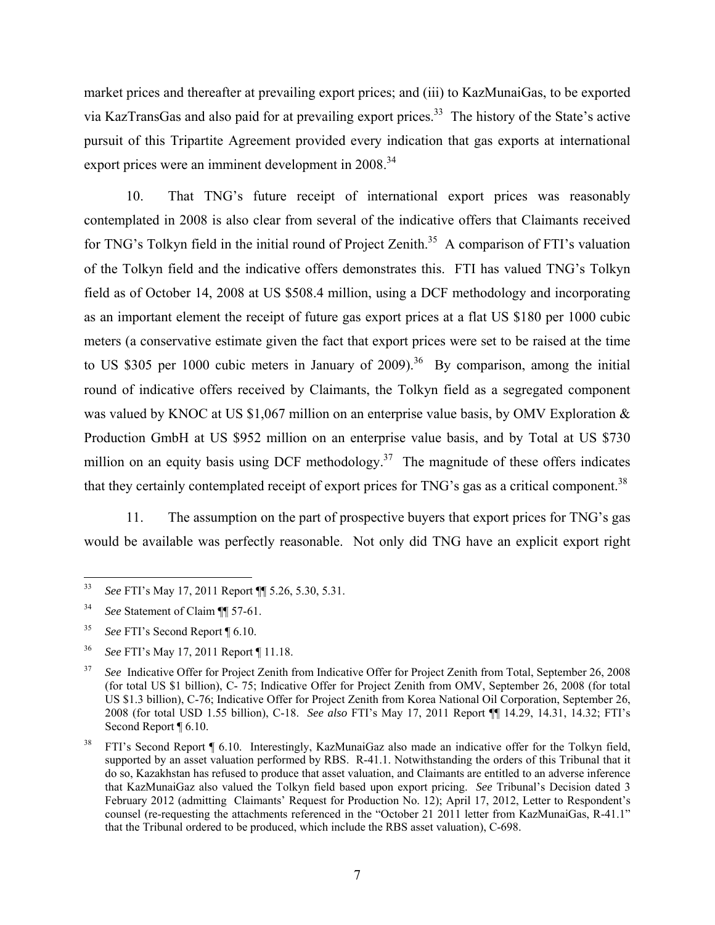market prices and thereafter at prevailing export prices; and (iii) to KazMunaiGas, to be exported via KazTransGas and also paid for at prevailing export prices.33 The history of the State's active pursuit of this Tripartite Agreement provided every indication that gas exports at international export prices were an imminent development in 2008.<sup>34</sup>

10. That TNG's future receipt of international export prices was reasonably contemplated in 2008 is also clear from several of the indicative offers that Claimants received for TNG's Tolkyn field in the initial round of Project Zenith.<sup>35</sup> A comparison of FTI's valuation of the Tolkyn field and the indicative offers demonstrates this. FTI has valued TNG's Tolkyn field as of October 14, 2008 at US \$508.4 million, using a DCF methodology and incorporating as an important element the receipt of future gas export prices at a flat US \$180 per 1000 cubic meters (a conservative estimate given the fact that export prices were set to be raised at the time to US \$305 per 1000 cubic meters in January of  $2009$ .<sup>36</sup> By comparison, among the initial round of indicative offers received by Claimants, the Tolkyn field as a segregated component was valued by KNOC at US \$1,067 million on an enterprise value basis, by OMV Exploration  $\&$ Production GmbH at US \$952 million on an enterprise value basis, and by Total at US \$730 million on an equity basis using DCF methodology.<sup>37</sup> The magnitude of these offers indicates that they certainly contemplated receipt of export prices for TNG's gas as a critical component.<sup>38</sup>

11. The assumption on the part of prospective buyers that export prices for TNG's gas would be available was perfectly reasonable. Not only did TNG have an explicit export right

<sup>33</sup> 33 *See* FTI's May 17, 2011 Report ¶¶ 5.26, 5.30, 5.31.

<sup>34</sup> *See* Statement of Claim ¶¶ 57-61.

<sup>35</sup> *See* FTI's Second Report ¶ 6.10.

<sup>36</sup> *See* FTI's May 17, 2011 Report ¶ 11.18.

<sup>&</sup>lt;sup>37</sup> *See* Indicative Offer for Project Zenith from Indicative Offer for Project Zenith from Total, September 26, 2008 (for total US \$1 billion), C- 75; Indicative Offer for Project Zenith from OMV, September 26, 2008 (for total US \$1.3 billion), C-76; Indicative Offer for Project Zenith from Korea National Oil Corporation, September 26, 2008 (for total USD 1.55 billion), C-18. *See also* FTI's May 17, 2011 Report ¶¶ 14.29, 14.31, 14.32; FTI's Second Report ¶ 6.10.

<sup>38</sup> FTI's Second Report ¶ 6.10. Interestingly, KazMunaiGaz also made an indicative offer for the Tolkyn field, supported by an asset valuation performed by RBS. R-41.1. Notwithstanding the orders of this Tribunal that it do so, Kazakhstan has refused to produce that asset valuation, and Claimants are entitled to an adverse inference that KazMunaiGaz also valued the Tolkyn field based upon export pricing. *See* Tribunal's Decision dated 3 February 2012 (admitting Claimants' Request for Production No. 12); April 17, 2012, Letter to Respondent's counsel (re-requesting the attachments referenced in the "October 21 2011 letter from KazMunaiGas, R-41.1" that the Tribunal ordered to be produced, which include the RBS asset valuation), C-698.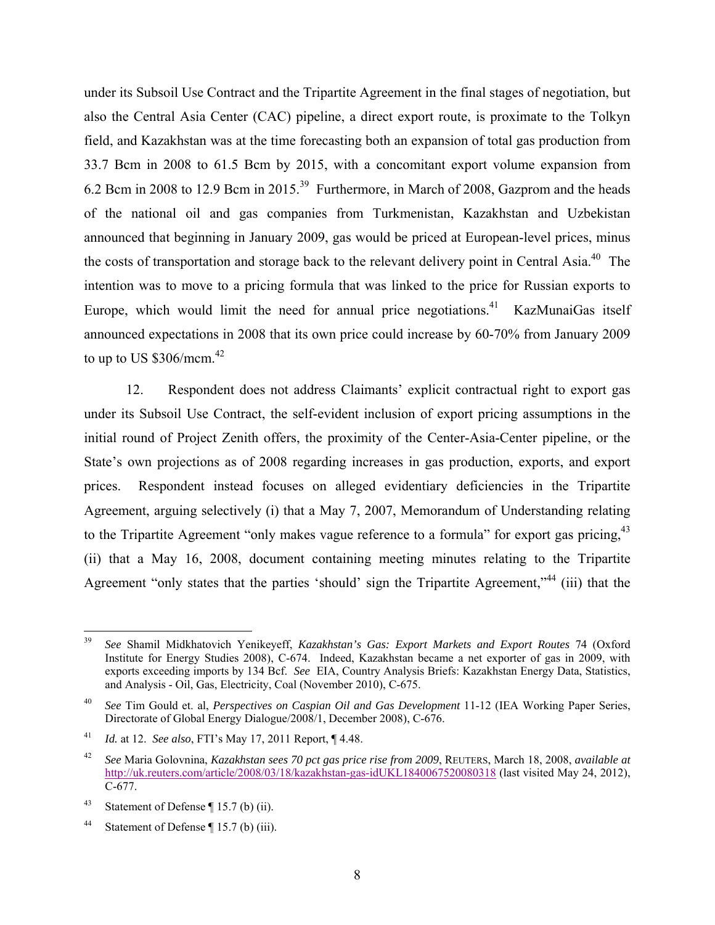under its Subsoil Use Contract and the Tripartite Agreement in the final stages of negotiation, but also the Central Asia Center (CAC) pipeline, a direct export route, is proximate to the Tolkyn field, and Kazakhstan was at the time forecasting both an expansion of total gas production from 33.7 Bcm in 2008 to 61.5 Bcm by 2015, with a concomitant export volume expansion from 6.2 Bcm in 2008 to 12.9 Bcm in 2015.39 Furthermore, in March of 2008, Gazprom and the heads of the national oil and gas companies from Turkmenistan, Kazakhstan and Uzbekistan announced that beginning in January 2009, gas would be priced at European-level prices, minus the costs of transportation and storage back to the relevant delivery point in Central Asia.<sup>40</sup> The intention was to move to a pricing formula that was linked to the price for Russian exports to Europe, which would limit the need for annual price negotiations.<sup>41</sup> KazMunaiGas itself announced expectations in 2008 that its own price could increase by 60-70% from January 2009 to up to US  $$306/mcm<sup>42</sup>$ 

12. Respondent does not address Claimants' explicit contractual right to export gas under its Subsoil Use Contract, the self-evident inclusion of export pricing assumptions in the initial round of Project Zenith offers, the proximity of the Center-Asia-Center pipeline, or the State's own projections as of 2008 regarding increases in gas production, exports, and export prices. Respondent instead focuses on alleged evidentiary deficiencies in the Tripartite Agreement, arguing selectively (i) that a May 7, 2007, Memorandum of Understanding relating to the Tripartite Agreement "only makes vague reference to a formula" for export gas pricing,  $43$ (ii) that a May 16, 2008, document containing meeting minutes relating to the Tripartite Agreement "only states that the parties 'should' sign the Tripartite Agreement,"<sup>44</sup> (iii) that the

<sup>39</sup> 39 *See* Shamil Midkhatovich Yenikeyeff, *Kazakhstan's Gas: Export Markets and Export Routes* 74 (Oxford Institute for Energy Studies 2008), C-674. Indeed, Kazakhstan became a net exporter of gas in 2009, with exports exceeding imports by 134 Bcf. *See* EIA, Country Analysis Briefs: Kazakhstan Energy Data, Statistics, and Analysis - Oil, Gas, Electricity, Coal (November 2010), C-675.

<sup>40</sup> *See* Tim Gould et. al, *Perspectives on Caspian Oil and Gas Development* 11-12 (IEA Working Paper Series, Directorate of Global Energy Dialogue/2008/1, December 2008), C-676.

<sup>41</sup> *Id.* at 12. *See also*, FTI's May 17, 2011 Report, ¶ 4.48.

<sup>42</sup> *See* Maria Golovnina, *Kazakhstan sees 70 pct gas price rise from 2009*, REUTERS, March 18, 2008, *available at*  http://uk.reuters.com/article/2008/03/18/kazakhstan-gas-idUKL1840067520080318 (last visited May 24, 2012), C-677.

<sup>&</sup>lt;sup>43</sup> Statement of Defense  $\P$  15.7 (b) (ii).

<sup>44</sup> Statement of Defense ¶ 15.7 (b) (iii).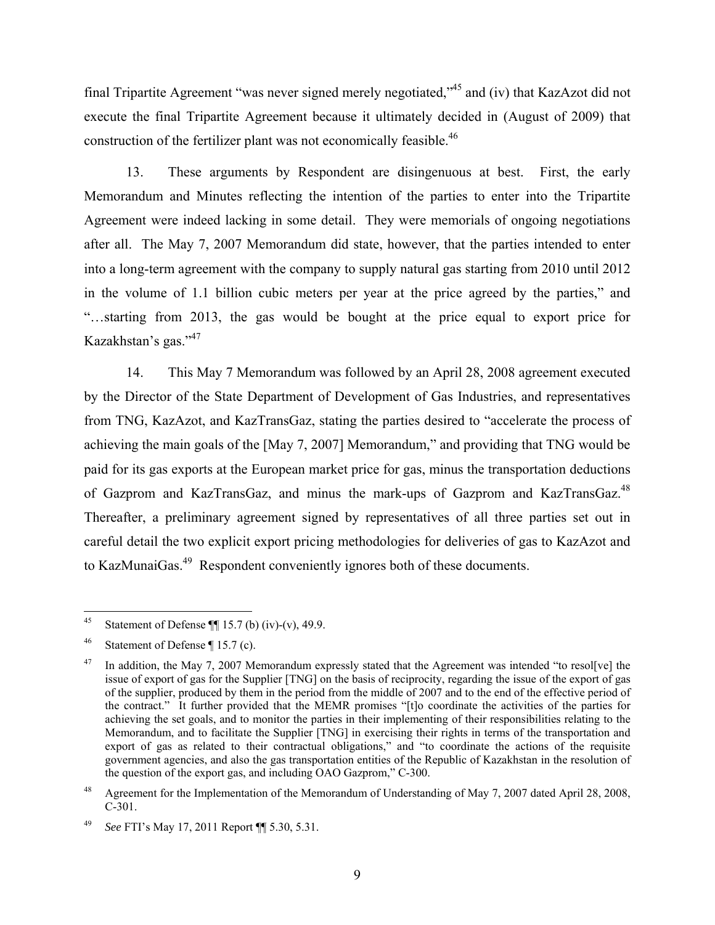final Tripartite Agreement "was never signed merely negotiated,"45 and (iv) that KazAzot did not execute the final Tripartite Agreement because it ultimately decided in (August of 2009) that construction of the fertilizer plant was not economically feasible.<sup>46</sup>

13. These arguments by Respondent are disingenuous at best. First, the early Memorandum and Minutes reflecting the intention of the parties to enter into the Tripartite Agreement were indeed lacking in some detail. They were memorials of ongoing negotiations after all. The May 7, 2007 Memorandum did state, however, that the parties intended to enter into a long-term agreement with the company to supply natural gas starting from 2010 until 2012 in the volume of 1.1 billion cubic meters per year at the price agreed by the parties," and "…starting from 2013, the gas would be bought at the price equal to export price for Kazakhstan's gas."47

14. This May 7 Memorandum was followed by an April 28, 2008 agreement executed by the Director of the State Department of Development of Gas Industries, and representatives from TNG, KazAzot, and KazTransGaz, stating the parties desired to "accelerate the process of achieving the main goals of the [May 7, 2007] Memorandum," and providing that TNG would be paid for its gas exports at the European market price for gas, minus the transportation deductions of Gazprom and KazTransGaz, and minus the mark-ups of Gazprom and KazTransGaz.<sup>48</sup> Thereafter, a preliminary agreement signed by representatives of all three parties set out in careful detail the two explicit export pricing methodologies for deliveries of gas to KazAzot and to KazMunaiGas.49 Respondent conveniently ignores both of these documents.

<sup>45</sup> Statement of Defense  $\P\P$  15.7 (b) (iv)-(v), 49.9.

<sup>&</sup>lt;sup>46</sup> Statement of Defense ¶ 15.7 (c).

<sup>&</sup>lt;sup>47</sup> In addition, the May 7, 2007 Memorandum expressly stated that the Agreement was intended "to resol[ve] the issue of export of gas for the Supplier [TNG] on the basis of reciprocity, regarding the issue of the export of gas of the supplier, produced by them in the period from the middle of 2007 and to the end of the effective period of the contract." It further provided that the MEMR promises "[t]o coordinate the activities of the parties for achieving the set goals, and to monitor the parties in their implementing of their responsibilities relating to the Memorandum, and to facilitate the Supplier [TNG] in exercising their rights in terms of the transportation and export of gas as related to their contractual obligations," and "to coordinate the actions of the requisite government agencies, and also the gas transportation entities of the Republic of Kazakhstan in the resolution of the question of the export gas, and including OAO Gazprom," C-300.

<sup>48</sup> Agreement for the Implementation of the Memorandum of Understanding of May 7, 2007 dated April 28, 2008, C-301.

<sup>49</sup> *See* FTI's May 17, 2011 Report ¶¶ 5.30, 5.31.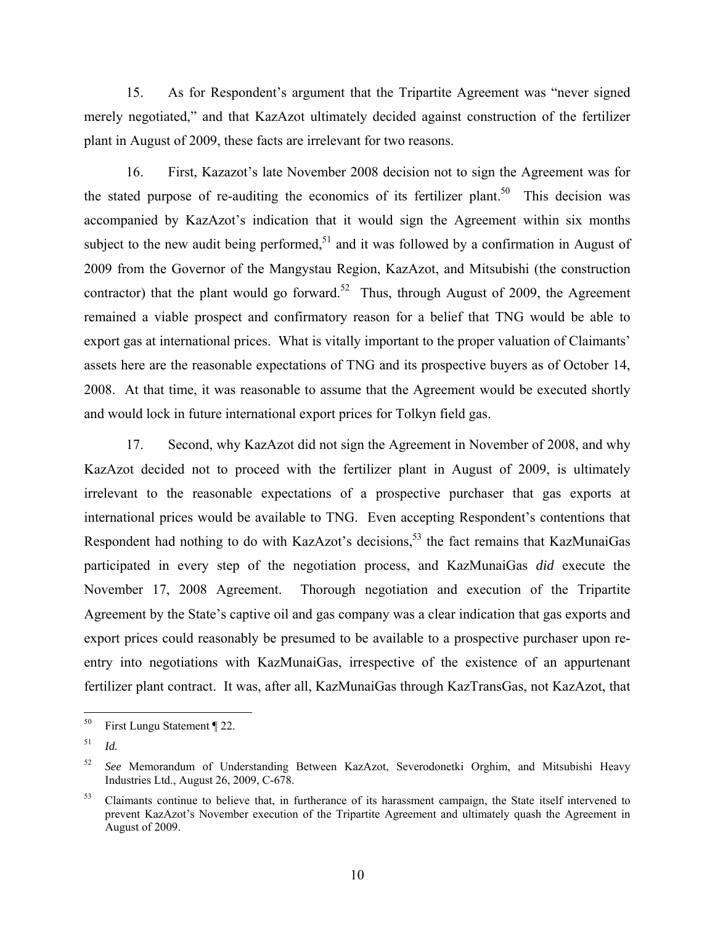15. As for Respondent's argument that the Tripartite Agreement was "never signed merely negotiated," and that KazAzot ultimately decided against construction of the fertilizer plant in August of 2009, these facts are irrelevant for two reasons.

16. First, Kazazot's late November 2008 decision not to sign the Agreement was for the stated purpose of re-auditing the economics of its fertilizer plant.<sup>50</sup> This decision was accompanied by KazAzot's indication that it would sign the Agreement within six months subject to the new audit being performed, $51$  and it was followed by a confirmation in August of 2009 from the Governor of the Mangystau Region, KazAzot, and Mitsubishi (the construction contractor) that the plant would go forward.<sup>52</sup> Thus, through August of 2009, the Agreement remained a viable prospect and confirmatory reason for a belief that TNG would be able to export gas at international prices. What is vitally important to the proper valuation of Claimants' assets here are the reasonable expectations of TNG and its prospective buyers as of October 14, 2008. At that time, it was reasonable to assume that the Agreement would be executed shortly and would lock in future international export prices for Tolkyn field gas.

17. Second, why KazAzot did not sign the Agreement in November of 2008, and why KazAzot decided not to proceed with the fertilizer plant in August of 2009, is ultimately irrelevant to the reasonable expectations of a prospective purchaser that gas exports at international prices would be available to TNG. Even accepting Respondent's contentions that Respondent had nothing to do with KazAzot's decisions,  $5<sup>3</sup>$  the fact remains that KazMunaiGas participated in every step of the negotiation process, and KazMunaiGas *did* execute the November 17, 2008 Agreement. Thorough negotiation and execution of the Tripartite Agreement by the State's captive oil and gas company was a clear indication that gas exports and export prices could reasonably be presumed to be available to a prospective purchaser upon reentry into negotiations with KazMunaiGas, irrespective of the existence of an appurtenant fertilizer plant contract. It was, after all, KazMunaiGas through KazTransGas, not KazAzot, that

<sup>50</sup> First Lungu Statement ¶ 22.

<sup>51</sup> *Id.*

<sup>52</sup> *See* Memorandum of Understanding Between KazAzot, Severodonetki Orghim, and Mitsubishi Heavy Industries Ltd., August 26, 2009, C-678.

<sup>&</sup>lt;sup>53</sup> Claimants continue to believe that, in furtherance of its harassment campaign, the State itself intervened to prevent KazAzot's November execution of the Tripartite Agreement and ultimately quash the Agreement in August of 2009.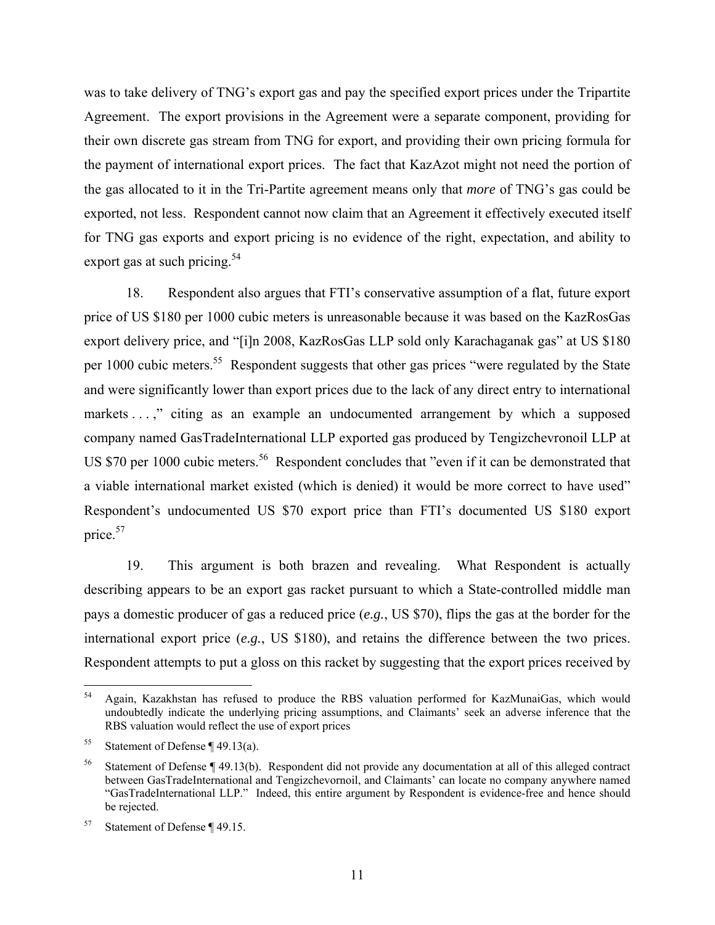was to take delivery of TNG's export gas and pay the specified export prices under the Tripartite Agreement. The export provisions in the Agreement were a separate component, providing for their own discrete gas stream from TNG for export, and providing their own pricing formula for the payment of international export prices. The fact that KazAzot might not need the portion of the gas allocated to it in the Tri-Partite agreement means only that *more* of TNG's gas could be exported, not less. Respondent cannot now claim that an Agreement it effectively executed itself for TNG gas exports and export pricing is no evidence of the right, expectation, and ability to export gas at such pricing.<sup>54</sup>

18. Respondent also argues that FTI's conservative assumption of a flat, future export price of US \$180 per 1000 cubic meters is unreasonable because it was based on the KazRosGas export delivery price, and "[i]n 2008, KazRosGas LLP sold only Karachaganak gas" at US \$180 per 1000 cubic meters.<sup>55</sup> Respondent suggests that other gas prices "were regulated by the State and were significantly lower than export prices due to the lack of any direct entry to international markets . . .," citing as an example an undocumented arrangement by which a supposed company named GasTradeInternational LLP exported gas produced by Tengizchevronoil LLP at US \$70 per 1000 cubic meters.<sup>56</sup> Respondent concludes that "even if it can be demonstrated that a viable international market existed (which is denied) it would be more correct to have used" Respondent's undocumented US \$70 export price than FTI's documented US \$180 export price.<sup>57</sup>

19. This argument is both brazen and revealing. What Respondent is actually describing appears to be an export gas racket pursuant to which a State-controlled middle man pays a domestic producer of gas a reduced price (*e.g.*, US \$70), flips the gas at the border for the international export price (*e.g.*, US \$180), and retains the difference between the two prices. Respondent attempts to put a gloss on this racket by suggesting that the export prices received by

<sup>54</sup> 54 Again, Kazakhstan has refused to produce the RBS valuation performed for KazMunaiGas, which would undoubtedly indicate the underlying pricing assumptions, and Claimants' seek an adverse inference that the RBS valuation would reflect the use of export prices

<sup>&</sup>lt;sup>55</sup> Statement of Defense  $\P$  49.13(a).

<sup>56</sup> Statement of Defense ¶ 49.13(b). Respondent did not provide any documentation at all of this alleged contract between GasTradeInternational and Tengizchevornoil, and Claimants' can locate no company anywhere named "GasTradeInternational LLP." Indeed, this entire argument by Respondent is evidence-free and hence should be rejected.

<sup>57</sup> Statement of Defense ¶ 49.15.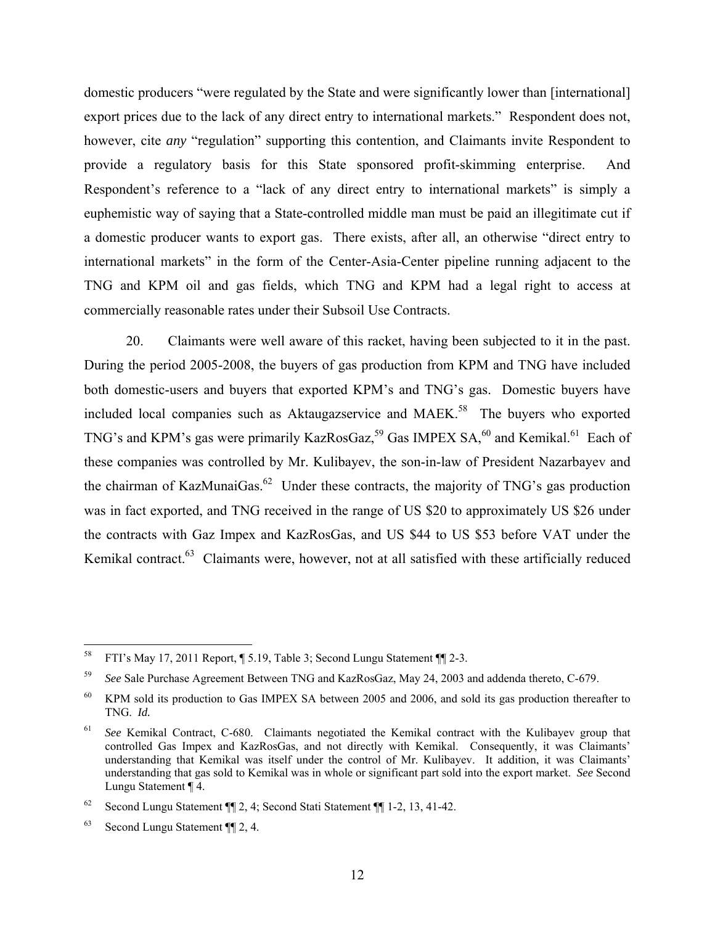domestic producers "were regulated by the State and were significantly lower than [international] export prices due to the lack of any direct entry to international markets." Respondent does not, however, cite *any* "regulation" supporting this contention, and Claimants invite Respondent to provide a regulatory basis for this State sponsored profit-skimming enterprise. And Respondent's reference to a "lack of any direct entry to international markets" is simply a euphemistic way of saying that a State-controlled middle man must be paid an illegitimate cut if a domestic producer wants to export gas. There exists, after all, an otherwise "direct entry to international markets" in the form of the Center-Asia-Center pipeline running adjacent to the TNG and KPM oil and gas fields, which TNG and KPM had a legal right to access at commercially reasonable rates under their Subsoil Use Contracts.

20. Claimants were well aware of this racket, having been subjected to it in the past. During the period 2005-2008, the buyers of gas production from KPM and TNG have included both domestic-users and buyers that exported KPM's and TNG's gas. Domestic buyers have included local companies such as Aktaugazservice and MAEK.<sup>58</sup> The buyers who exported TNG's and KPM's gas were primarily KazRosGaz,<sup>59</sup> Gas IMPEX SA,<sup>60</sup> and Kemikal.<sup>61</sup> Each of these companies was controlled by Mr. Kulibayev, the son-in-law of President Nazarbayev and the chairman of KazMunaiGas.<sup>62</sup> Under these contracts, the majority of TNG's gas production was in fact exported, and TNG received in the range of US \$20 to approximately US \$26 under the contracts with Gaz Impex and KazRosGas, and US \$44 to US \$53 before VAT under the Kemikal contract.<sup>63</sup> Claimants were, however, not at all satisfied with these artificially reduced

<sup>58</sup> 58 FTI's May 17, 2011 Report, ¶ 5.19, Table 3; Second Lungu Statement ¶¶ 2-3.

<sup>59</sup> *See* Sale Purchase Agreement Between TNG and KazRosGaz, May 24, 2003 and addenda thereto, C-679.

<sup>&</sup>lt;sup>60</sup> KPM sold its production to Gas IMPEX SA between 2005 and 2006, and sold its gas production thereafter to TNG. *Id.*

<sup>61</sup> *See* Kemikal Contract, C-680. Claimants negotiated the Kemikal contract with the Kulibayev group that controlled Gas Impex and KazRosGas, and not directly with Kemikal. Consequently, it was Claimants' understanding that Kemikal was itself under the control of Mr. Kulibayev. It addition, it was Claimants' understanding that gas sold to Kemikal was in whole or significant part sold into the export market. *See* Second Lungu Statement ¶ 4.

<sup>62</sup> Second Lungu Statement ¶¶ 2, 4; Second Stati Statement ¶¶ 1-2, 13, 41-42.

<sup>63</sup> Second Lungu Statement ¶¶ 2, 4.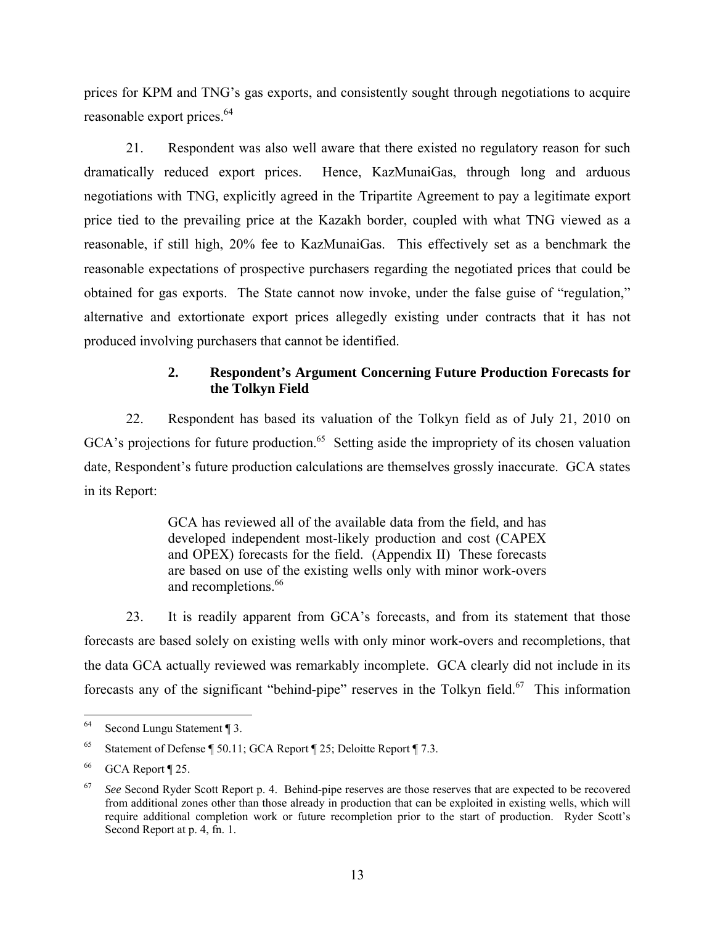prices for KPM and TNG's gas exports, and consistently sought through negotiations to acquire reasonable export prices.<sup>64</sup>

21. Respondent was also well aware that there existed no regulatory reason for such dramatically reduced export prices. Hence, KazMunaiGas, through long and arduous negotiations with TNG, explicitly agreed in the Tripartite Agreement to pay a legitimate export price tied to the prevailing price at the Kazakh border, coupled with what TNG viewed as a reasonable, if still high, 20% fee to KazMunaiGas. This effectively set as a benchmark the reasonable expectations of prospective purchasers regarding the negotiated prices that could be obtained for gas exports. The State cannot now invoke, under the false guise of "regulation," alternative and extortionate export prices allegedly existing under contracts that it has not produced involving purchasers that cannot be identified.

# **2. Respondent's Argument Concerning Future Production Forecasts for the Tolkyn Field**

22. Respondent has based its valuation of the Tolkyn field as of July 21, 2010 on GCA's projections for future production.<sup>65</sup> Setting aside the impropriety of its chosen valuation date, Respondent's future production calculations are themselves grossly inaccurate. GCA states in its Report:

> GCA has reviewed all of the available data from the field, and has developed independent most-likely production and cost (CAPEX and OPEX) forecasts for the field. (Appendix II) These forecasts are based on use of the existing wells only with minor work-overs and recompletions.<sup>66</sup>

23. It is readily apparent from GCA's forecasts, and from its statement that those forecasts are based solely on existing wells with only minor work-overs and recompletions, that the data GCA actually reviewed was remarkably incomplete. GCA clearly did not include in its forecasts any of the significant "behind-pipe" reserves in the Tolkyn field.<sup>67</sup> This information

<sup>64</sup> Second Lungu Statement ¶ 3.

<sup>65</sup> Statement of Defense ¶ 50.11; GCA Report ¶ 25; Deloitte Report ¶ 7.3.

<sup>66</sup> GCA Report ¶ 25.

<sup>67</sup> *See* Second Ryder Scott Report p. 4. Behind-pipe reserves are those reserves that are expected to be recovered from additional zones other than those already in production that can be exploited in existing wells, which will require additional completion work or future recompletion prior to the start of production. Ryder Scott's Second Report at p. 4, fn. 1.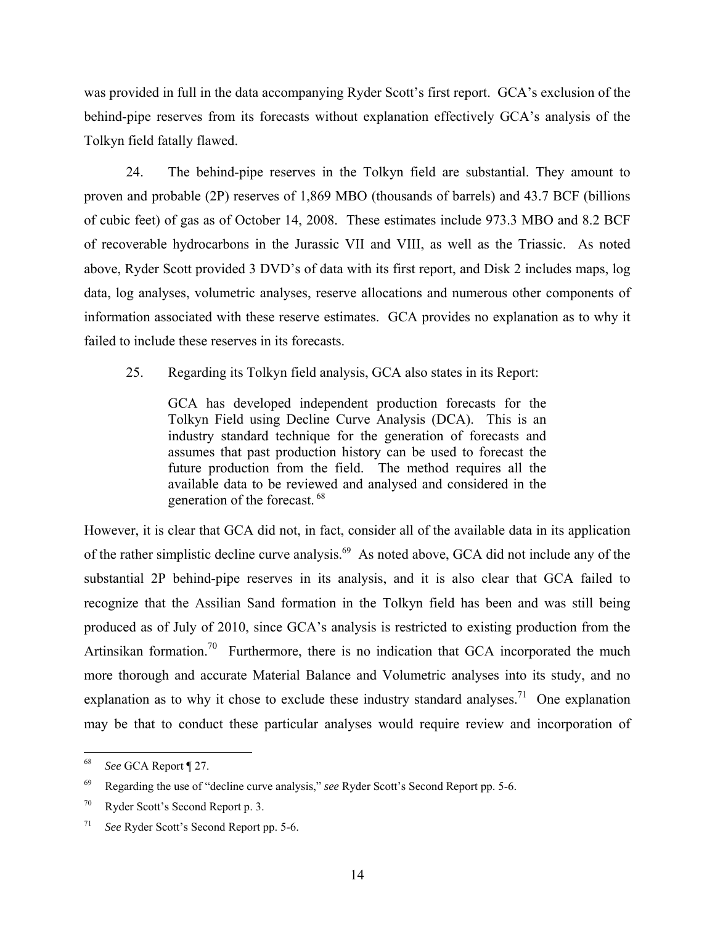was provided in full in the data accompanying Ryder Scott's first report. GCA's exclusion of the behind-pipe reserves from its forecasts without explanation effectively GCA's analysis of the Tolkyn field fatally flawed.

24. The behind-pipe reserves in the Tolkyn field are substantial. They amount to proven and probable (2P) reserves of 1,869 MBO (thousands of barrels) and 43.7 BCF (billions of cubic feet) of gas as of October 14, 2008. These estimates include 973.3 MBO and 8.2 BCF of recoverable hydrocarbons in the Jurassic VII and VIII, as well as the Triassic. As noted above, Ryder Scott provided 3 DVD's of data with its first report, and Disk 2 includes maps, log data, log analyses, volumetric analyses, reserve allocations and numerous other components of information associated with these reserve estimates. GCA provides no explanation as to why it failed to include these reserves in its forecasts.

25. Regarding its Tolkyn field analysis, GCA also states in its Report:

GCA has developed independent production forecasts for the Tolkyn Field using Decline Curve Analysis (DCA). This is an industry standard technique for the generation of forecasts and assumes that past production history can be used to forecast the future production from the field. The method requires all the available data to be reviewed and analysed and considered in the generation of the forecast. 68

However, it is clear that GCA did not, in fact, consider all of the available data in its application of the rather simplistic decline curve analysis.<sup>69</sup> As noted above, GCA did not include any of the substantial 2P behind-pipe reserves in its analysis, and it is also clear that GCA failed to recognize that the Assilian Sand formation in the Tolkyn field has been and was still being produced as of July of 2010, since GCA's analysis is restricted to existing production from the Artinsikan formation.<sup>70</sup> Furthermore, there is no indication that GCA incorporated the much more thorough and accurate Material Balance and Volumetric analyses into its study, and no explanation as to why it chose to exclude these industry standard analyses.<sup>71</sup> One explanation may be that to conduct these particular analyses would require review and incorporation of

<sup>68</sup> 68 *See* GCA Report ¶ 27.

<sup>69</sup> Regarding the use of "decline curve analysis," *see* Ryder Scott's Second Report pp. 5-6.

<sup>70</sup> Ryder Scott's Second Report p. 3.

<sup>71</sup> *See* Ryder Scott's Second Report pp. 5-6.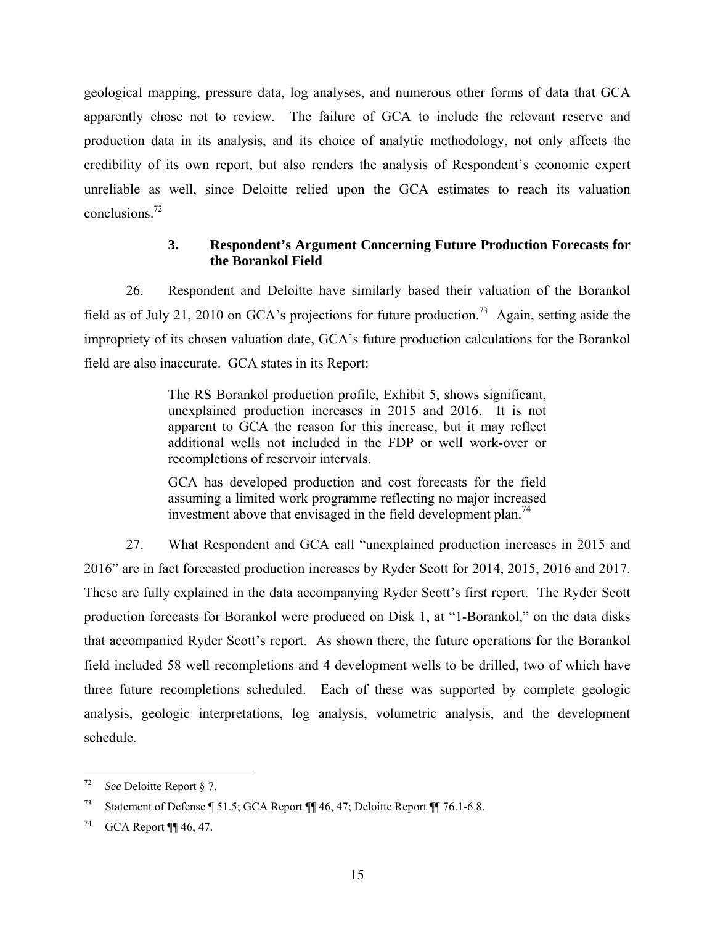geological mapping, pressure data, log analyses, and numerous other forms of data that GCA apparently chose not to review. The failure of GCA to include the relevant reserve and production data in its analysis, and its choice of analytic methodology, not only affects the credibility of its own report, but also renders the analysis of Respondent's economic expert unreliable as well, since Deloitte relied upon the GCA estimates to reach its valuation conclusions.72

# **3. Respondent's Argument Concerning Future Production Forecasts for the Borankol Field**

26. Respondent and Deloitte have similarly based their valuation of the Borankol field as of July 21, 2010 on GCA's projections for future production.<sup>73</sup> Again, setting aside the impropriety of its chosen valuation date, GCA's future production calculations for the Borankol field are also inaccurate. GCA states in its Report:

> The RS Borankol production profile, Exhibit 5, shows significant, unexplained production increases in 2015 and 2016. It is not apparent to GCA the reason for this increase, but it may reflect additional wells not included in the FDP or well work-over or recompletions of reservoir intervals.

> GCA has developed production and cost forecasts for the field assuming a limited work programme reflecting no major increased investment above that envisaged in the field development plan.<sup>74</sup>

27. What Respondent and GCA call "unexplained production increases in 2015 and 2016" are in fact forecasted production increases by Ryder Scott for 2014, 2015, 2016 and 2017. These are fully explained in the data accompanying Ryder Scott's first report. The Ryder Scott production forecasts for Borankol were produced on Disk 1, at "1-Borankol," on the data disks that accompanied Ryder Scott's report. As shown there, the future operations for the Borankol field included 58 well recompletions and 4 development wells to be drilled, two of which have three future recompletions scheduled. Each of these was supported by complete geologic analysis, geologic interpretations, log analysis, volumetric analysis, and the development schedule.

 $72$ 72 *See* Deloitte Report § 7.

<sup>73</sup> Statement of Defense ¶ 51.5; GCA Report ¶¶ 46, 47; Deloitte Report ¶¶ 76.1-6.8.

<sup>74</sup> GCA Report ¶¶ 46, 47.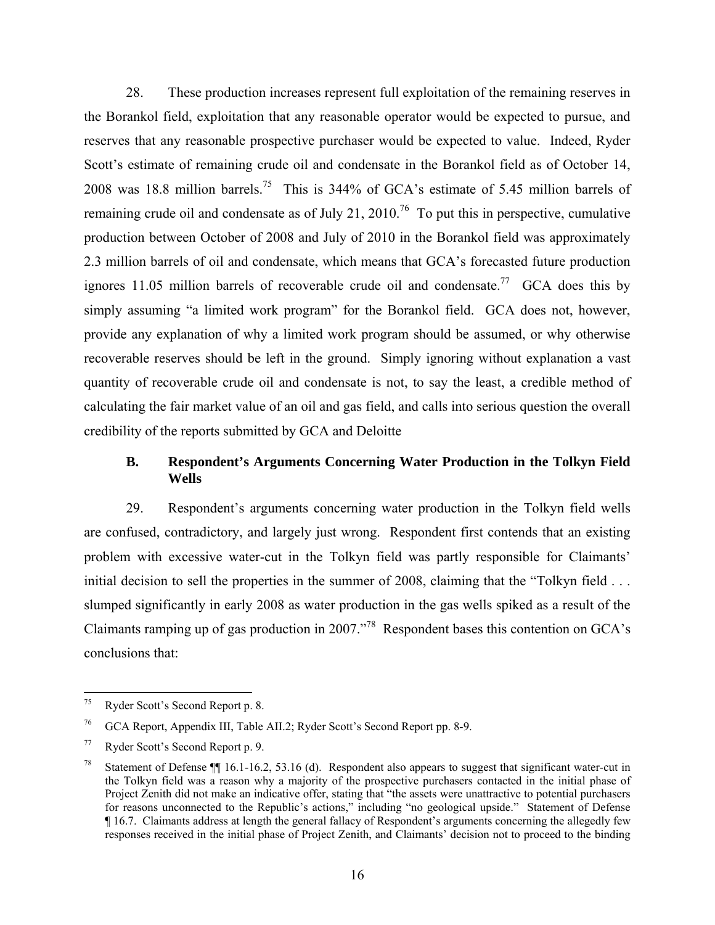28. These production increases represent full exploitation of the remaining reserves in the Borankol field, exploitation that any reasonable operator would be expected to pursue, and reserves that any reasonable prospective purchaser would be expected to value. Indeed, Ryder Scott's estimate of remaining crude oil and condensate in the Borankol field as of October 14, 2008 was 18.8 million barrels.75 This is 344% of GCA's estimate of 5.45 million barrels of remaining crude oil and condensate as of July 21, 2010.<sup>76</sup> To put this in perspective, cumulative production between October of 2008 and July of 2010 in the Borankol field was approximately 2.3 million barrels of oil and condensate, which means that GCA's forecasted future production ignores 11.05 million barrels of recoverable crude oil and condensate.<sup>77</sup> GCA does this by simply assuming "a limited work program" for the Borankol field. GCA does not, however, provide any explanation of why a limited work program should be assumed, or why otherwise recoverable reserves should be left in the ground. Simply ignoring without explanation a vast quantity of recoverable crude oil and condensate is not, to say the least, a credible method of calculating the fair market value of an oil and gas field, and calls into serious question the overall credibility of the reports submitted by GCA and Deloitte

# **B. Respondent's Arguments Concerning Water Production in the Tolkyn Field Wells**

29. Respondent's arguments concerning water production in the Tolkyn field wells are confused, contradictory, and largely just wrong. Respondent first contends that an existing problem with excessive water-cut in the Tolkyn field was partly responsible for Claimants' initial decision to sell the properties in the summer of 2008, claiming that the "Tolkyn field . . . slumped significantly in early 2008 as water production in the gas wells spiked as a result of the Claimants ramping up of gas production in 2007."78 Respondent bases this contention on GCA's conclusions that:

 $75\,$ 75 Ryder Scott's Second Report p. 8.

<sup>76</sup> GCA Report, Appendix III, Table AII.2; Ryder Scott's Second Report pp. 8-9.

<sup>77</sup> Ryder Scott's Second Report p. 9.

<sup>&</sup>lt;sup>78</sup> Statement of Defense  $\P\P$  16.1-16.2, 53.16 (d). Respondent also appears to suggest that significant water-cut in the Tolkyn field was a reason why a majority of the prospective purchasers contacted in the initial phase of Project Zenith did not make an indicative offer, stating that "the assets were unattractive to potential purchasers for reasons unconnected to the Republic's actions," including "no geological upside." Statement of Defense ¶ 16.7. Claimants address at length the general fallacy of Respondent's arguments concerning the allegedly few responses received in the initial phase of Project Zenith, and Claimants' decision not to proceed to the binding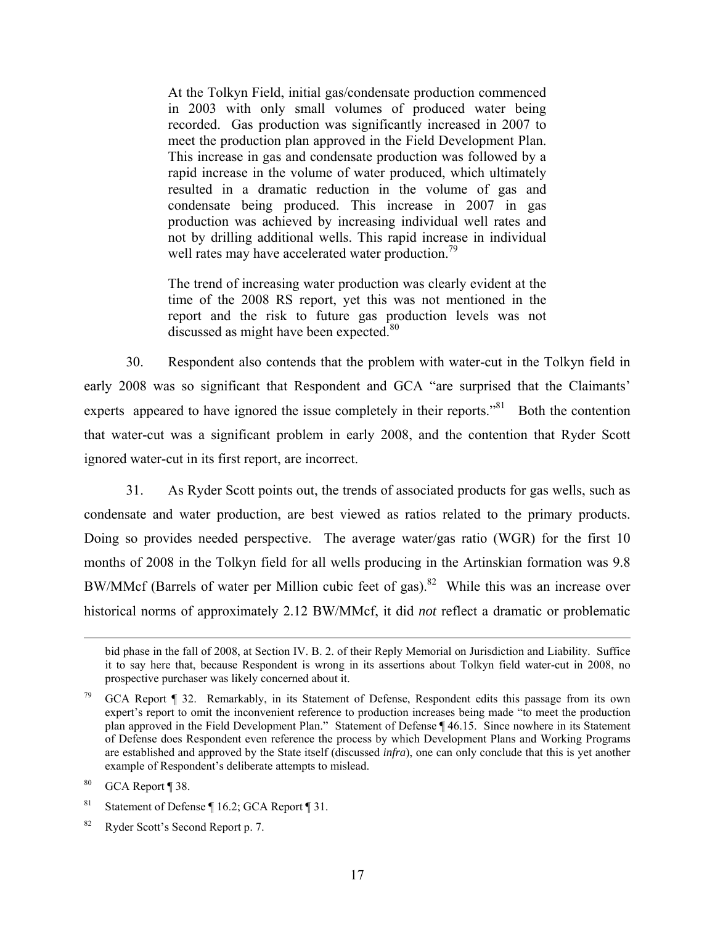At the Tolkyn Field, initial gas/condensate production commenced in 2003 with only small volumes of produced water being recorded. Gas production was significantly increased in 2007 to meet the production plan approved in the Field Development Plan. This increase in gas and condensate production was followed by a rapid increase in the volume of water produced, which ultimately resulted in a dramatic reduction in the volume of gas and condensate being produced. This increase in 2007 in gas production was achieved by increasing individual well rates and not by drilling additional wells. This rapid increase in individual well rates may have accelerated water production.<sup>79</sup>

The trend of increasing water production was clearly evident at the time of the 2008 RS report, yet this was not mentioned in the report and the risk to future gas production levels was not discussed as might have been expected. $80$ 

30. Respondent also contends that the problem with water-cut in the Tolkyn field in early 2008 was so significant that Respondent and GCA "are surprised that the Claimants' experts appeared to have ignored the issue completely in their reports."<sup>81</sup> Both the contention that water-cut was a significant problem in early 2008, and the contention that Ryder Scott ignored water-cut in its first report, are incorrect.

31. As Ryder Scott points out, the trends of associated products for gas wells, such as condensate and water production, are best viewed as ratios related to the primary products. Doing so provides needed perspective. The average water/gas ratio (WGR) for the first 10 months of 2008 in the Tolkyn field for all wells producing in the Artinskian formation was 9.8 BW/MMcf (Barrels of water per Million cubic feet of gas).<sup>82</sup> While this was an increase over historical norms of approximately 2.12 BW/MMcf, it did *not* reflect a dramatic or problematic

bid phase in the fall of 2008, at Section IV. B. 2. of their Reply Memorial on Jurisdiction and Liability. Suffice it to say here that, because Respondent is wrong in its assertions about Tolkyn field water-cut in 2008, no prospective purchaser was likely concerned about it.

<sup>79</sup> GCA Report ¶ 32. Remarkably, in its Statement of Defense, Respondent edits this passage from its own expert's report to omit the inconvenient reference to production increases being made "to meet the production plan approved in the Field Development Plan." Statement of Defense ¶ 46.15. Since nowhere in its Statement of Defense does Respondent even reference the process by which Development Plans and Working Programs are established and approved by the State itself (discussed *infra*), one can only conclude that this is yet another example of Respondent's deliberate attempts to mislead.

<sup>80</sup> GCA Report ¶ 38.

<sup>&</sup>lt;sup>81</sup> Statement of Defense  $\P$  16.2; GCA Report  $\P$  31.

<sup>82</sup> Ryder Scott's Second Report p. 7.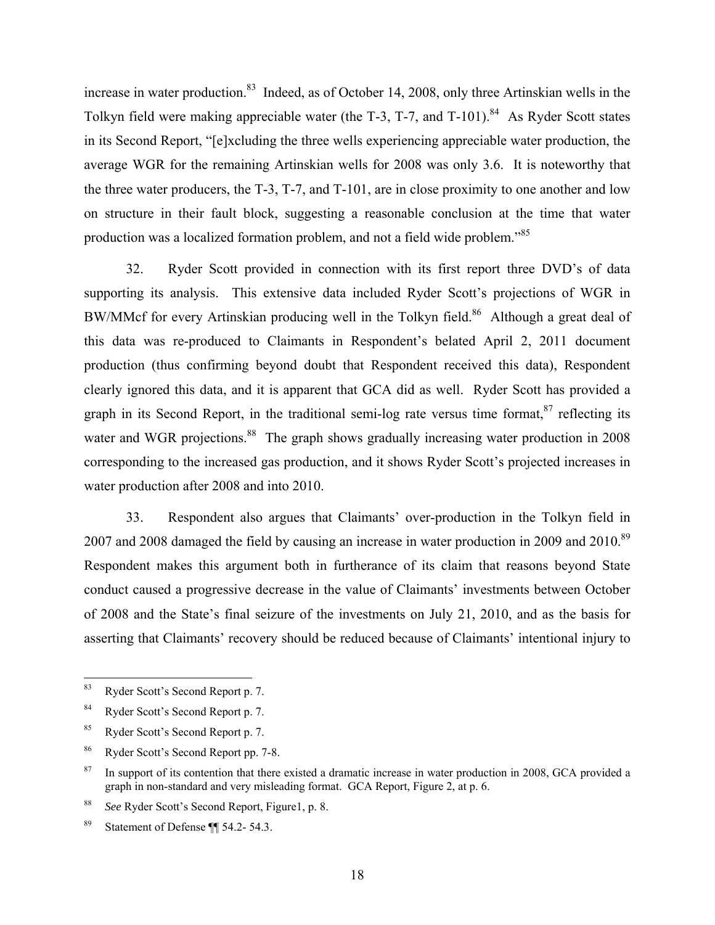increase in water production.<sup>83</sup> Indeed, as of October 14, 2008, only three Artinskian wells in the Tolkyn field were making appreciable water (the T-3, T-7, and T-101).<sup>84</sup> As Ryder Scott states in its Second Report, "[e]xcluding the three wells experiencing appreciable water production, the average WGR for the remaining Artinskian wells for 2008 was only 3.6. It is noteworthy that the three water producers, the T-3, T-7, and T-101, are in close proximity to one another and low on structure in their fault block, suggesting a reasonable conclusion at the time that water production was a localized formation problem, and not a field wide problem."<sup>85</sup>

32. Ryder Scott provided in connection with its first report three DVD's of data supporting its analysis. This extensive data included Ryder Scott's projections of WGR in BW/MMcf for every Artinskian producing well in the Tolkyn field.<sup>86</sup> Although a great deal of this data was re-produced to Claimants in Respondent's belated April 2, 2011 document production (thus confirming beyond doubt that Respondent received this data), Respondent clearly ignored this data, and it is apparent that GCA did as well. Ryder Scott has provided a graph in its Second Report, in the traditional semi-log rate versus time format,  $87$  reflecting its water and WGR projections.<sup>88</sup> The graph shows gradually increasing water production in 2008 corresponding to the increased gas production, and it shows Ryder Scott's projected increases in water production after 2008 and into 2010.

33. Respondent also argues that Claimants' over-production in the Tolkyn field in 2007 and 2008 damaged the field by causing an increase in water production in 2009 and 2010.<sup>89</sup> Respondent makes this argument both in furtherance of its claim that reasons beyond State conduct caused a progressive decrease in the value of Claimants' investments between October of 2008 and the State's final seizure of the investments on July 21, 2010, and as the basis for asserting that Claimants' recovery should be reduced because of Claimants' intentional injury to

<sup>83</sup> Ryder Scott's Second Report p. 7.

<sup>84</sup> Ryder Scott's Second Report p. 7.

<sup>85</sup> Ryder Scott's Second Report p. 7.

<sup>86</sup> Ryder Scott's Second Report pp. 7-8.

<sup>&</sup>lt;sup>87</sup> In support of its contention that there existed a dramatic increase in water production in 2008, GCA provided a graph in non-standard and very misleading format. GCA Report, Figure 2, at p. 6.

<sup>88</sup> *See* Ryder Scott's Second Report, Figure1, p. 8.

<sup>89</sup> Statement of Defense ¶¶ 54.2- 54.3.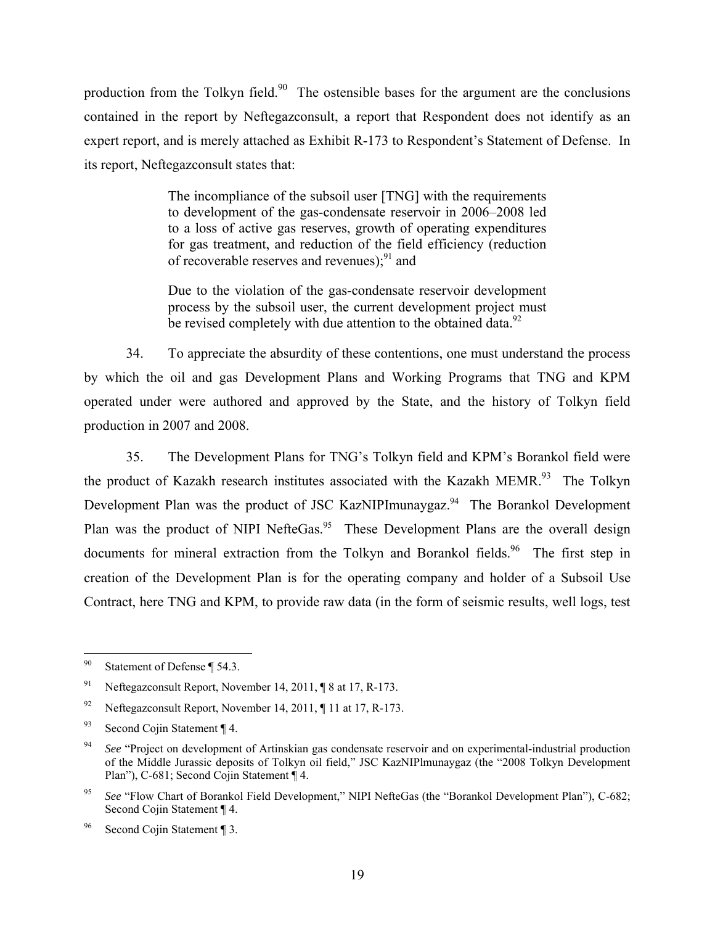production from the Tolkyn field.<sup>90</sup> The ostensible bases for the argument are the conclusions contained in the report by Neftegazconsult, a report that Respondent does not identify as an expert report, and is merely attached as Exhibit R-173 to Respondent's Statement of Defense. In its report, Neftegazconsult states that:

> The incompliance of the subsoil user [TNG] with the requirements to development of the gas-condensate reservoir in 2006–2008 led to a loss of active gas reserves, growth of operating expenditures for gas treatment, and reduction of the field efficiency (reduction of recoverable reserves and revenues); $91$  and

> Due to the violation of the gas-condensate reservoir development process by the subsoil user, the current development project must be revised completely with due attention to the obtained data. $92$

34. To appreciate the absurdity of these contentions, one must understand the process by which the oil and gas Development Plans and Working Programs that TNG and KPM operated under were authored and approved by the State, and the history of Tolkyn field production in 2007 and 2008.

35. The Development Plans for TNG's Tolkyn field and KPM's Borankol field were the product of Kazakh research institutes associated with the Kazakh MEMR.<sup>93</sup> The Tolkyn Development Plan was the product of JSC KazNIPImunaygaz.<sup>94</sup> The Borankol Development Plan was the product of NIPI NefteGas.<sup>95</sup> These Development Plans are the overall design documents for mineral extraction from the Tolkyn and Borankol fields.<sup>96</sup> The first step in creation of the Development Plan is for the operating company and holder of a Subsoil Use Contract, here TNG and KPM, to provide raw data (in the form of seismic results, well logs, test

 $90\,$ Statement of Defense ¶ 54.3.

<sup>&</sup>lt;sup>91</sup> Neftegazconsult Report, November 14, 2011,  $\sqrt{8}$  at 17, R-173.

<sup>&</sup>lt;sup>92</sup> Neftegazconsult Report, November 14, 2011,  $\P$  11 at 17, R-173.

<sup>93</sup> Second Coiin Statement  $\P$  4.

<sup>&</sup>lt;sup>94</sup> *See* "Project on development of Artinskian gas condensate reservoir and on experimental-industrial production of the Middle Jurassic deposits of Tolkyn oil field," JSC KazNIPlmunaygaz (the "2008 Tolkyn Development Plan"), C-681; Second Cojin Statement ¶ 4.

<sup>&</sup>lt;sup>95</sup> *See* "Flow Chart of Borankol Field Development," NIPI NefteGas (the "Borankol Development Plan"), C-682; Second Cojin Statement ¶ 4.

<sup>96</sup> Second Cojin Statement ¶ 3.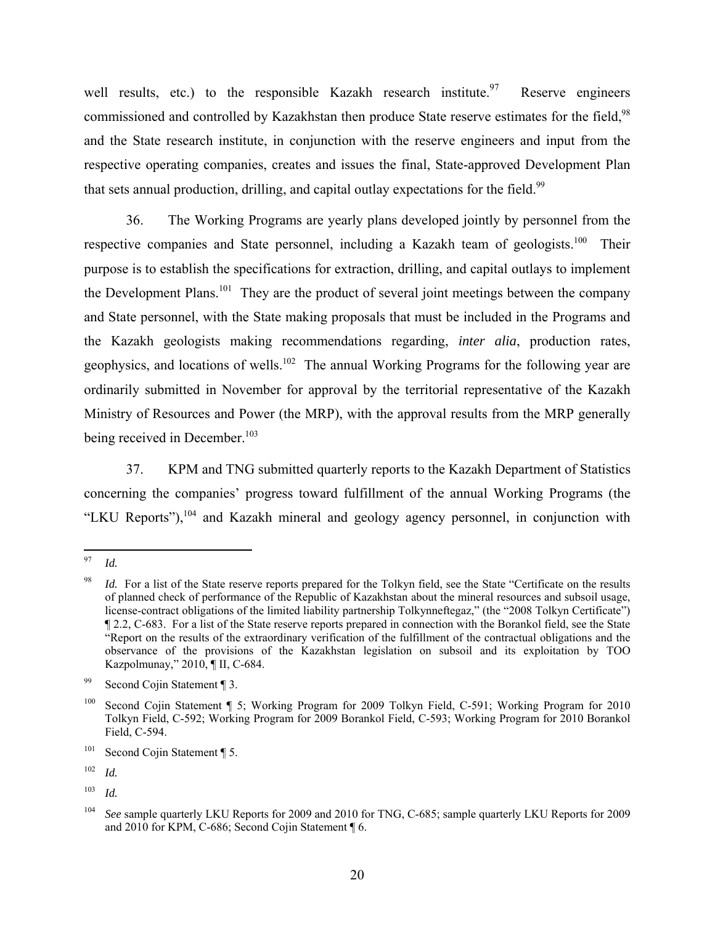well results, etc.) to the responsible Kazakh research institute.<sup>97</sup> Reserve engineers commissioned and controlled by Kazakhstan then produce State reserve estimates for the field,<sup>98</sup> and the State research institute, in conjunction with the reserve engineers and input from the respective operating companies, creates and issues the final, State-approved Development Plan that sets annual production, drilling, and capital outlay expectations for the field.<sup>99</sup>

36. The Working Programs are yearly plans developed jointly by personnel from the respective companies and State personnel, including a Kazakh team of geologists.<sup>100</sup> Their purpose is to establish the specifications for extraction, drilling, and capital outlays to implement the Development Plans.<sup>101</sup> They are the product of several joint meetings between the company and State personnel, with the State making proposals that must be included in the Programs and the Kazakh geologists making recommendations regarding, *inter alia*, production rates, geophysics, and locations of wells.<sup>102</sup> The annual Working Programs for the following year are ordinarily submitted in November for approval by the territorial representative of the Kazakh Ministry of Resources and Power (the MRP), with the approval results from the MRP generally being received in December.<sup>103</sup>

37. KPM and TNG submitted quarterly reports to the Kazakh Department of Statistics concerning the companies' progress toward fulfillment of the annual Working Programs (the "LKU Reports"), $104$  and Kazakh mineral and geology agency personnel, in conjunction with

<sup>97</sup> *Id.* 

*Id.* For a list of the State reserve reports prepared for the Tolkyn field, see the State "Certificate on the results of planned check of performance of the Republic of Kazakhstan about the mineral resources and subsoil usage, license-contract obligations of the limited liability partnership Tolkynneftegaz," (the "2008 Tolkyn Certificate") ¶ 2.2, C-683. For a list of the State reserve reports prepared in connection with the Borankol field, see the State "Report on the results of the extraordinary verification of the fulfillment of the contractual obligations and the observance of the provisions of the Kazakhstan legislation on subsoil and its exploitation by TOO Kazpolmunay," 2010, ¶ II, C-684.

<sup>99</sup> Second Cojin Statement ¶ 3.

<sup>&</sup>lt;sup>100</sup> Second Cojin Statement ¶ 5; Working Program for 2009 Tolkyn Field, C-591; Working Program for 2010 Tolkyn Field, C-592; Working Program for 2009 Borankol Field, C-593; Working Program for 2010 Borankol Field, C-594.

 $101$  Second Cojin Statement ¶ 5.

<sup>102</sup> *Id.*

<sup>103</sup> *Id.*

<sup>104</sup> *See* sample quarterly LKU Reports for 2009 and 2010 for TNG, C-685; sample quarterly LKU Reports for 2009 and 2010 for KPM, C-686; Second Cojin Statement ¶ 6.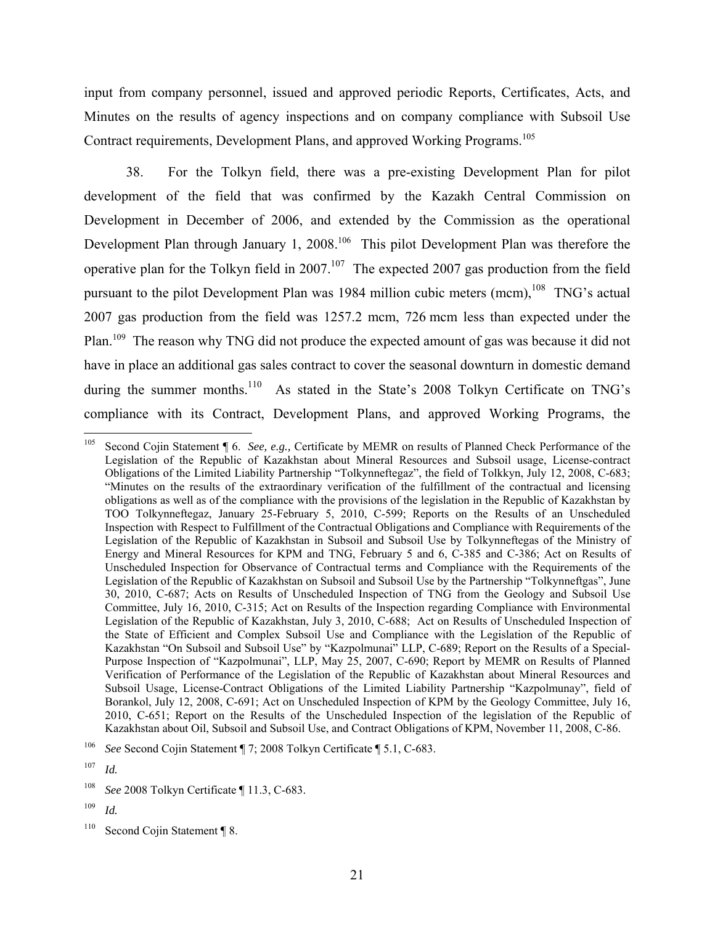input from company personnel, issued and approved periodic Reports, Certificates, Acts, and Minutes on the results of agency inspections and on company compliance with Subsoil Use Contract requirements, Development Plans, and approved Working Programs.<sup>105</sup>

38. For the Tolkyn field, there was a pre-existing Development Plan for pilot development of the field that was confirmed by the Kazakh Central Commission on Development in December of 2006, and extended by the Commission as the operational Development Plan through January 1, 2008.<sup>106</sup> This pilot Development Plan was therefore the operative plan for the Tolkyn field in 2007.<sup>107</sup> The expected 2007 gas production from the field pursuant to the pilot Development Plan was 1984 million cubic meters (mcm),<sup>108</sup> TNG's actual 2007 gas production from the field was 1257.2 mcm, 726 mcm less than expected under the Plan.<sup>109</sup> The reason why TNG did not produce the expected amount of gas was because it did not have in place an additional gas sales contract to cover the seasonal downturn in domestic demand during the summer months.<sup>110</sup> As stated in the State's 2008 Tolkyn Certificate on TNG's compliance with its Contract, Development Plans, and approved Working Programs, the

 $105\,$ 105 Second Cojin Statement ¶ 6. *See, e.g.,* Certificate by MEMR on results of Planned Check Performance of the Legislation of the Republic of Kazakhstan about Mineral Resources and Subsoil usage, License-contract Obligations of the Limited Liability Partnership "Tolkynneftegaz", the field of Tolkkyn, July 12, 2008, C-683; "Minutes on the results of the extraordinary verification of the fulfillment of the contractual and licensing obligations as well as of the compliance with the provisions of the legislation in the Republic of Kazakhstan by TOO Tolkynneftegaz, January 25-February 5, 2010, C-599; Reports on the Results of an Unscheduled Inspection with Respect to Fulfillment of the Contractual Obligations and Compliance with Requirements of the Legislation of the Republic of Kazakhstan in Subsoil and Subsoil Use by Tolkynneftegas of the Ministry of Energy and Mineral Resources for KPM and TNG, February 5 and 6, C-385 and C-386; Act on Results of Unscheduled Inspection for Observance of Contractual terms and Compliance with the Requirements of the Legislation of the Republic of Kazakhstan on Subsoil and Subsoil Use by the Partnership "Tolkynneftgas", June 30, 2010, C-687; Acts on Results of Unscheduled Inspection of TNG from the Geology and Subsoil Use Committee, July 16, 2010, C-315; Act on Results of the Inspection regarding Compliance with Environmental Legislation of the Republic of Kazakhstan, July 3, 2010, C-688; Act on Results of Unscheduled Inspection of the State of Efficient and Complex Subsoil Use and Compliance with the Legislation of the Republic of Kazakhstan "On Subsoil and Subsoil Use" by "Kazpolmunai" LLP, C-689; Report on the Results of a Special-Purpose Inspection of "Kazpolmunai", LLP, May 25, 2007, C-690; Report by MEMR on Results of Planned Verification of Performance of the Legislation of the Republic of Kazakhstan about Mineral Resources and Subsoil Usage, License-Contract Obligations of the Limited Liability Partnership "Kazpolmunay", field of Borankol, July 12, 2008, C-691; Act on Unscheduled Inspection of KPM by the Geology Committee, July 16, 2010, C-651; Report on the Results of the Unscheduled Inspection of the legislation of the Republic of Kazakhstan about Oil, Subsoil and Subsoil Use, and Contract Obligations of KPM, November 11, 2008, C-86.

See Second Cojin Statement ¶ 7; 2008 Tolkyn Certificate ¶ 5.1, C-683.

<sup>107</sup> *Id.* 

<sup>108</sup> *See* 2008 Tolkyn Certificate ¶ 11.3, C-683.

<sup>109</sup> *Id.*

<sup>&</sup>lt;sup>110</sup> Second Cojin Statement ¶ 8.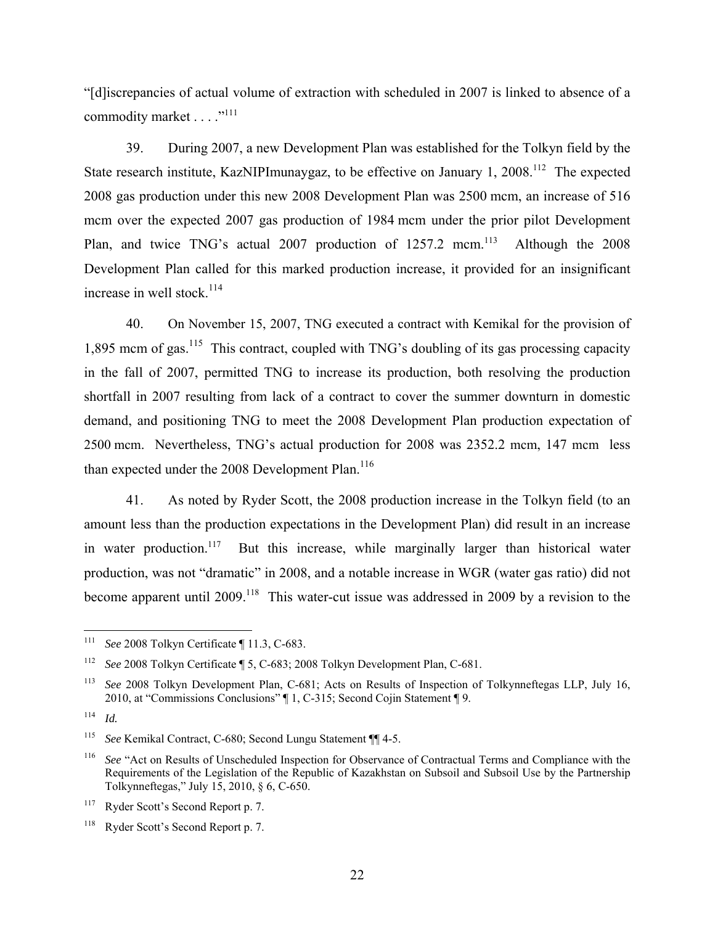"[d]iscrepancies of actual volume of extraction with scheduled in 2007 is linked to absence of a commodity market . . . . "<sup>111</sup>

39. During 2007, a new Development Plan was established for the Tolkyn field by the State research institute, KazNIPImunaygaz, to be effective on January 1, 2008.<sup>112</sup> The expected 2008 gas production under this new 2008 Development Plan was 2500 mcm, an increase of 516 mcm over the expected 2007 gas production of 1984 mcm under the prior pilot Development Plan, and twice TNG's actual 2007 production of  $1257.2$  mcm.<sup>113</sup> Although the 2008 Development Plan called for this marked production increase, it provided for an insignificant increase in well stock.<sup>114</sup>

40. On November 15, 2007, TNG executed a contract with Kemikal for the provision of 1,895 mcm of gas.<sup>115</sup> This contract, coupled with TNG's doubling of its gas processing capacity in the fall of 2007, permitted TNG to increase its production, both resolving the production shortfall in 2007 resulting from lack of a contract to cover the summer downturn in domestic demand, and positioning TNG to meet the 2008 Development Plan production expectation of 2500 mcm. Nevertheless, TNG's actual production for 2008 was 2352.2 mcm, 147 mcm less than expected under the 2008 Development Plan.<sup>116</sup>

41. As noted by Ryder Scott, the 2008 production increase in the Tolkyn field (to an amount less than the production expectations in the Development Plan) did result in an increase in water production.<sup>117</sup> But this increase, while marginally larger than historical water production, was not "dramatic" in 2008, and a notable increase in WGR (water gas ratio) did not become apparent until 2009.<sup>118</sup> This water-cut issue was addressed in 2009 by a revision to the

<sup>111</sup> 111 *See* 2008 Tolkyn Certificate ¶ 11.3, C-683.

<sup>112</sup> *See* 2008 Tolkyn Certificate ¶ 5, C-683; 2008 Tolkyn Development Plan, C-681.

<sup>113</sup> *See* 2008 Tolkyn Development Plan, C-681; Acts on Results of Inspection of Tolkynneftegas LLP, July 16, 2010, at "Commissions Conclusions" ¶ 1, C-315; Second Cojin Statement ¶ 9.

<sup>114</sup> *Id.*

<sup>115</sup> *See* Kemikal Contract, C-680; Second Lungu Statement ¶¶ 4-5.

<sup>&</sup>lt;sup>116</sup> *See* "Act on Results of Unscheduled Inspection for Observance of Contractual Terms and Compliance with the Requirements of the Legislation of the Republic of Kazakhstan on Subsoil and Subsoil Use by the Partnership Tolkynneftegas," July 15, 2010, § 6, C-650.

<sup>&</sup>lt;sup>117</sup> Ryder Scott's Second Report p. 7.

<sup>&</sup>lt;sup>118</sup> Ryder Scott's Second Report p. 7.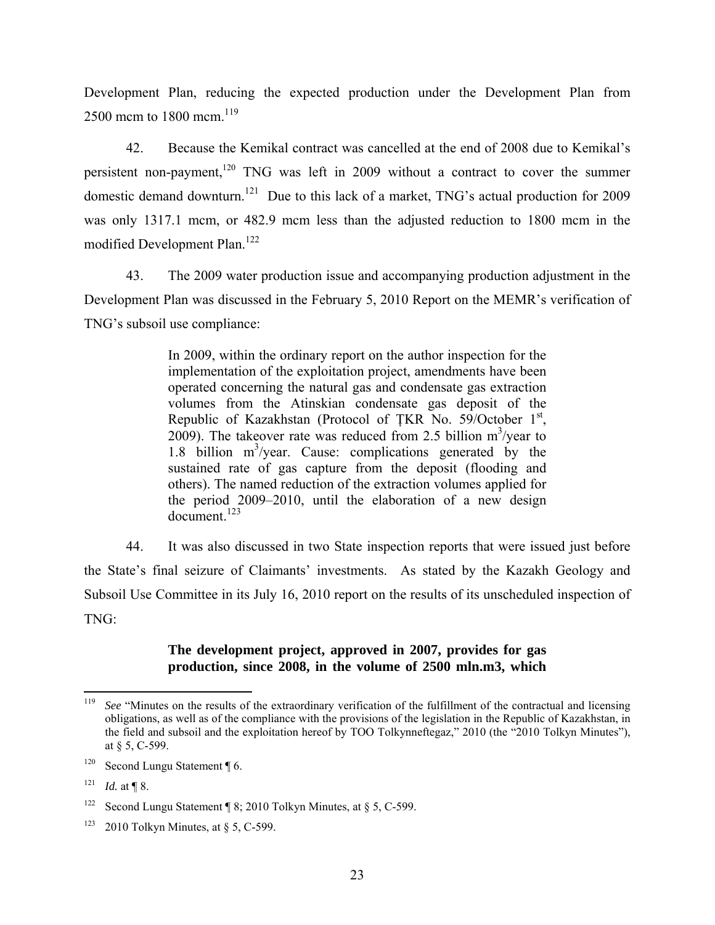Development Plan, reducing the expected production under the Development Plan from 2500 mcm to 1800 mcm.<sup>119</sup>

42. Because the Kemikal contract was cancelled at the end of 2008 due to Kemikal's persistent non-payment,<sup>120</sup> TNG was left in 2009 without a contract to cover the summer domestic demand downturn.<sup>121</sup> Due to this lack of a market, TNG's actual production for 2009 was only 1317.1 mcm, or 482.9 mcm less than the adjusted reduction to 1800 mcm in the modified Development Plan.<sup>122</sup>

43. The 2009 water production issue and accompanying production adjustment in the Development Plan was discussed in the February 5, 2010 Report on the MEMR's verification of TNG's subsoil use compliance:

> In 2009, within the ordinary report on the author inspection for the implementation of the exploitation project, amendments have been operated concerning the natural gas and condensate gas extraction volumes from the Atinskian condensate gas deposit of the Republic of Kazakhstan (Protocol of TKR No. 59/October  $1<sup>st</sup>$ , 2009). The takeover rate was reduced from 2.5 billion  $m^3$ /year to 1.8 billion  $m^3$ /year. Cause: complications generated by the sustained rate of gas capture from the deposit (flooding and others). The named reduction of the extraction volumes applied for the period 2009–2010, until the elaboration of a new design document.<sup>123</sup>

44. It was also discussed in two State inspection reports that were issued just before the State's final seizure of Claimants' investments. As stated by the Kazakh Geology and Subsoil Use Committee in its July 16, 2010 report on the results of its unscheduled inspection of TNG:

#### **The development project, approved in 2007, provides for gas production, since 2008, in the volume of 2500 mln.m3, which**

<sup>119</sup> 119 *See* "Minutes on the results of the extraordinary verification of the fulfillment of the contractual and licensing obligations, as well as of the compliance with the provisions of the legislation in the Republic of Kazakhstan, in the field and subsoil and the exploitation hereof by TOO Tolkynneftegaz," 2010 (the "2010 Tolkyn Minutes"), at § 5, C-599.

<sup>&</sup>lt;sup>120</sup> Second Lungu Statement  $\P$  6.

 $121$  *Id.* at ¶ 8.

<sup>&</sup>lt;sup>122</sup> Second Lungu Statement ¶ 8; 2010 Tolkyn Minutes, at § 5, C-599.

<sup>&</sup>lt;sup>123</sup> 2010 Tolkyn Minutes, at  $\S$  5, C-599.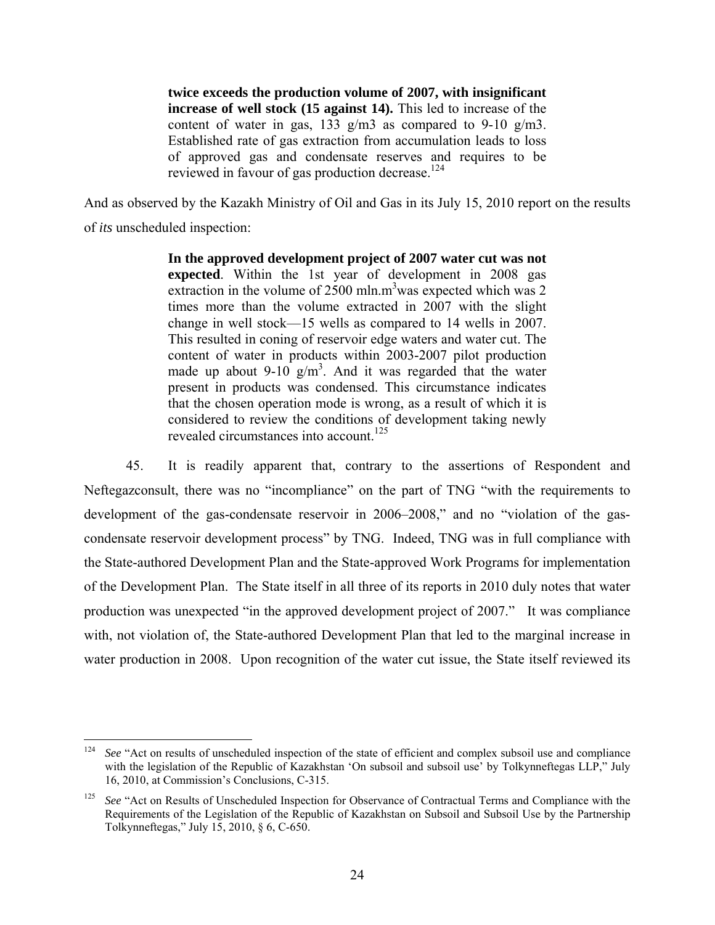**twice exceeds the production volume of 2007, with insignificant increase of well stock (15 against 14).** This led to increase of the content of water in gas, 133 g/m3 as compared to 9-10 g/m3. Established rate of gas extraction from accumulation leads to loss of approved gas and condensate reserves and requires to be reviewed in favour of gas production decrease.<sup>124</sup>

And as observed by the Kazakh Ministry of Oil and Gas in its July 15, 2010 report on the results of *its* unscheduled inspection:

> **In the approved development project of 2007 water cut was not expected**. Within the 1st year of development in 2008 gas extraction in the volume of 2500 mln.m<sup>3</sup> was expected which was 2 times more than the volume extracted in 2007 with the slight change in well stock—15 wells as compared to 14 wells in 2007. This resulted in coning of reservoir edge waters and water cut. The content of water in products within 2003-2007 pilot production made up about 9-10  $g/m<sup>3</sup>$ . And it was regarded that the water present in products was condensed. This circumstance indicates that the chosen operation mode is wrong, as a result of which it is considered to review the conditions of development taking newly revealed circumstances into account<sup>125</sup>

45. It is readily apparent that, contrary to the assertions of Respondent and Neftegazconsult, there was no "incompliance" on the part of TNG "with the requirements to development of the gas-condensate reservoir in 2006–2008," and no "violation of the gascondensate reservoir development process" by TNG. Indeed, TNG was in full compliance with the State-authored Development Plan and the State-approved Work Programs for implementation of the Development Plan. The State itself in all three of its reports in 2010 duly notes that water production was unexpected "in the approved development project of 2007." It was compliance with, not violation of, the State-authored Development Plan that led to the marginal increase in water production in 2008. Upon recognition of the water cut issue, the State itself reviewed its

<sup>124</sup> See "Act on results of unscheduled inspection of the state of efficient and complex subsoil use and compliance with the legislation of the Republic of Kazakhstan 'On subsoil and subsoil use' by Tolkynneftegas LLP," July 16, 2010, at Commission's Conclusions, C-315.

<sup>&</sup>lt;sup>125</sup> *See* "Act on Results of Unscheduled Inspection for Observance of Contractual Terms and Compliance with the Requirements of the Legislation of the Republic of Kazakhstan on Subsoil and Subsoil Use by the Partnership Tolkynneftegas," July 15, 2010, § 6, C-650.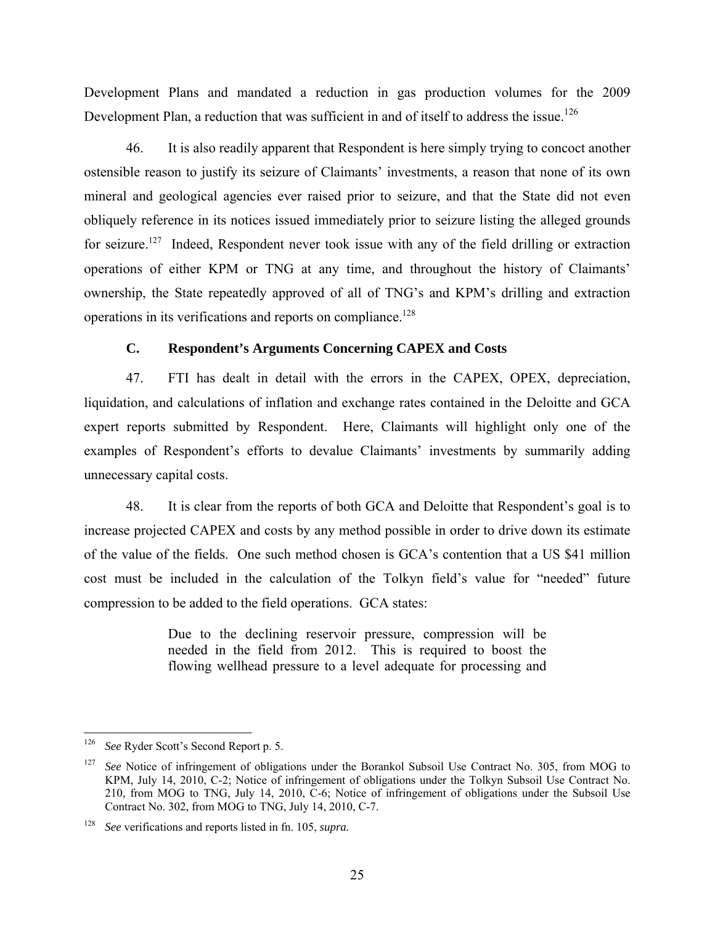Development Plans and mandated a reduction in gas production volumes for the 2009 Development Plan, a reduction that was sufficient in and of itself to address the issue.<sup>126</sup>

46. It is also readily apparent that Respondent is here simply trying to concoct another ostensible reason to justify its seizure of Claimants' investments, a reason that none of its own mineral and geological agencies ever raised prior to seizure, and that the State did not even obliquely reference in its notices issued immediately prior to seizure listing the alleged grounds for seizure.<sup>127</sup> Indeed, Respondent never took issue with any of the field drilling or extraction operations of either KPM or TNG at any time, and throughout the history of Claimants' ownership, the State repeatedly approved of all of TNG's and KPM's drilling and extraction operations in its verifications and reports on compliance.<sup>128</sup>

### **C. Respondent's Arguments Concerning CAPEX and Costs**

47. FTI has dealt in detail with the errors in the CAPEX, OPEX, depreciation, liquidation, and calculations of inflation and exchange rates contained in the Deloitte and GCA expert reports submitted by Respondent. Here, Claimants will highlight only one of the examples of Respondent's efforts to devalue Claimants' investments by summarily adding unnecessary capital costs.

48. It is clear from the reports of both GCA and Deloitte that Respondent's goal is to increase projected CAPEX and costs by any method possible in order to drive down its estimate of the value of the fields. One such method chosen is GCA's contention that a US \$41 million cost must be included in the calculation of the Tolkyn field's value for "needed" future compression to be added to the field operations. GCA states:

> Due to the declining reservoir pressure, compression will be needed in the field from 2012. This is required to boost the flowing wellhead pressure to a level adequate for processing and

 $\overline{a}$ 

<sup>126</sup> *See* Ryder Scott's Second Report p. 5.

<sup>&</sup>lt;sup>127</sup> *See* Notice of infringement of obligations under the Borankol Subsoil Use Contract No. 305, from MOG to KPM, July 14, 2010, C-2; Notice of infringement of obligations under the Tolkyn Subsoil Use Contract No. 210, from MOG to TNG, July 14, 2010, C-6; Notice of infringement of obligations under the Subsoil Use Contract No. 302, from MOG to TNG, July 14, 2010, C-7.

<sup>128</sup> *See* verifications and reports listed in fn. 105, *supra.*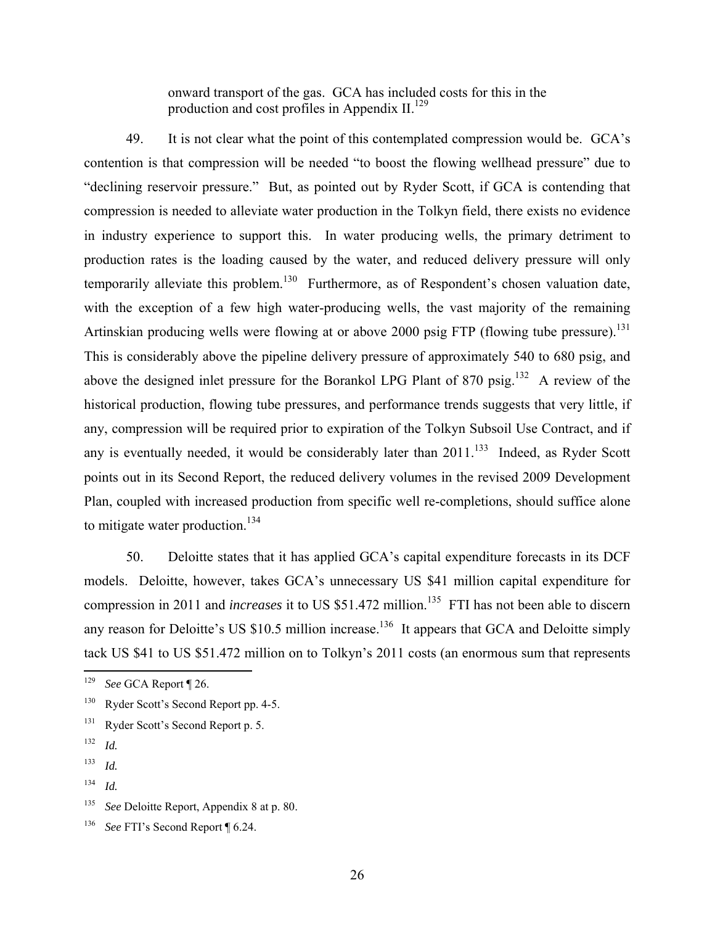onward transport of the gas. GCA has included costs for this in the production and cost profiles in Appendix  $II$ <sup>129</sup>

49. It is not clear what the point of this contemplated compression would be. GCA's contention is that compression will be needed "to boost the flowing wellhead pressure" due to "declining reservoir pressure." But, as pointed out by Ryder Scott, if GCA is contending that compression is needed to alleviate water production in the Tolkyn field, there exists no evidence in industry experience to support this. In water producing wells, the primary detriment to production rates is the loading caused by the water, and reduced delivery pressure will only temporarily alleviate this problem.<sup>130</sup> Furthermore, as of Respondent's chosen valuation date, with the exception of a few high water-producing wells, the vast majority of the remaining Artinskian producing wells were flowing at or above 2000 psig FTP (flowing tube pressure).<sup>131</sup> This is considerably above the pipeline delivery pressure of approximately 540 to 680 psig, and above the designed inlet pressure for the Borankol LPG Plant of 870 psig.<sup>132</sup> A review of the historical production, flowing tube pressures, and performance trends suggests that very little, if any, compression will be required prior to expiration of the Tolkyn Subsoil Use Contract, and if any is eventually needed, it would be considerably later than  $2011$ <sup>133</sup> Indeed, as Ryder Scott points out in its Second Report, the reduced delivery volumes in the revised 2009 Development Plan, coupled with increased production from specific well re-completions, should suffice alone to mitigate water production.<sup>134</sup>

50. Deloitte states that it has applied GCA's capital expenditure forecasts in its DCF models. Deloitte, however, takes GCA's unnecessary US \$41 million capital expenditure for compression in 2011 and *increases* it to US \$51.472 million.<sup>135</sup> FTI has not been able to discern any reason for Deloitte's US  $$10.5$  million increase.<sup>136</sup> It appears that GCA and Deloitte simply tack US \$41 to US \$51.472 million on to Tolkyn's 2011 costs (an enormous sum that represents

<sup>129</sup> See GCA Report ¶ 26.

<sup>&</sup>lt;sup>130</sup> Ryder Scott's Second Report pp. 4-5.

<sup>&</sup>lt;sup>131</sup> Ryder Scott's Second Report p. 5.

<sup>132</sup> *Id.*

<sup>133</sup> *Id.*

<sup>134</sup> *Id.*

<sup>135</sup> *See* Deloitte Report, Appendix 8 at p. 80.

<sup>136</sup> *See* FTI's Second Report ¶ 6.24.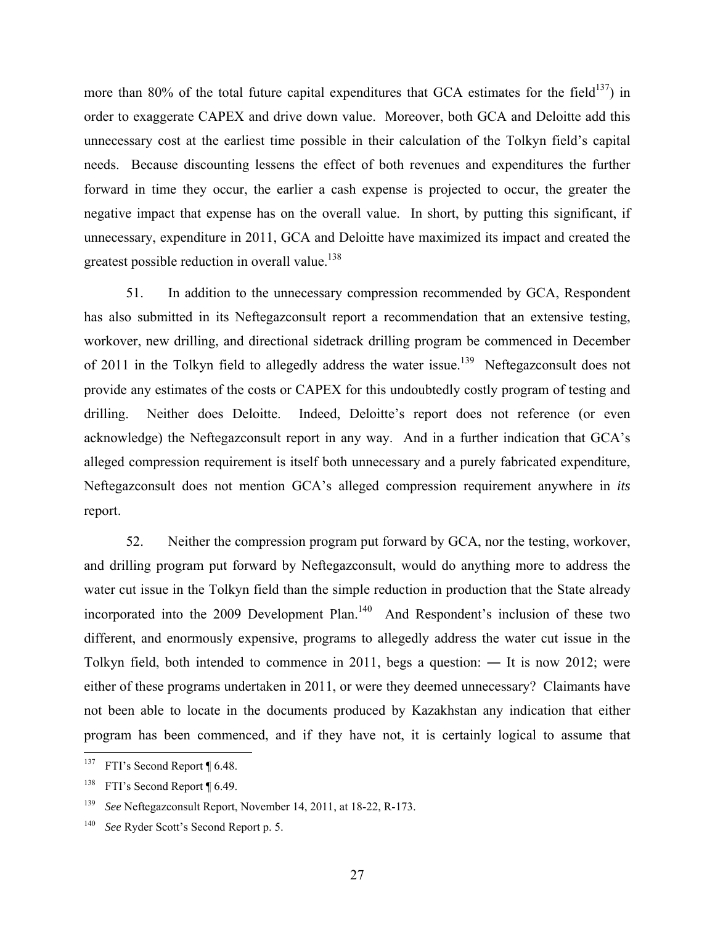more than 80% of the total future capital expenditures that GCA estimates for the field<sup>137</sup>) in order to exaggerate CAPEX and drive down value. Moreover, both GCA and Deloitte add this unnecessary cost at the earliest time possible in their calculation of the Tolkyn field's capital needs. Because discounting lessens the effect of both revenues and expenditures the further forward in time they occur, the earlier a cash expense is projected to occur, the greater the negative impact that expense has on the overall value. In short, by putting this significant, if unnecessary, expenditure in 2011, GCA and Deloitte have maximized its impact and created the greatest possible reduction in overall value.<sup>138</sup>

51. In addition to the unnecessary compression recommended by GCA, Respondent has also submitted in its Neftegazconsult report a recommendation that an extensive testing, workover, new drilling, and directional sidetrack drilling program be commenced in December of 2011 in the Tolkyn field to allegedly address the water issue.<sup>139</sup> Neftegazconsult does not provide any estimates of the costs or CAPEX for this undoubtedly costly program of testing and drilling. Neither does Deloitte. Indeed, Deloitte's report does not reference (or even acknowledge) the Neftegazconsult report in any way. And in a further indication that GCA's alleged compression requirement is itself both unnecessary and a purely fabricated expenditure, Neftegazconsult does not mention GCA's alleged compression requirement anywhere in *its* report.

52. Neither the compression program put forward by GCA, nor the testing, workover, and drilling program put forward by Neftegazconsult, would do anything more to address the water cut issue in the Tolkyn field than the simple reduction in production that the State already incorporated into the 2009 Development Plan.<sup>140</sup> And Respondent's inclusion of these two different, and enormously expensive, programs to allegedly address the water cut issue in the Tolkyn field, both intended to commence in 2011, begs a question: ― It is now 2012; were either of these programs undertaken in 2011, or were they deemed unnecessary? Claimants have not been able to locate in the documents produced by Kazakhstan any indication that either program has been commenced, and if they have not, it is certainly logical to assume that

<sup>137</sup> FTI's Second Report ¶ 6.48.

<sup>138</sup> FTI's Second Report ¶ 6.49.

<sup>139</sup> *See* Neftegazconsult Report, November 14, 2011, at 18-22, R-173.

<sup>140</sup> *See* Ryder Scott's Second Report p. 5.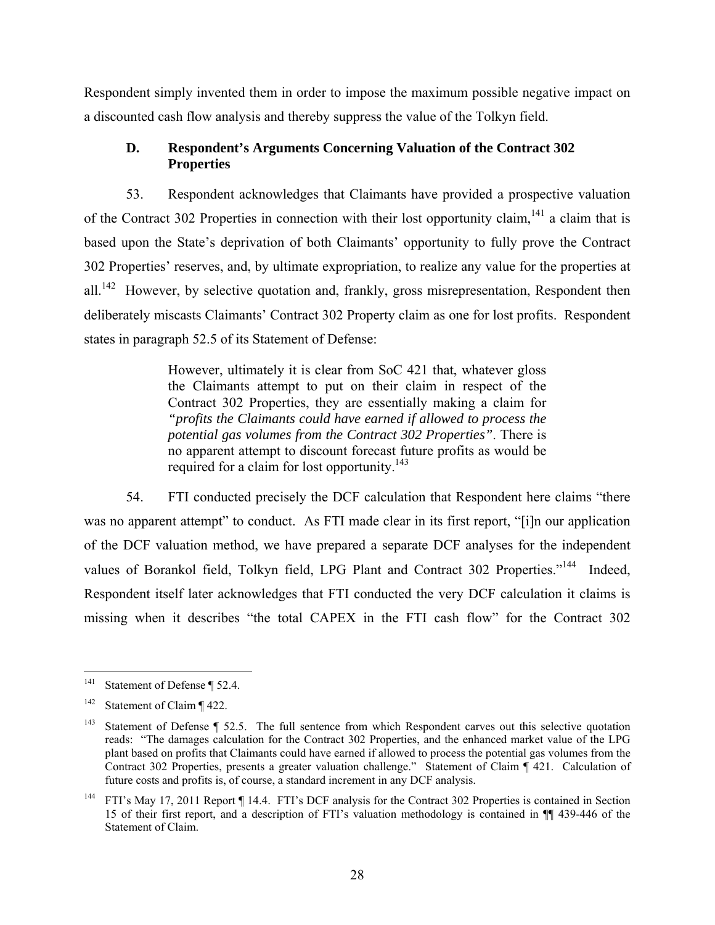Respondent simply invented them in order to impose the maximum possible negative impact on a discounted cash flow analysis and thereby suppress the value of the Tolkyn field.

# **D. Respondent's Arguments Concerning Valuation of the Contract 302 Properties**

53. Respondent acknowledges that Claimants have provided a prospective valuation of the Contract 302 Properties in connection with their lost opportunity claim,  $141$  a claim that is based upon the State's deprivation of both Claimants' opportunity to fully prove the Contract 302 Properties' reserves, and, by ultimate expropriation, to realize any value for the properties at all.<sup>142</sup> However, by selective quotation and, frankly, gross misrepresentation, Respondent then deliberately miscasts Claimants' Contract 302 Property claim as one for lost profits. Respondent states in paragraph 52.5 of its Statement of Defense:

> However, ultimately it is clear from SoC 421 that, whatever gloss the Claimants attempt to put on their claim in respect of the Contract 302 Properties, they are essentially making a claim for *"profits the Claimants could have earned if allowed to process the potential gas volumes from the Contract 302 Properties"*. There is no apparent attempt to discount forecast future profits as would be required for a claim for lost opportunity.<sup>143</sup>

54. FTI conducted precisely the DCF calculation that Respondent here claims "there was no apparent attempt" to conduct. As FTI made clear in its first report, "[i]n our application of the DCF valuation method, we have prepared a separate DCF analyses for the independent values of Borankol field, Tolkyn field, LPG Plant and Contract 302 Properties."<sup>144</sup> Indeed, Respondent itself later acknowledges that FTI conducted the very DCF calculation it claims is missing when it describes "the total CAPEX in the FTI cash flow" for the Contract 302

 $141$ Statement of Defense ¶ 52.4.

<sup>&</sup>lt;sup>142</sup> Statement of Claim  $\P$  422.

<sup>&</sup>lt;sup>143</sup> Statement of Defense ¶ 52.5. The full sentence from which Respondent carves out this selective quotation reads: "The damages calculation for the Contract 302 Properties, and the enhanced market value of the LPG plant based on profits that Claimants could have earned if allowed to process the potential gas volumes from the Contract 302 Properties, presents a greater valuation challenge." Statement of Claim ¶ 421. Calculation of future costs and profits is, of course, a standard increment in any DCF analysis.

<sup>&</sup>lt;sup>144</sup> FTI's May 17, 2011 Report ¶ 14.4. FTI's DCF analysis for the Contract 302 Properties is contained in Section 15 of their first report, and a description of FTI's valuation methodology is contained in ¶¶ 439-446 of the Statement of Claim.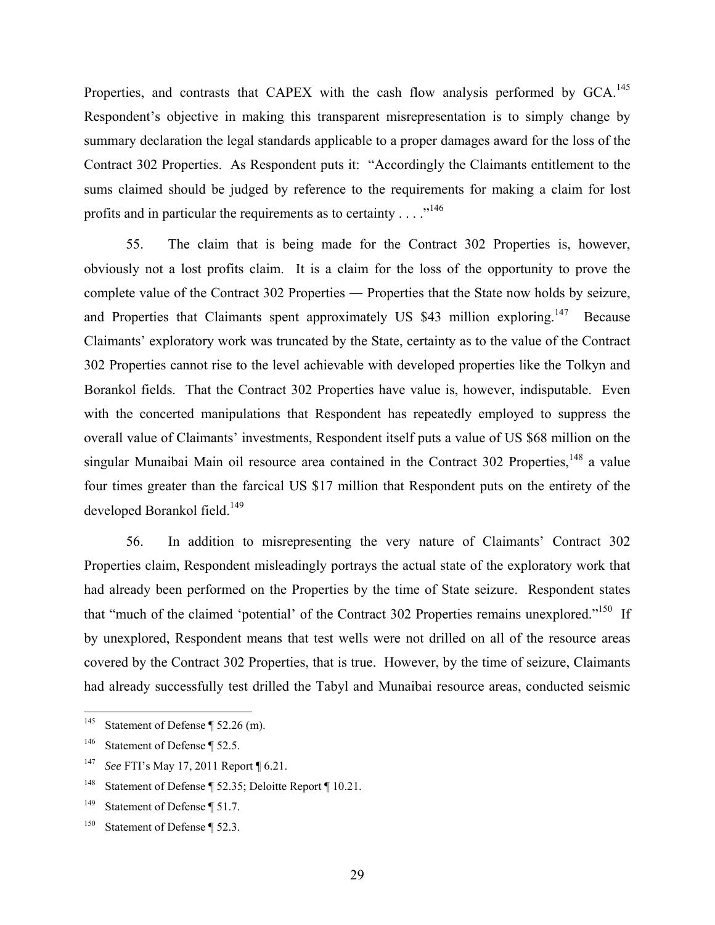Properties, and contrasts that CAPEX with the cash flow analysis performed by GCA.<sup>145</sup> Respondent's objective in making this transparent misrepresentation is to simply change by summary declaration the legal standards applicable to a proper damages award for the loss of the Contract 302 Properties. As Respondent puts it: "Accordingly the Claimants entitlement to the sums claimed should be judged by reference to the requirements for making a claim for lost profits and in particular the requirements as to certainty  $\dots$ <sup>146</sup>

55. The claim that is being made for the Contract 302 Properties is, however, obviously not a lost profits claim. It is a claim for the loss of the opportunity to prove the complete value of the Contract 302 Properties ― Properties that the State now holds by seizure, and Properties that Claimants spent approximately US \$43 million exploring.<sup>147</sup> Because Claimants' exploratory work was truncated by the State, certainty as to the value of the Contract 302 Properties cannot rise to the level achievable with developed properties like the Tolkyn and Borankol fields. That the Contract 302 Properties have value is, however, indisputable. Even with the concerted manipulations that Respondent has repeatedly employed to suppress the overall value of Claimants' investments, Respondent itself puts a value of US \$68 million on the singular Munaibai Main oil resource area contained in the Contract  $302$  Properties, <sup>148</sup> a value four times greater than the farcical US \$17 million that Respondent puts on the entirety of the developed Borankol field.<sup>149</sup>

56. In addition to misrepresenting the very nature of Claimants' Contract 302 Properties claim, Respondent misleadingly portrays the actual state of the exploratory work that had already been performed on the Properties by the time of State seizure. Respondent states that "much of the claimed 'potential' of the Contract 302 Properties remains unexplored."<sup>150</sup> If by unexplored, Respondent means that test wells were not drilled on all of the resource areas covered by the Contract 302 Properties, that is true. However, by the time of seizure, Claimants had already successfully test drilled the Tabyl and Munaibai resource areas, conducted seismic

<sup>145</sup> Statement of Defense ¶ 52.26 (m).

<sup>&</sup>lt;sup>146</sup> Statement of Defense ¶ 52.5.

<sup>147</sup> *See* FTI's May 17, 2011 Report ¶ 6.21.

<sup>148</sup> Statement of Defense ¶ 52.35; Deloitte Report ¶ 10.21.

<sup>&</sup>lt;sup>149</sup> Statement of Defense ¶ 51.7.

<sup>150</sup> Statement of Defense ¶ 52.3.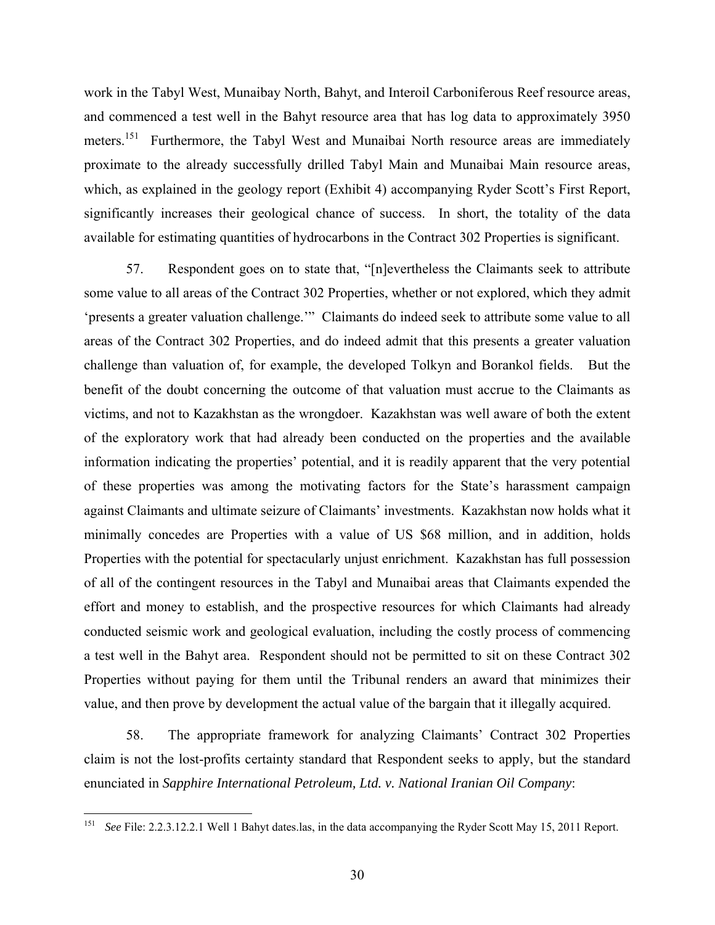work in the Tabyl West, Munaibay North, Bahyt, and Interoil Carboniferous Reef resource areas, and commenced a test well in the Bahyt resource area that has log data to approximately 3950 meters.<sup>151</sup> Furthermore, the Tabyl West and Munaibai North resource areas are immediately proximate to the already successfully drilled Tabyl Main and Munaibai Main resource areas, which, as explained in the geology report (Exhibit 4) accompanying Ryder Scott's First Report, significantly increases their geological chance of success. In short, the totality of the data available for estimating quantities of hydrocarbons in the Contract 302 Properties is significant.

57. Respondent goes on to state that, "[n]evertheless the Claimants seek to attribute some value to all areas of the Contract 302 Properties, whether or not explored, which they admit 'presents a greater valuation challenge.'" Claimants do indeed seek to attribute some value to all areas of the Contract 302 Properties, and do indeed admit that this presents a greater valuation challenge than valuation of, for example, the developed Tolkyn and Borankol fields. But the benefit of the doubt concerning the outcome of that valuation must accrue to the Claimants as victims, and not to Kazakhstan as the wrongdoer. Kazakhstan was well aware of both the extent of the exploratory work that had already been conducted on the properties and the available information indicating the properties' potential, and it is readily apparent that the very potential of these properties was among the motivating factors for the State's harassment campaign against Claimants and ultimate seizure of Claimants' investments. Kazakhstan now holds what it minimally concedes are Properties with a value of US \$68 million, and in addition, holds Properties with the potential for spectacularly unjust enrichment. Kazakhstan has full possession of all of the contingent resources in the Tabyl and Munaibai areas that Claimants expended the effort and money to establish, and the prospective resources for which Claimants had already conducted seismic work and geological evaluation, including the costly process of commencing a test well in the Bahyt area. Respondent should not be permitted to sit on these Contract 302 Properties without paying for them until the Tribunal renders an award that minimizes their value, and then prove by development the actual value of the bargain that it illegally acquired.

58. The appropriate framework for analyzing Claimants' Contract 302 Properties claim is not the lost-profits certainty standard that Respondent seeks to apply, but the standard enunciated in *Sapphire International Petroleum, Ltd. v. National Iranian Oil Company*:

<sup>151</sup> See File: 2.2.3.12.2.1 Well 1 Bahyt dates.las, in the data accompanying the Ryder Scott May 15, 2011 Report.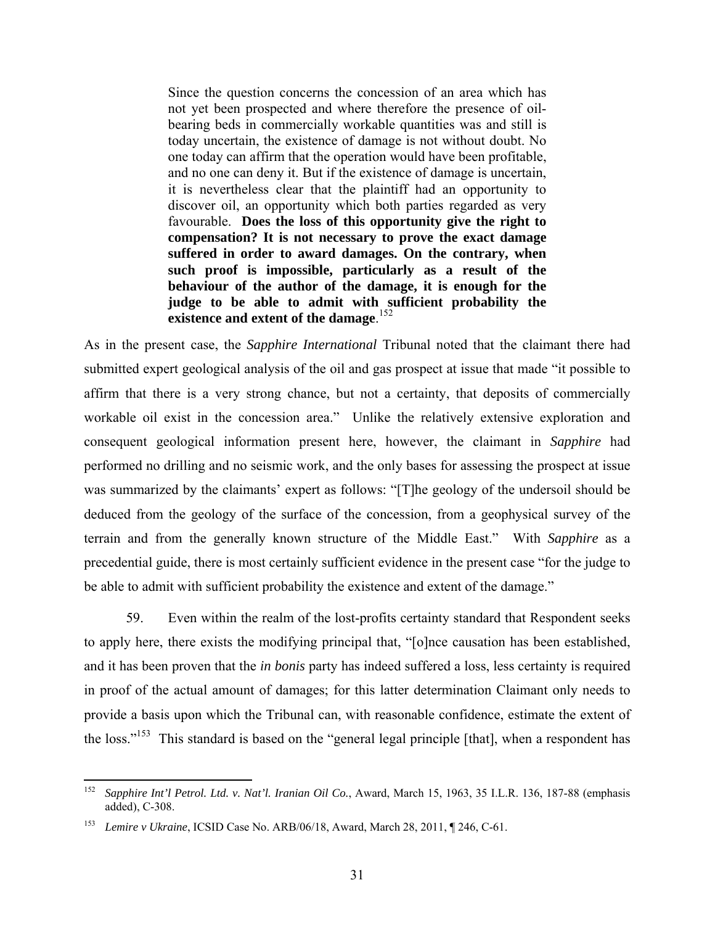Since the question concerns the concession of an area which has not yet been prospected and where therefore the presence of oilbearing beds in commercially workable quantities was and still is today uncertain, the existence of damage is not without doubt. No one today can affirm that the operation would have been profitable, and no one can deny it. But if the existence of damage is uncertain, it is nevertheless clear that the plaintiff had an opportunity to discover oil, an opportunity which both parties regarded as very favourable. **Does the loss of this opportunity give the right to compensation? It is not necessary to prove the exact damage suffered in order to award damages. On the contrary, when such proof is impossible, particularly as a result of the behaviour of the author of the damage, it is enough for the judge to be able to admit with sufficient probability the existence and extent of the damage**. 152

As in the present case, the *Sapphire International* Tribunal noted that the claimant there had submitted expert geological analysis of the oil and gas prospect at issue that made "it possible to affirm that there is a very strong chance, but not a certainty, that deposits of commercially workable oil exist in the concession area." Unlike the relatively extensive exploration and consequent geological information present here, however, the claimant in *Sapphire* had performed no drilling and no seismic work, and the only bases for assessing the prospect at issue was summarized by the claimants' expert as follows: "[T]he geology of the undersoil should be deduced from the geology of the surface of the concession, from a geophysical survey of the terrain and from the generally known structure of the Middle East." With *Sapphire* as a precedential guide, there is most certainly sufficient evidence in the present case "for the judge to be able to admit with sufficient probability the existence and extent of the damage."

59. Even within the realm of the lost-profits certainty standard that Respondent seeks to apply here, there exists the modifying principal that, "[o]nce causation has been established, and it has been proven that the *in bonis* party has indeed suffered a loss, less certainty is required in proof of the actual amount of damages; for this latter determination Claimant only needs to provide a basis upon which the Tribunal can, with reasonable confidence, estimate the extent of the loss."<sup>153</sup> This standard is based on the "general legal principle [that], when a respondent has

<sup>152</sup> 152 *Sapphire Int'l Petrol. Ltd. v. Nat'l. Iranian Oil Co.*, Award, March 15, 1963, 35 I.L.R. 136, 187-88 (emphasis added), C-308.

<sup>153</sup> *Lemire v Ukraine*, ICSID Case No. ARB/06/18, Award, March 28, 2011, ¶ 246, C-61.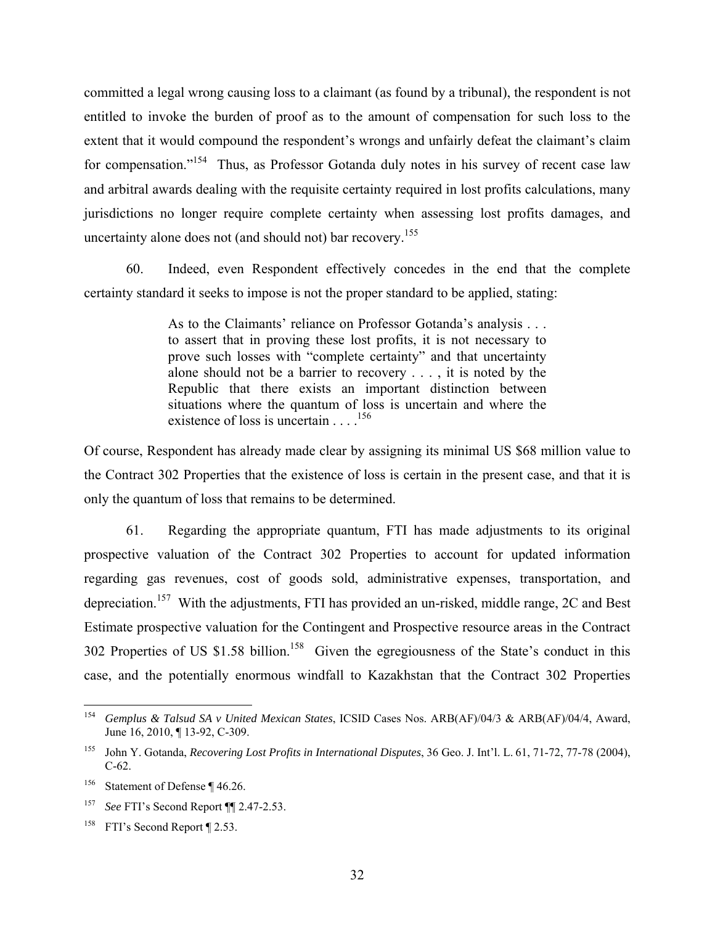committed a legal wrong causing loss to a claimant (as found by a tribunal), the respondent is not entitled to invoke the burden of proof as to the amount of compensation for such loss to the extent that it would compound the respondent's wrongs and unfairly defeat the claimant's claim for compensation."<sup>154</sup> Thus, as Professor Gotanda duly notes in his survey of recent case law and arbitral awards dealing with the requisite certainty required in lost profits calculations, many jurisdictions no longer require complete certainty when assessing lost profits damages, and uncertainty alone does not (and should not) bar recovery.<sup>155</sup>

60. Indeed, even Respondent effectively concedes in the end that the complete certainty standard it seeks to impose is not the proper standard to be applied, stating:

> As to the Claimants' reliance on Professor Gotanda's analysis . . . to assert that in proving these lost profits, it is not necessary to prove such losses with "complete certainty" and that uncertainty alone should not be a barrier to recovery . . . , it is noted by the Republic that there exists an important distinction between situations where the quantum of loss is uncertain and where the existence of loss is uncertain . . . .156

Of course, Respondent has already made clear by assigning its minimal US \$68 million value to the Contract 302 Properties that the existence of loss is certain in the present case, and that it is only the quantum of loss that remains to be determined.

61. Regarding the appropriate quantum, FTI has made adjustments to its original prospective valuation of the Contract 302 Properties to account for updated information regarding gas revenues, cost of goods sold, administrative expenses, transportation, and depreciation.<sup>157</sup> With the adjustments, FTI has provided an un-risked, middle range, 2C and Best Estimate prospective valuation for the Contingent and Prospective resource areas in the Contract 302 Properties of US \$1.58 billion.<sup>158</sup> Given the egregiousness of the State's conduct in this case, and the potentially enormous windfall to Kazakhstan that the Contract 302 Properties

<sup>154</sup> 154 *Gemplus & Talsud SA v United Mexican States*, ICSID Cases Nos. ARB(AF)/04/3 & ARB(AF)/04/4, Award, June 16, 2010, ¶ 13-92, C-309.

<sup>155</sup> John Y. Gotanda, *Recovering Lost Profits in International Disputes*, 36 Geo. J. Int'l. L. 61, 71-72, 77-78 (2004), C-62.

<sup>156</sup> Statement of Defense ¶ 46.26.

<sup>157</sup> *See* FTI's Second Report ¶¶ 2.47-2.53.

<sup>&</sup>lt;sup>158</sup> FTI's Second Report ¶ 2.53.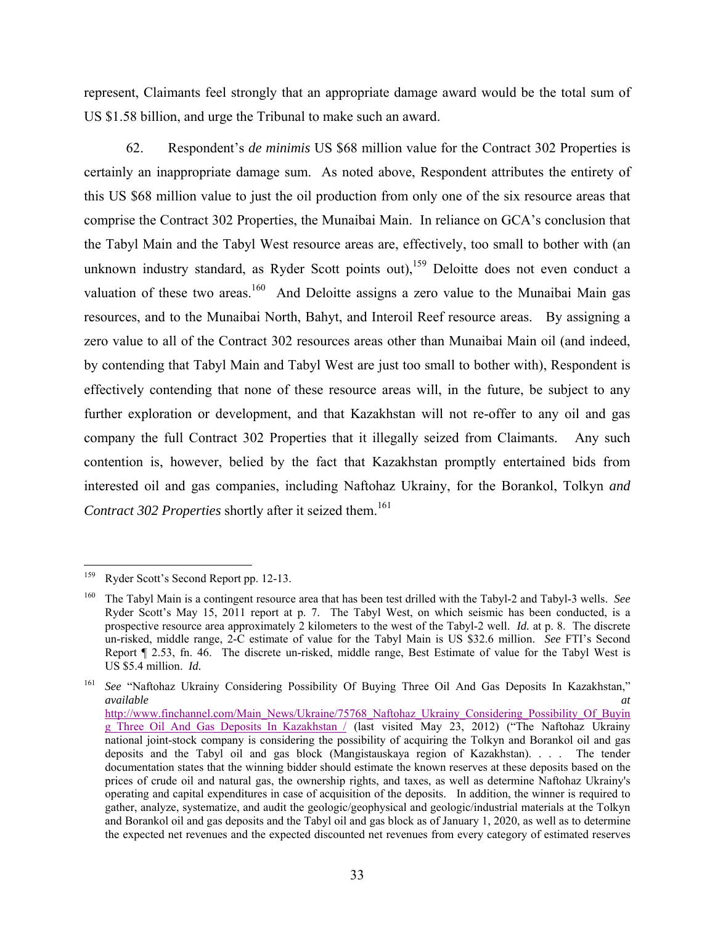represent, Claimants feel strongly that an appropriate damage award would be the total sum of US \$1.58 billion, and urge the Tribunal to make such an award.

62. Respondent's *de minimis* US \$68 million value for the Contract 302 Properties is certainly an inappropriate damage sum. As noted above, Respondent attributes the entirety of this US \$68 million value to just the oil production from only one of the six resource areas that comprise the Contract 302 Properties, the Munaibai Main. In reliance on GCA's conclusion that the Tabyl Main and the Tabyl West resource areas are, effectively, too small to bother with (an unknown industry standard, as Ryder Scott points out),<sup>159</sup> Deloitte does not even conduct a valuation of these two areas.<sup>160</sup> And Deloitte assigns a zero value to the Munaibai Main gas resources, and to the Munaibai North, Bahyt, and Interoil Reef resource areas. By assigning a zero value to all of the Contract 302 resources areas other than Munaibai Main oil (and indeed, by contending that Tabyl Main and Tabyl West are just too small to bother with), Respondent is effectively contending that none of these resource areas will, in the future, be subject to any further exploration or development, and that Kazakhstan will not re-offer to any oil and gas company the full Contract 302 Properties that it illegally seized from Claimants. Any such contention is, however, belied by the fact that Kazakhstan promptly entertained bids from interested oil and gas companies, including Naftohaz Ukrainy, for the Borankol, Tolkyn *and Contract 302 Properties* shortly after it seized them.<sup>161</sup>

<sup>161</sup> See "Naftohaz Ukrainy Considering Possibility Of Buying Three Oil And Gas Deposits In Kazakhstan," *available at*

<sup>159</sup> Ryder Scott's Second Report pp. 12-13.

<sup>160</sup> The Tabyl Main is a contingent resource area that has been test drilled with the Tabyl-2 and Tabyl-3 wells. *See*  Ryder Scott's May 15, 2011 report at p. 7. The Tabyl West, on which seismic has been conducted, is a prospective resource area approximately 2 kilometers to the west of the Tabyl-2 well. *Id.* at p. 8. The discrete un-risked, middle range, 2-C estimate of value for the Tabyl Main is US \$32.6 million. *See* FTI's Second Report ¶ 2.53, fn. 46. The discrete un-risked, middle range, Best Estimate of value for the Tabyl West is US \$5.4 million. *Id.*

http://www.finchannel.com/Main\_News/Ukraine/75768\_Naftohaz\_Ukrainy\_Considering\_Possibility\_Of\_Buyin g\_Three\_Oil\_And\_Gas\_Deposits\_In\_Kazakhstan / (last visited May 23, 2012) ("The Naftohaz Ukrainy national joint-stock company is considering the possibility of acquiring the Tolkyn and Borankol oil and gas deposits and the Tabyl oil and gas block (Mangistauskaya region of Kazakhstan). . . . The tender documentation states that the winning bidder should estimate the known reserves at these deposits based on the prices of crude oil and natural gas, the ownership rights, and taxes, as well as determine Naftohaz Ukrainy's operating and capital expenditures in case of acquisition of the deposits. In addition, the winner is required to gather, analyze, systematize, and audit the geologic/geophysical and geologic/industrial materials at the Tolkyn and Borankol oil and gas deposits and the Tabyl oil and gas block as of January 1, 2020, as well as to determine the expected net revenues and the expected discounted net revenues from every category of estimated reserves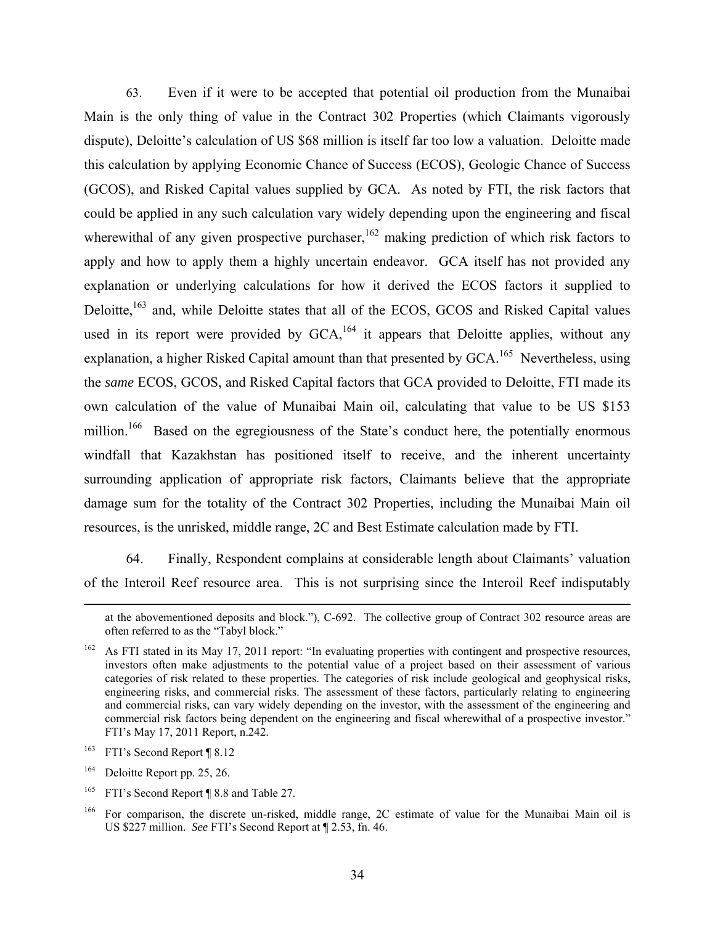63. Even if it were to be accepted that potential oil production from the Munaibai Main is the only thing of value in the Contract 302 Properties (which Claimants vigorously dispute), Deloitte's calculation of US \$68 million is itself far too low a valuation. Deloitte made this calculation by applying Economic Chance of Success (ECOS), Geologic Chance of Success (GCOS), and Risked Capital values supplied by GCA. As noted by FTI, the risk factors that could be applied in any such calculation vary widely depending upon the engineering and fiscal wherewithal of any given prospective purchaser,  $162$  making prediction of which risk factors to apply and how to apply them a highly uncertain endeavor. GCA itself has not provided any explanation or underlying calculations for how it derived the ECOS factors it supplied to Deloitte,<sup>163</sup> and, while Deloitte states that all of the ECOS, GCOS and Risked Capital values used in its report were provided by  $GCA$ ,  $^{164}$  it appears that Deloitte applies, without any explanation, a higher Risked Capital amount than that presented by GCA.<sup>165</sup> Nevertheless, using the *same* ECOS, GCOS, and Risked Capital factors that GCA provided to Deloitte, FTI made its own calculation of the value of Munaibai Main oil, calculating that value to be US \$153 million.<sup>166</sup> Based on the egregiousness of the State's conduct here, the potentially enormous windfall that Kazakhstan has positioned itself to receive, and the inherent uncertainty surrounding application of appropriate risk factors, Claimants believe that the appropriate damage sum for the totality of the Contract 302 Properties, including the Munaibai Main oil resources, is the unrisked, middle range, 2C and Best Estimate calculation made by FTI.

64. Finally, Respondent complains at considerable length about Claimants' valuation of the Interoil Reef resource area. This is not surprising since the Interoil Reef indisputably

<sup>165</sup> FTI's Second Report ¶ 8.8 and Table 27.

at the abovementioned deposits and block."), C-692. The collective group of Contract 302 resource areas are often referred to as the "Tabyl block."

As FTI stated in its May 17, 2011 report: "In evaluating properties with contingent and prospective resources, investors often make adjustments to the potential value of a project based on their assessment of various categories of risk related to these properties. The categories of risk include geological and geophysical risks, engineering risks, and commercial risks. The assessment of these factors, particularly relating to engineering and commercial risks, can vary widely depending on the investor, with the assessment of the engineering and commercial risk factors being dependent on the engineering and fiscal wherewithal of a prospective investor." FTI's May 17, 2011 Report, n.242.

<sup>&</sup>lt;sup>163</sup> FTI's Second Report ¶ 8.12

<sup>164</sup> Deloitte Report pp. 25, 26.

<sup>&</sup>lt;sup>166</sup> For comparison, the discrete un-risked, middle range, 2C estimate of value for the Munaibai Main oil is US \$227 million. *See* FTI's Second Report at ¶ 2.53, fn. 46.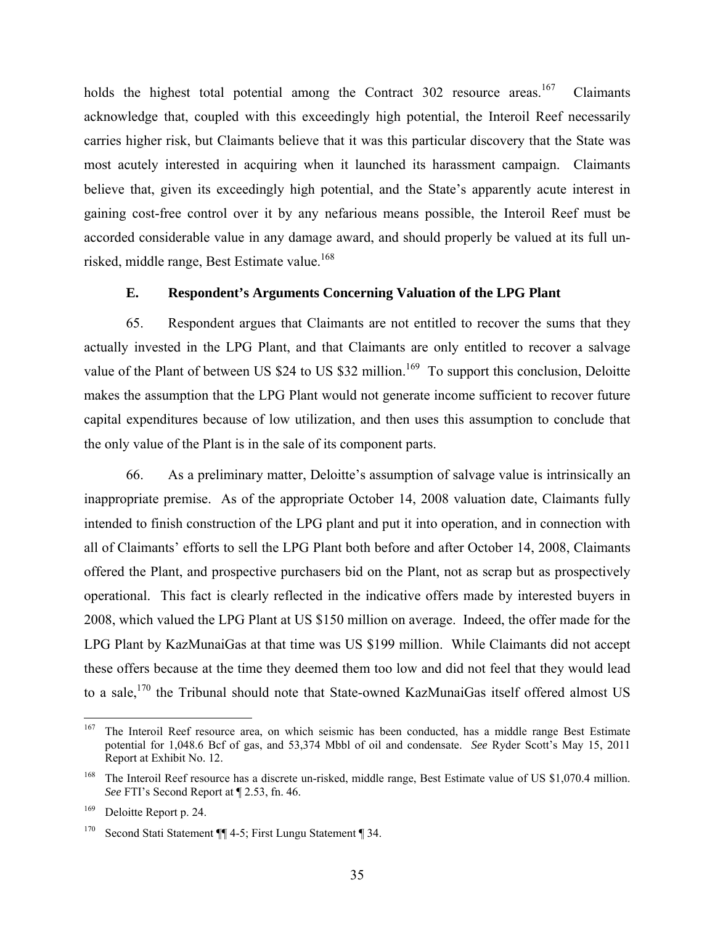holds the highest total potential among the Contract 302 resource areas.<sup>167</sup> Claimants acknowledge that, coupled with this exceedingly high potential, the Interoil Reef necessarily carries higher risk, but Claimants believe that it was this particular discovery that the State was most acutely interested in acquiring when it launched its harassment campaign. Claimants believe that, given its exceedingly high potential, and the State's apparently acute interest in gaining cost-free control over it by any nefarious means possible, the Interoil Reef must be accorded considerable value in any damage award, and should properly be valued at its full unrisked, middle range, Best Estimate value.<sup>168</sup>

#### **E. Respondent's Arguments Concerning Valuation of the LPG Plant**

65. Respondent argues that Claimants are not entitled to recover the sums that they actually invested in the LPG Plant, and that Claimants are only entitled to recover a salvage value of the Plant of between US \$24 to US \$32 million.<sup>169</sup> To support this conclusion, Deloitte makes the assumption that the LPG Plant would not generate income sufficient to recover future capital expenditures because of low utilization, and then uses this assumption to conclude that the only value of the Plant is in the sale of its component parts.

66. As a preliminary matter, Deloitte's assumption of salvage value is intrinsically an inappropriate premise. As of the appropriate October 14, 2008 valuation date, Claimants fully intended to finish construction of the LPG plant and put it into operation, and in connection with all of Claimants' efforts to sell the LPG Plant both before and after October 14, 2008, Claimants offered the Plant, and prospective purchasers bid on the Plant, not as scrap but as prospectively operational. This fact is clearly reflected in the indicative offers made by interested buyers in 2008, which valued the LPG Plant at US \$150 million on average. Indeed, the offer made for the LPG Plant by KazMunaiGas at that time was US \$199 million. While Claimants did not accept these offers because at the time they deemed them too low and did not feel that they would lead to a sale,<sup>170</sup> the Tribunal should note that State-owned KazMunaiGas itself offered almost US

<sup>167</sup> 167 The Interoil Reef resource area, on which seismic has been conducted, has a middle range Best Estimate potential for 1,048.6 Bcf of gas, and 53,374 Mbbl of oil and condensate. *See* Ryder Scott's May 15, 2011 Report at Exhibit No. 12.

<sup>&</sup>lt;sup>168</sup> The Interoil Reef resource has a discrete un-risked, middle range, Best Estimate value of US \$1,070.4 million. *See* FTI's Second Report at ¶ 2.53, fn. 46.

<sup>&</sup>lt;sup>169</sup> Deloitte Report p. 24.

<sup>170</sup> Second Stati Statement ¶¶ 4-5; First Lungu Statement ¶ 34.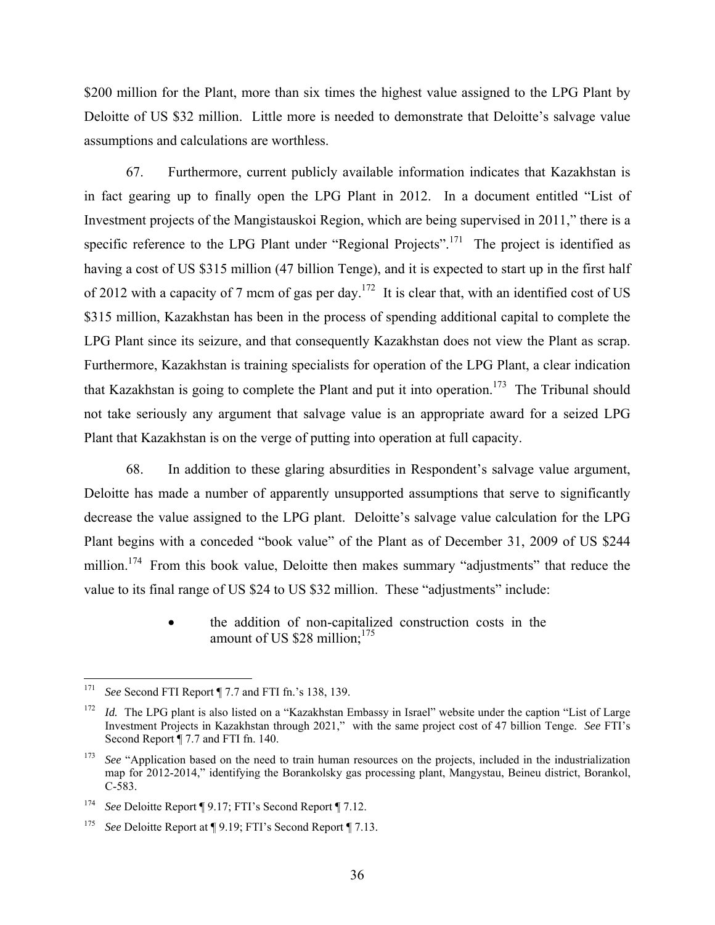\$200 million for the Plant, more than six times the highest value assigned to the LPG Plant by Deloitte of US \$32 million. Little more is needed to demonstrate that Deloitte's salvage value assumptions and calculations are worthless.

67. Furthermore, current publicly available information indicates that Kazakhstan is in fact gearing up to finally open the LPG Plant in 2012. In a document entitled "List of Investment projects of the Mangistauskoi Region, which are being supervised in 2011," there is a specific reference to the LPG Plant under "Regional Projects".<sup>171</sup> The project is identified as having a cost of US \$315 million (47 billion Tenge), and it is expected to start up in the first half of 2012 with a capacity of 7 mcm of gas per day.<sup>172</sup> It is clear that, with an identified cost of US \$315 million, Kazakhstan has been in the process of spending additional capital to complete the LPG Plant since its seizure, and that consequently Kazakhstan does not view the Plant as scrap. Furthermore, Kazakhstan is training specialists for operation of the LPG Plant, a clear indication that Kazakhstan is going to complete the Plant and put it into operation.<sup>173</sup> The Tribunal should not take seriously any argument that salvage value is an appropriate award for a seized LPG Plant that Kazakhstan is on the verge of putting into operation at full capacity.

68. In addition to these glaring absurdities in Respondent's salvage value argument, Deloitte has made a number of apparently unsupported assumptions that serve to significantly decrease the value assigned to the LPG plant. Deloitte's salvage value calculation for the LPG Plant begins with a conceded "book value" of the Plant as of December 31, 2009 of US \$244 million.<sup>174</sup> From this book value, Deloitte then makes summary "adjustments" that reduce the value to its final range of US \$24 to US \$32 million. These "adjustments" include:

> the addition of non-capitalized construction costs in the amount of US \$28 million;<sup>175</sup>

<sup>171</sup> 171 *See* Second FTI Report ¶ 7.7 and FTI fn.'s 138, 139.

<sup>&</sup>lt;sup>172</sup> *Id.* The LPG plant is also listed on a "Kazakhstan Embassy in Israel" website under the caption "List of Large" Investment Projects in Kazakhstan through 2021," with the same project cost of 47 billion Tenge. *See* FTI's Second Report  $\P$  7.7 and FTI fn. 140.

<sup>&</sup>lt;sup>173</sup> *See* "Application based on the need to train human resources on the projects, included in the industrialization map for 2012-2014," identifying the Borankolsky gas processing plant, Mangystau, Beineu district, Borankol, C-583.

<sup>174</sup> *See* Deloitte Report ¶ 9.17; FTI's Second Report ¶ 7.12.

<sup>175</sup> *See* Deloitte Report at ¶ 9.19; FTI's Second Report ¶ 7.13.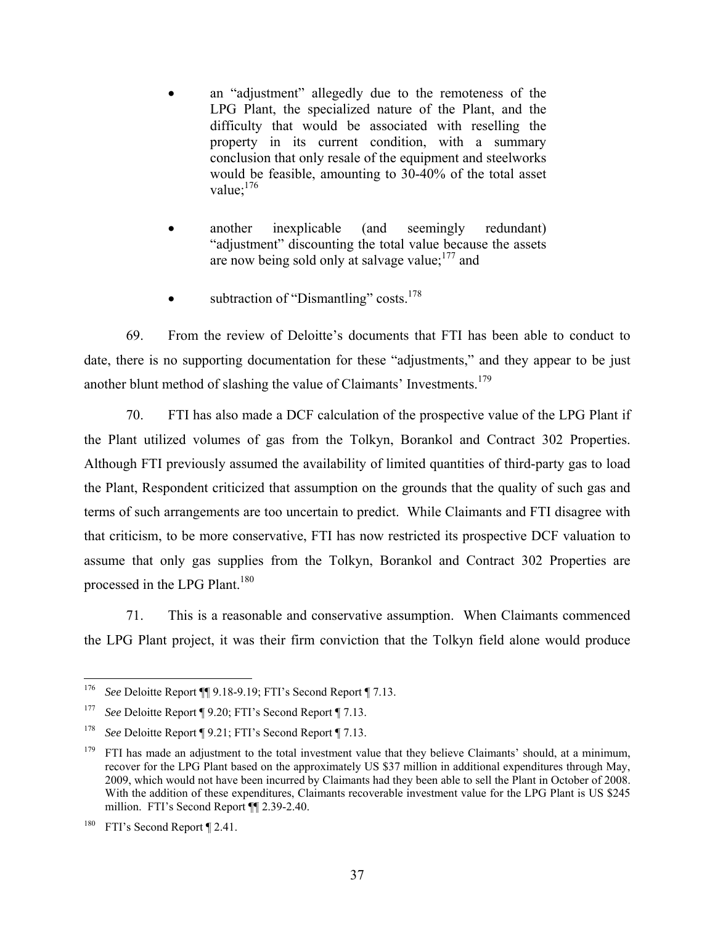- an "adjustment" allegedly due to the remoteness of the LPG Plant, the specialized nature of the Plant, and the difficulty that would be associated with reselling the property in its current condition, with a summary conclusion that only resale of the equipment and steelworks would be feasible, amounting to 30-40% of the total asset value:  $176$
- another inexplicable (and seemingly redundant) "adjustment" discounting the total value because the assets are now being sold only at salvage value; $177$  and
- subtraction of "Dismantling" costs.<sup>178</sup>

69. From the review of Deloitte's documents that FTI has been able to conduct to date, there is no supporting documentation for these "adjustments," and they appear to be just another blunt method of slashing the value of Claimants' Investments.179

70. FTI has also made a DCF calculation of the prospective value of the LPG Plant if the Plant utilized volumes of gas from the Tolkyn, Borankol and Contract 302 Properties. Although FTI previously assumed the availability of limited quantities of third-party gas to load the Plant, Respondent criticized that assumption on the grounds that the quality of such gas and terms of such arrangements are too uncertain to predict. While Claimants and FTI disagree with that criticism, to be more conservative, FTI has now restricted its prospective DCF valuation to assume that only gas supplies from the Tolkyn, Borankol and Contract 302 Properties are processed in the LPG Plant.<sup>180</sup>

71. This is a reasonable and conservative assumption. When Claimants commenced the LPG Plant project, it was their firm conviction that the Tolkyn field alone would produce

 $176\,$ See Deloitte Report ¶ 9.18-9.19; FTI's Second Report ¶ 7.13.

<sup>177</sup> *See* Deloitte Report ¶ 9.20; FTI's Second Report ¶ 7.13.

<sup>178</sup> *See* Deloitte Report ¶ 9.21; FTI's Second Report ¶ 7.13.

 $179$  FTI has made an adjustment to the total investment value that they believe Claimants' should, at a minimum, recover for the LPG Plant based on the approximately US \$37 million in additional expenditures through May, 2009, which would not have been incurred by Claimants had they been able to sell the Plant in October of 2008. With the addition of these expenditures, Claimants recoverable investment value for the LPG Plant is US \$245 million. FTI's Second Report ¶¶ 2.39-2.40.

<sup>&</sup>lt;sup>180</sup> FTI's Second Report ¶ 2.41.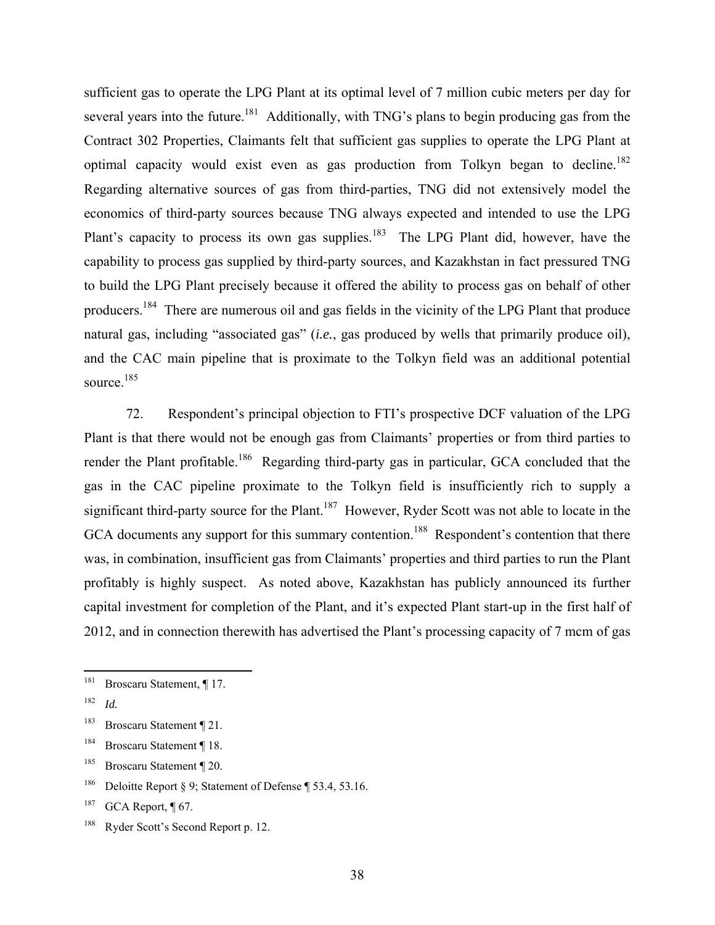sufficient gas to operate the LPG Plant at its optimal level of 7 million cubic meters per day for several years into the future.<sup>181</sup> Additionally, with TNG's plans to begin producing gas from the Contract 302 Properties, Claimants felt that sufficient gas supplies to operate the LPG Plant at optimal capacity would exist even as gas production from Tolkyn began to decline.<sup>182</sup> Regarding alternative sources of gas from third-parties, TNG did not extensively model the economics of third-party sources because TNG always expected and intended to use the LPG Plant's capacity to process its own gas supplies.<sup>183</sup> The LPG Plant did, however, have the capability to process gas supplied by third-party sources, and Kazakhstan in fact pressured TNG to build the LPG Plant precisely because it offered the ability to process gas on behalf of other producers.184 There are numerous oil and gas fields in the vicinity of the LPG Plant that produce natural gas, including "associated gas" (*i.e.*, gas produced by wells that primarily produce oil), and the CAC main pipeline that is proximate to the Tolkyn field was an additional potential source.<sup>185</sup>

72. Respondent's principal objection to FTI's prospective DCF valuation of the LPG Plant is that there would not be enough gas from Claimants' properties or from third parties to render the Plant profitable.<sup>186</sup> Regarding third-party gas in particular, GCA concluded that the gas in the CAC pipeline proximate to the Tolkyn field is insufficiently rich to supply a significant third-party source for the Plant.<sup>187</sup> However, Ryder Scott was not able to locate in the GCA documents any support for this summary contention.<sup>188</sup> Respondent's contention that there was, in combination, insufficient gas from Claimants' properties and third parties to run the Plant profitably is highly suspect. As noted above, Kazakhstan has publicly announced its further capital investment for completion of the Plant, and it's expected Plant start-up in the first half of 2012, and in connection therewith has advertised the Plant's processing capacity of 7 mcm of gas

 $181\,$ Broscaru Statement, ¶ 17.

<sup>182</sup> *Id.*

<sup>183</sup> Broscaru Statement ¶ 21.

<sup>184</sup> Broscaru Statement ¶ 18.

<sup>185</sup> Broscaru Statement ¶ 20.

<sup>&</sup>lt;sup>186</sup> Deloitte Report § 9; Statement of Defense ¶ 53.4, 53.16.

<sup>&</sup>lt;sup>187</sup> GCA Report,  $\P$  67.

<sup>188</sup> Ryder Scott's Second Report p. 12.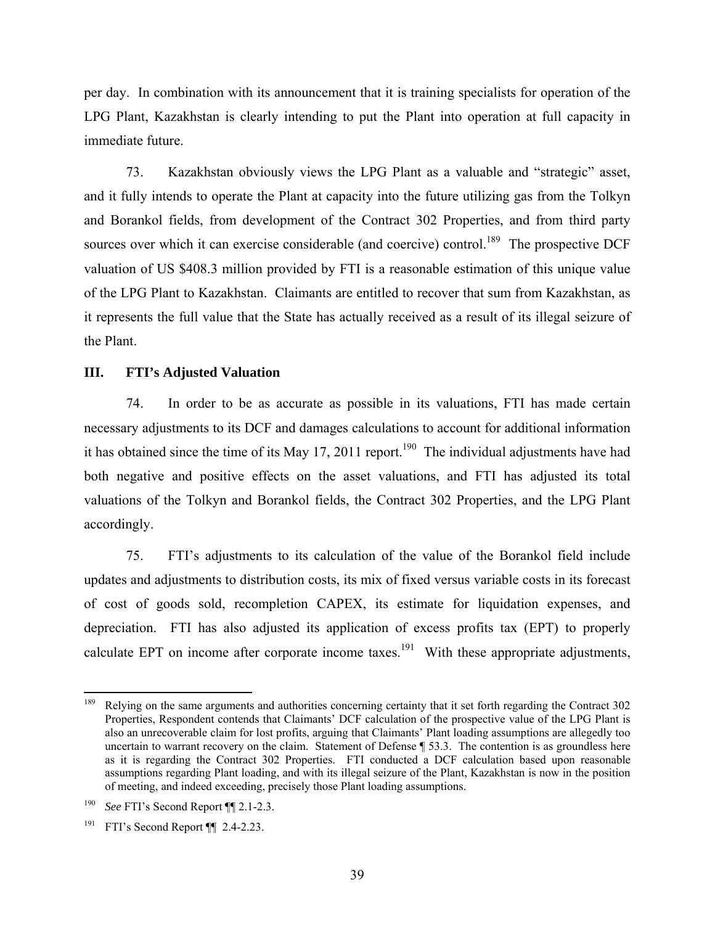per day. In combination with its announcement that it is training specialists for operation of the LPG Plant, Kazakhstan is clearly intending to put the Plant into operation at full capacity in immediate future.

73. Kazakhstan obviously views the LPG Plant as a valuable and "strategic" asset, and it fully intends to operate the Plant at capacity into the future utilizing gas from the Tolkyn and Borankol fields, from development of the Contract 302 Properties, and from third party sources over which it can exercise considerable (and coercive) control.<sup>189</sup> The prospective DCF valuation of US \$408.3 million provided by FTI is a reasonable estimation of this unique value of the LPG Plant to Kazakhstan. Claimants are entitled to recover that sum from Kazakhstan, as it represents the full value that the State has actually received as a result of its illegal seizure of the Plant.

#### **III. FTI's Adjusted Valuation**

74. In order to be as accurate as possible in its valuations, FTI has made certain necessary adjustments to its DCF and damages calculations to account for additional information it has obtained since the time of its May 17, 2011 report.<sup>190</sup> The individual adjustments have had both negative and positive effects on the asset valuations, and FTI has adjusted its total valuations of the Tolkyn and Borankol fields, the Contract 302 Properties, and the LPG Plant accordingly.

75. FTI's adjustments to its calculation of the value of the Borankol field include updates and adjustments to distribution costs, its mix of fixed versus variable costs in its forecast of cost of goods sold, recompletion CAPEX, its estimate for liquidation expenses, and depreciation. FTI has also adjusted its application of excess profits tax (EPT) to properly calculate EPT on income after corporate income taxes.<sup>191</sup> With these appropriate adjustments,

<sup>189</sup> 189 Relying on the same arguments and authorities concerning certainty that it set forth regarding the Contract 302 Properties, Respondent contends that Claimants' DCF calculation of the prospective value of the LPG Plant is also an unrecoverable claim for lost profits, arguing that Claimants' Plant loading assumptions are allegedly too uncertain to warrant recovery on the claim. Statement of Defense ¶ 53.3. The contention is as groundless here as it is regarding the Contract 302 Properties. FTI conducted a DCF calculation based upon reasonable assumptions regarding Plant loading, and with its illegal seizure of the Plant, Kazakhstan is now in the position of meeting, and indeed exceeding, precisely those Plant loading assumptions.

<sup>190</sup> *See* FTI's Second Report ¶¶ 2.1-2.3.

<sup>&</sup>lt;sup>191</sup> FTI's Second Report  $\P$  2.4-2.23.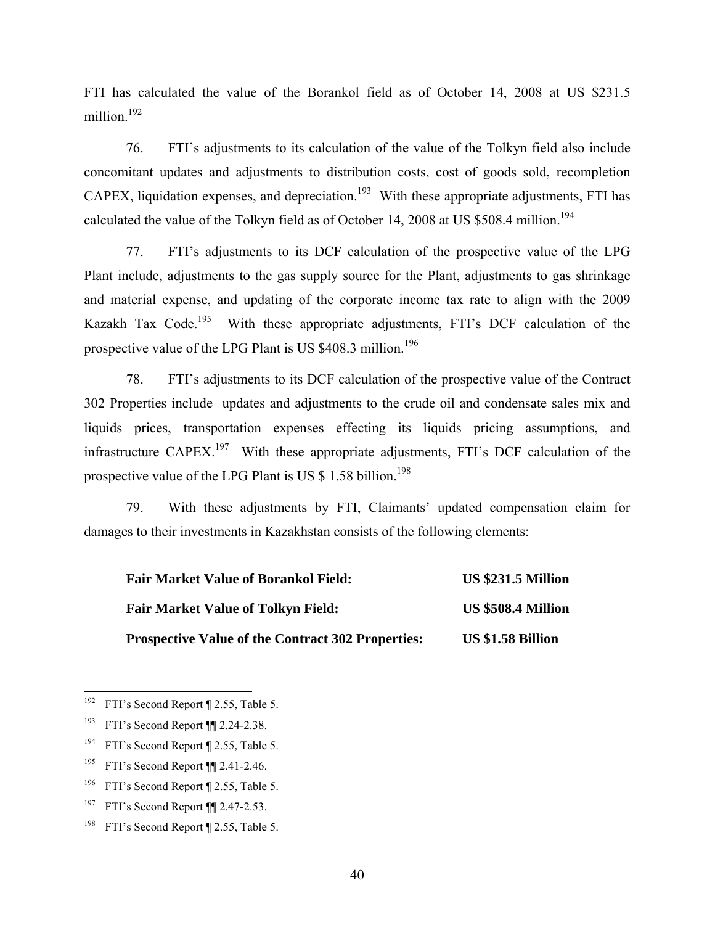FTI has calculated the value of the Borankol field as of October 14, 2008 at US \$231.5 million.<sup>192</sup>

76. FTI's adjustments to its calculation of the value of the Tolkyn field also include concomitant updates and adjustments to distribution costs, cost of goods sold, recompletion CAPEX, liquidation expenses, and depreciation.<sup>193</sup> With these appropriate adjustments, FTI has calculated the value of the Tolkyn field as of October 14, 2008 at US \$508.4 million.<sup>194</sup>

77. FTI's adjustments to its DCF calculation of the prospective value of the LPG Plant include, adjustments to the gas supply source for the Plant, adjustments to gas shrinkage and material expense, and updating of the corporate income tax rate to align with the 2009 Kazakh Tax Code.<sup>195</sup> With these appropriate adjustments, FTI's DCF calculation of the prospective value of the LPG Plant is US \$408.3 million.<sup>196</sup>

78. FTI's adjustments to its DCF calculation of the prospective value of the Contract 302 Properties include updates and adjustments to the crude oil and condensate sales mix and liquids prices, transportation expenses effecting its liquids pricing assumptions, and infrastructure CAPEX.<sup>197</sup> With these appropriate adjustments, FTI's DCF calculation of the prospective value of the LPG Plant is US \$ 1.58 billion.<sup>198</sup>

79. With these adjustments by FTI, Claimants' updated compensation claim for damages to their investments in Kazakhstan consists of the following elements:

| <b>Fair Market Value of Borankol Field:</b>              | <b>US \$231.5 Million</b> |
|----------------------------------------------------------|---------------------------|
| <b>Fair Market Value of Tolkyn Field:</b>                | US \$508.4 Million        |
| <b>Prospective Value of the Contract 302 Properties:</b> | <b>US \$1.58 Billion</b>  |

 $192\,$ FTI's Second Report ¶ 2.55, Table 5.

<sup>&</sup>lt;sup>193</sup> FTI's Second Report ¶ 2.24-2.38.

<sup>&</sup>lt;sup>194</sup> FTI's Second Report ¶ 2.55, Table 5.

<sup>&</sup>lt;sup>195</sup> FTI's Second Report ¶ 2.41-2.46.

<sup>&</sup>lt;sup>196</sup> FTI's Second Report ¶ 2.55, Table 5.

<sup>&</sup>lt;sup>197</sup> FTI's Second Report  $\P$  2.47-2.53.

<sup>&</sup>lt;sup>198</sup> FTI's Second Report ¶ 2.55, Table 5.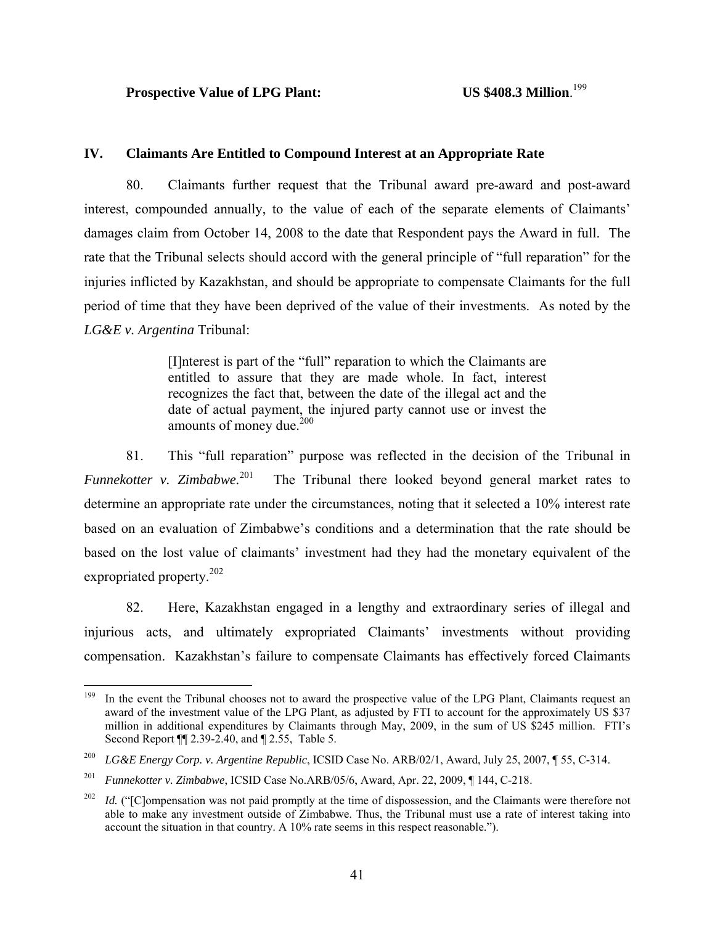US \$408.3 Million.<sup>199</sup>

#### **IV. Claimants Are Entitled to Compound Interest at an Appropriate Rate**

80. Claimants further request that the Tribunal award pre-award and post-award interest, compounded annually, to the value of each of the separate elements of Claimants' damages claim from October 14, 2008 to the date that Respondent pays the Award in full. The rate that the Tribunal selects should accord with the general principle of "full reparation" for the injuries inflicted by Kazakhstan, and should be appropriate to compensate Claimants for the full period of time that they have been deprived of the value of their investments. As noted by the *LG&E v. Argentina* Tribunal:

> [I]nterest is part of the "full" reparation to which the Claimants are entitled to assure that they are made whole. In fact, interest recognizes the fact that, between the date of the illegal act and the date of actual payment, the injured party cannot use or invest the amounts of money due. $200$

81. This "full reparation" purpose was reflected in the decision of the Tribunal in *Funnekotter v. Zimbabwe.*<sup>201</sup> The Tribunal there looked beyond general market rates to determine an appropriate rate under the circumstances, noting that it selected a 10% interest rate based on an evaluation of Zimbabwe's conditions and a determination that the rate should be based on the lost value of claimants' investment had they had the monetary equivalent of the expropriated property.<sup>202</sup>

82. Here, Kazakhstan engaged in a lengthy and extraordinary series of illegal and injurious acts, and ultimately expropriated Claimants' investments without providing compensation. Kazakhstan's failure to compensate Claimants has effectively forced Claimants

<sup>199</sup> In the event the Tribunal chooses not to award the prospective value of the LPG Plant, Claimants request an award of the investment value of the LPG Plant, as adjusted by FTI to account for the approximately US \$37 million in additional expenditures by Claimants through May, 2009, in the sum of US \$245 million. FTI's Second Report ¶¶ 2.39-2.40, and ¶ 2.55, Table 5.

<sup>200</sup> *LG&E Energy Corp. v. Argentine Republic*, ICSID Case No. ARB/02/1, Award, July 25, 2007, ¶ 55, C-314.

<sup>201</sup> *Funnekotter v. Zimbabwe*, ICSID Case No.ARB/05/6, Award, Apr. 22, 2009, ¶ 144, C-218.

<sup>&</sup>lt;sup>202</sup> *Id.* ("[C]ompensation was not paid promptly at the time of dispossession, and the Claimants were therefore not able to make any investment outside of Zimbabwe. Thus, the Tribunal must use a rate of interest taking into account the situation in that country. A 10% rate seems in this respect reasonable.").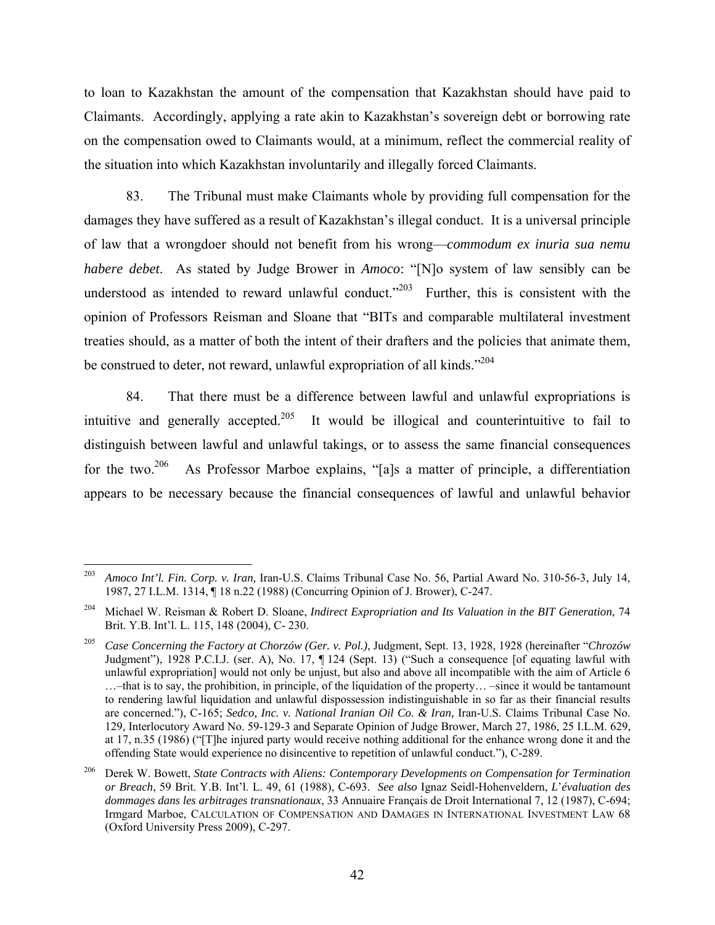to loan to Kazakhstan the amount of the compensation that Kazakhstan should have paid to Claimants. Accordingly, applying a rate akin to Kazakhstan's sovereign debt or borrowing rate on the compensation owed to Claimants would, at a minimum, reflect the commercial reality of the situation into which Kazakhstan involuntarily and illegally forced Claimants.

83. The Tribunal must make Claimants whole by providing full compensation for the damages they have suffered as a result of Kazakhstan's illegal conduct. It is a universal principle of law that a wrongdoer should not benefit from his wrong—*commodum ex inuria sua nemu habere debet*. As stated by Judge Brower in *Amoco*: "[N]o system of law sensibly can be understood as intended to reward unlawful conduct."<sup>203</sup> Further, this is consistent with the opinion of Professors Reisman and Sloane that "BITs and comparable multilateral investment treaties should, as a matter of both the intent of their drafters and the policies that animate them, be construed to deter, not reward, unlawful expropriation of all kinds."<sup>204</sup>

84. That there must be a difference between lawful and unlawful expropriations is intuitive and generally accepted.<sup>205</sup> It would be illogical and counterintuitive to fail to distinguish between lawful and unlawful takings, or to assess the same financial consequences for the two.<sup>206</sup> As Professor Marboe explains, "[a]s a matter of principle, a differentiation appears to be necessary because the financial consequences of lawful and unlawful behavior

<sup>203</sup> 203 *Amoco Int'l. Fin. Corp. v. Iran,* Iran-U.S. Claims Tribunal Case No. 56, Partial Award No. 310-56-3, July 14, 1987, 27 I.L.M. 1314, ¶ 18 n.22 (1988) (Concurring Opinion of J. Brower), C-247.

<sup>204</sup> Michael W. Reisman & Robert D. Sloane, *Indirect Expropriation and Its Valuation in the BIT Generation*, 74 Brit. Y.B. Int'l. L. 115, 148 (2004), C- 230.

<sup>205</sup> *Case Concerning the Factory at Chorzów (Ger. v. Pol.)*, Judgment, Sept. 13, 1928, 1928 (hereinafter "*Chrozów* Judgment"), 1928 P.C.I.J. (ser. A), No. 17, ¶ 124 (Sept. 13) ("Such a consequence [of equating lawful with unlawful expropriation] would not only be unjust, but also and above all incompatible with the aim of Article 6 …–that is to say, the prohibition, in principle, of the liquidation of the property… –since it would be tantamount to rendering lawful liquidation and unlawful dispossession indistinguishable in so far as their financial results are concerned."), C-165; *Sedco, Inc. v. National Iranian Oil Co. & Iran,* Iran-U.S. Claims Tribunal Case No. 129, Interlocutory Award No. 59-129-3 and Separate Opinion of Judge Brower, March 27, 1986, 25 I.L.M. 629, at 17, n.35 (1986) ("[T]he injured party would receive nothing additional for the enhance wrong done it and the offending State would experience no disincentive to repetition of unlawful conduct."), C-289.

<sup>206</sup> Derek W. Bowett, *State Contracts with Aliens: Contemporary Developments on Compensation for Termination or Breach*, 59 Brit. Y.B. Int'l. L. 49, 61 (1988), C-693. *See also* Ignaz Seidl-Hohenveldern, *L*'*évaluation des dommages dans les arbitrages transnationaux*, 33 Annuaire Français de Droit International 7, 12 (1987), C-694; Irmgard Marboe, CALCULATION OF COMPENSATION AND DAMAGES IN INTERNATIONAL INVESTMENT LAW 68 (Oxford University Press 2009), C-297.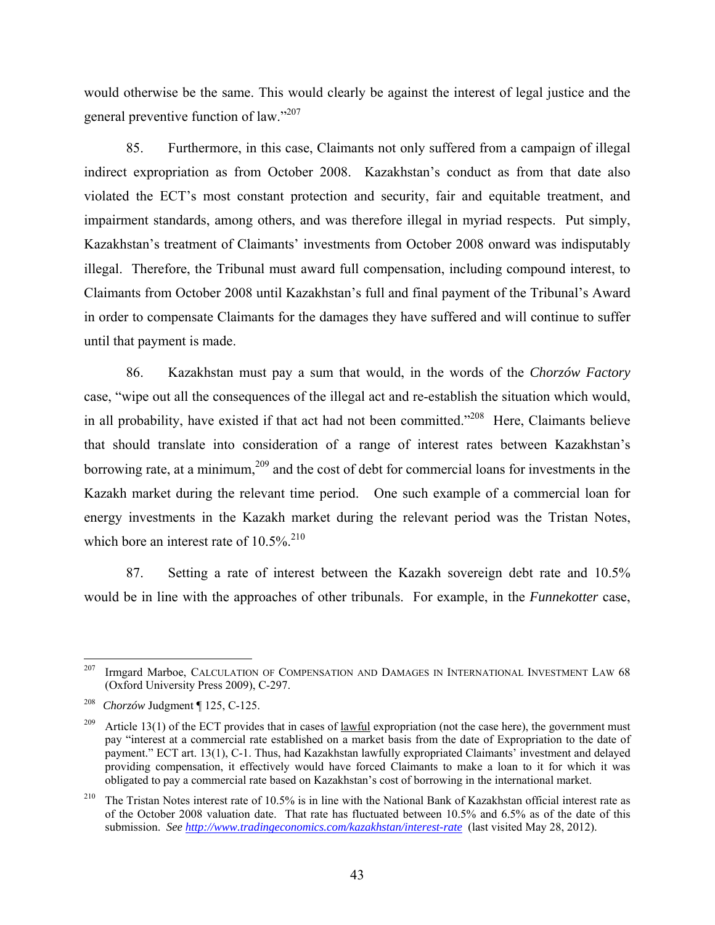would otherwise be the same. This would clearly be against the interest of legal justice and the general preventive function of law."207

85. Furthermore, in this case, Claimants not only suffered from a campaign of illegal indirect expropriation as from October 2008. Kazakhstan's conduct as from that date also violated the ECT's most constant protection and security, fair and equitable treatment, and impairment standards, among others, and was therefore illegal in myriad respects. Put simply, Kazakhstan's treatment of Claimants' investments from October 2008 onward was indisputably illegal. Therefore, the Tribunal must award full compensation, including compound interest, to Claimants from October 2008 until Kazakhstan's full and final payment of the Tribunal's Award in order to compensate Claimants for the damages they have suffered and will continue to suffer until that payment is made.

86. Kazakhstan must pay a sum that would, in the words of the *Chorzów Factory*  case, "wipe out all the consequences of the illegal act and re-establish the situation which would, in all probability, have existed if that act had not been committed."<sup>208</sup> Here, Claimants believe that should translate into consideration of a range of interest rates between Kazakhstan's borrowing rate, at a minimum,  $209$  and the cost of debt for commercial loans for investments in the Kazakh market during the relevant time period. One such example of a commercial loan for energy investments in the Kazakh market during the relevant period was the Tristan Notes, which bore an interest rate of  $10.5\%$ <sup>210</sup>

87. Setting a rate of interest between the Kazakh sovereign debt rate and 10.5% would be in line with the approaches of other tribunals. For example, in the *Funnekotter* case,

 $\overline{a}$ 

 $207$  Irmgard Marboe, CALCULATION OF COMPENSATION AND DAMAGES IN INTERNATIONAL INVESTMENT LAW 68 (Oxford University Press 2009), C-297.

<sup>208</sup>*Chorzów* Judgment ¶ 125, C-125.

<sup>&</sup>lt;sup>209</sup> Article 13(1) of the ECT provides that in cases of <u>lawful</u> expropriation (not the case here), the government must pay "interest at a commercial rate established on a market basis from the date of Expropriation to the date of payment." ECT art. 13(1), C-1. Thus, had Kazakhstan lawfully expropriated Claimants' investment and delayed providing compensation, it effectively would have forced Claimants to make a loan to it for which it was obligated to pay a commercial rate based on Kazakhstan's cost of borrowing in the international market.

<sup>&</sup>lt;sup>210</sup> The Tristan Notes interest rate of 10.5% is in line with the National Bank of Kazakhstan official interest rate as of the October 2008 valuation date. That rate has fluctuated between 10.5% and 6.5% as of the date of this submission. *See http://www.tradingeconomics.com/kazakhstan/interest-rate* (last visited May 28, 2012).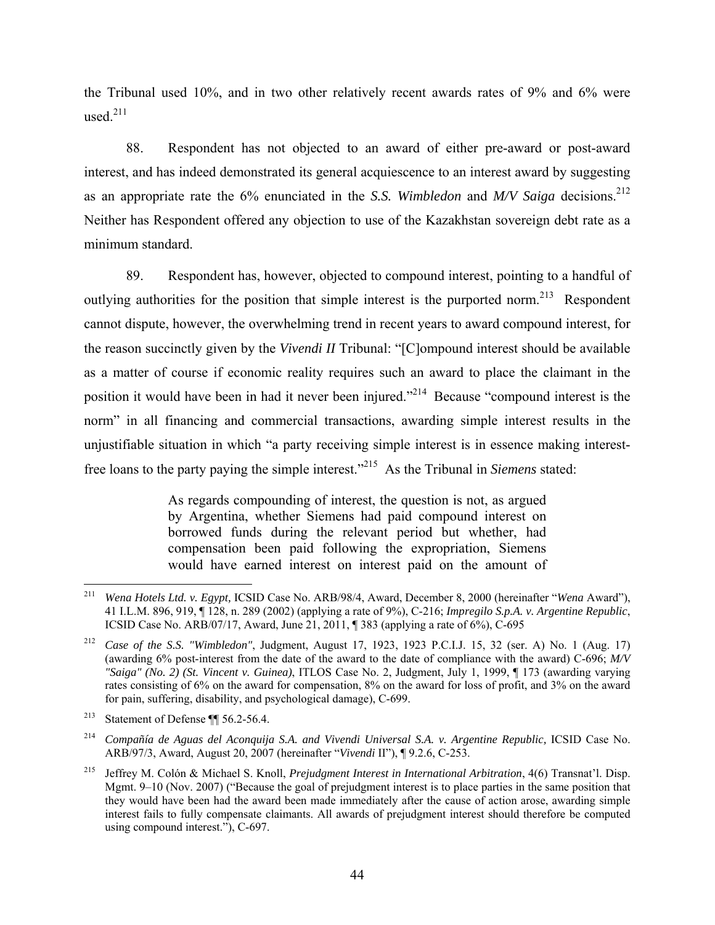the Tribunal used 10%, and in two other relatively recent awards rates of 9% and 6% were used.211

88. Respondent has not objected to an award of either pre-award or post-award interest, and has indeed demonstrated its general acquiescence to an interest award by suggesting as an appropriate rate the 6% enunciated in the *S.S. Wimbledon* and *M/V Saiga* decisions.<sup>212</sup> Neither has Respondent offered any objection to use of the Kazakhstan sovereign debt rate as a minimum standard.

89. Respondent has, however, objected to compound interest, pointing to a handful of outlying authorities for the position that simple interest is the purported norm.<sup>213</sup> Respondent cannot dispute, however, the overwhelming trend in recent years to award compound interest, for the reason succinctly given by the *Vivendi II* Tribunal: "[C]ompound interest should be available as a matter of course if economic reality requires such an award to place the claimant in the position it would have been in had it never been injured."214 Because "compound interest is the norm" in all financing and commercial transactions, awarding simple interest results in the unjustifiable situation in which "a party receiving simple interest is in essence making interestfree loans to the party paying the simple interest."215 As the Tribunal in *Siemens* stated:

> As regards compounding of interest, the question is not, as argued by Argentina, whether Siemens had paid compound interest on borrowed funds during the relevant period but whether, had compensation been paid following the expropriation, Siemens would have earned interest on interest paid on the amount of

<sup>211</sup> 211 *Wena Hotels Ltd. v. Egypt,* ICSID Case No. ARB/98/4, Award, December 8, 2000 (hereinafter "*Wena* Award"), 41 I.L.M. 896, 919, ¶ 128, n. 289 (2002) (applying a rate of 9%), C-216; *Impregilo S.p.A. v. Argentine Republic*, ICSID Case No. ARB/07/17, Award, June 21, 2011, ¶ 383 (applying a rate of 6%), C-695

<sup>212</sup> *Case of the S.S. "Wimbledon"*, Judgment, August 17, 1923, 1923 P.C.I.J. 15, 32 (ser. A) No. 1 (Aug. 17) (awarding 6% post-interest from the date of the award to the date of compliance with the award) C-696; *M/V "Saiga" (No. 2) (St. Vincent v. Guinea)*, ITLOS Case No. 2, Judgment, July 1, 1999, ¶ 173 (awarding varying rates consisting of 6% on the award for compensation, 8% on the award for loss of profit, and 3% on the award for pain, suffering, disability, and psychological damage), C-699.

<sup>&</sup>lt;sup>213</sup> Statement of Defense  $\P$  56.2-56.4.

<sup>&</sup>lt;sup>214</sup> *Compañía de Aguas del Aconquija S.A. and Vivendi Universal S.A. v. Argentine Republic, ICSID Case No.* ARB/97/3, Award, August 20, 2007 (hereinafter "*Vivendi* II"), ¶ 9.2.6, C-253.

<sup>215</sup> Jeffrey M. Colón & Michael S. Knoll, *Prejudgment Interest in International Arbitration*, 4(6) Transnat'l. Disp. Mgmt. 9–10 (Nov. 2007) ("Because the goal of prejudgment interest is to place parties in the same position that they would have been had the award been made immediately after the cause of action arose, awarding simple interest fails to fully compensate claimants. All awards of prejudgment interest should therefore be computed using compound interest."), C-697.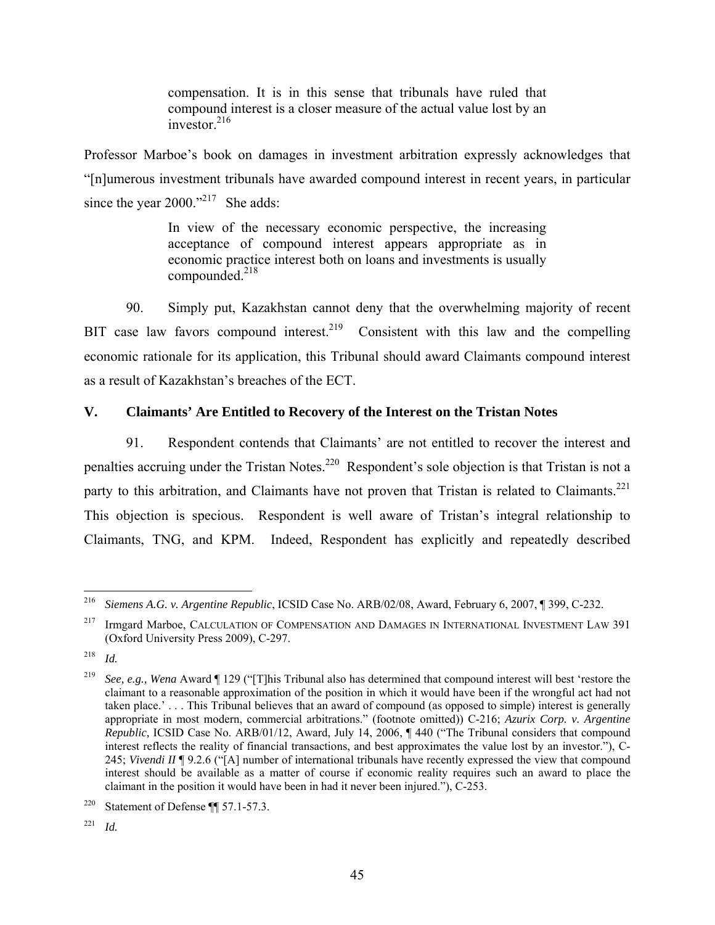compensation. It is in this sense that tribunals have ruled that compound interest is a closer measure of the actual value lost by an investor  $^{216}$ 

Professor Marboe's book on damages in investment arbitration expressly acknowledges that "[n]umerous investment tribunals have awarded compound interest in recent years, in particular since the year 2000."<sup>217</sup> She adds:

> In view of the necessary economic perspective, the increasing acceptance of compound interest appears appropriate as in economic practice interest both on loans and investments is usually compounded. $218$

90. Simply put, Kazakhstan cannot deny that the overwhelming majority of recent BIT case law favors compound interest.<sup>219</sup> Consistent with this law and the compelling economic rationale for its application, this Tribunal should award Claimants compound interest as a result of Kazakhstan's breaches of the ECT.

### **V. Claimants' Are Entitled to Recovery of the Interest on the Tristan Notes**

91. Respondent contends that Claimants' are not entitled to recover the interest and penalties accruing under the Tristan Notes.<sup>220</sup> Respondent's sole objection is that Tristan is not a party to this arbitration, and Claimants have not proven that Tristan is related to Claimants.<sup>221</sup> This objection is specious. Respondent is well aware of Tristan's integral relationship to Claimants, TNG, and KPM. Indeed, Respondent has explicitly and repeatedly described

<sup>1</sup> 216 *Siemens A.G. v. Argentine Republic*, ICSID Case No. ARB/02/08, Award, February 6, 2007, ¶ 399, C-232.

<sup>&</sup>lt;sup>217</sup> Irmgard Marboe, CALCULATION OF COMPENSATION AND DAMAGES IN INTERNATIONAL INVESTMENT LAW 391 (Oxford University Press 2009), C-297.

<sup>218</sup> *Id.*

<sup>219</sup> *See, e.g., Wena* Award ¶ 129 ("[T]his Tribunal also has determined that compound interest will best 'restore the claimant to a reasonable approximation of the position in which it would have been if the wrongful act had not taken place.' . . . This Tribunal believes that an award of compound (as opposed to simple) interest is generally appropriate in most modern, commercial arbitrations." (footnote omitted)) C-216; *Azurix Corp. v. Argentine Republic,* ICSID Case No. ARB/01/12, Award, July 14, 2006, ¶ 440 ("The Tribunal considers that compound interest reflects the reality of financial transactions, and best approximates the value lost by an investor."), C-245; *Vivendi II* ¶ 9.2.6 ("[A] number of international tribunals have recently expressed the view that compound interest should be available as a matter of course if economic reality requires such an award to place the claimant in the position it would have been in had it never been injured."), C-253.

<sup>&</sup>lt;sup>220</sup> Statement of Defense  $\P$  57.1-57.3.

<sup>221</sup> *Id.*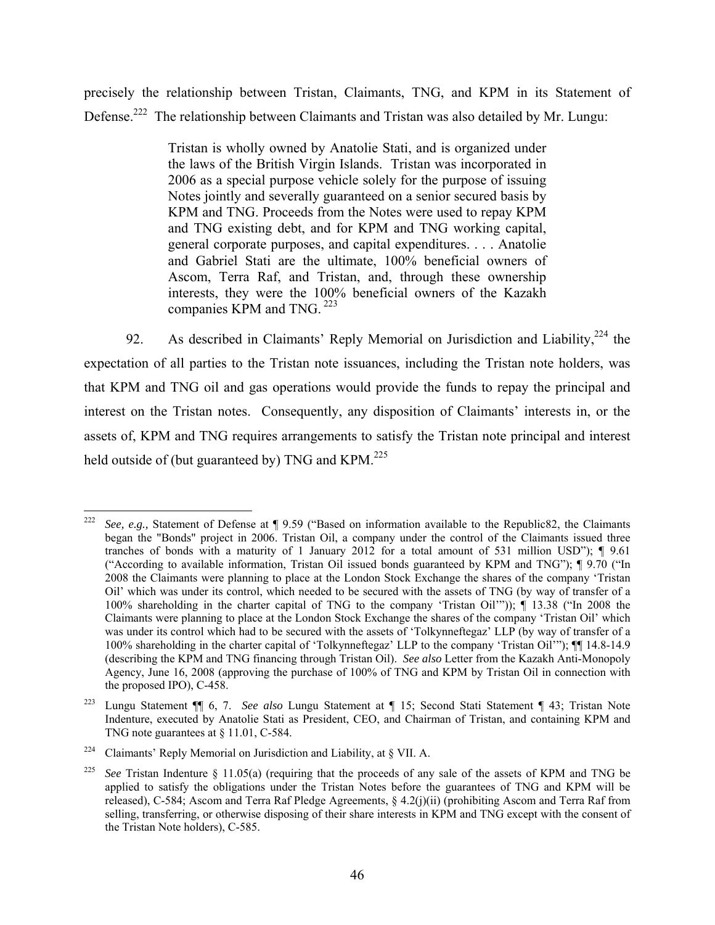precisely the relationship between Tristan, Claimants, TNG, and KPM in its Statement of Defense.<sup>222</sup> The relationship between Claimants and Tristan was also detailed by Mr. Lungu:

> Tristan is wholly owned by Anatolie Stati, and is organized under the laws of the British Virgin Islands. Tristan was incorporated in 2006 as a special purpose vehicle solely for the purpose of issuing Notes jointly and severally guaranteed on a senior secured basis by KPM and TNG. Proceeds from the Notes were used to repay KPM and TNG existing debt, and for KPM and TNG working capital, general corporate purposes, and capital expenditures. . . . Anatolie and Gabriel Stati are the ultimate, 100% beneficial owners of Ascom, Terra Raf, and Tristan, and, through these ownership interests, they were the 100% beneficial owners of the Kazakh companies KPM and TNG. <sup>223</sup>

92. As described in Claimants' Reply Memorial on Jurisdiction and Liability.<sup>224</sup> the expectation of all parties to the Tristan note issuances, including the Tristan note holders, was that KPM and TNG oil and gas operations would provide the funds to repay the principal and interest on the Tristan notes. Consequently, any disposition of Claimants' interests in, or the assets of, KPM and TNG requires arrangements to satisfy the Tristan note principal and interest held outside of (but guaranteed by) TNG and  $KPM^{225}$ 

<sup>222</sup> 222 *See, e.g.,* Statement of Defense at ¶ 9.59 ("Based on information available to the Republic82, the Claimants began the "Bonds" project in 2006. Tristan Oil, a company under the control of the Claimants issued three tranches of bonds with a maturity of 1 January 2012 for a total amount of 531 million USD"); ¶ 9.61 ("According to available information, Tristan Oil issued bonds guaranteed by KPM and TNG"); ¶ 9.70 ("In 2008 the Claimants were planning to place at the London Stock Exchange the shares of the company 'Tristan Oil' which was under its control, which needed to be secured with the assets of TNG (by way of transfer of a 100% shareholding in the charter capital of TNG to the company 'Tristan Oil'")); ¶ 13.38 ("In 2008 the Claimants were planning to place at the London Stock Exchange the shares of the company 'Tristan Oil' which was under its control which had to be secured with the assets of 'Tolkynneftegaz' LLP (by way of transfer of a 100% shareholding in the charter capital of 'Tolkynneftegaz' LLP to the company 'Tristan Oil'"); ¶¶ 14.8-14.9 (describing the KPM and TNG financing through Tristan Oil). *See also* Letter from the Kazakh Anti-Monopoly Agency, June 16, 2008 (approving the purchase of 100% of TNG and KPM by Tristan Oil in connection with the proposed IPO), C-458.

<sup>223</sup> Lungu Statement ¶¶ 6, 7. *See also* Lungu Statement at ¶ 15; Second Stati Statement ¶ 43; Tristan Note Indenture, executed by Anatolie Stati as President, CEO, and Chairman of Tristan, and containing KPM and TNG note guarantees at § 11.01, C-584.

<sup>&</sup>lt;sup>224</sup> Claimants' Reply Memorial on Jurisdiction and Liability, at  $\S$  VII. A.

<sup>225</sup> *See* Tristan Indenture § 11.05(a) (requiring that the proceeds of any sale of the assets of KPM and TNG be applied to satisfy the obligations under the Tristan Notes before the guarantees of TNG and KPM will be released), C-584; Ascom and Terra Raf Pledge Agreements, § 4.2(j)(ii) (prohibiting Ascom and Terra Raf from selling, transferring, or otherwise disposing of their share interests in KPM and TNG except with the consent of the Tristan Note holders), C-585.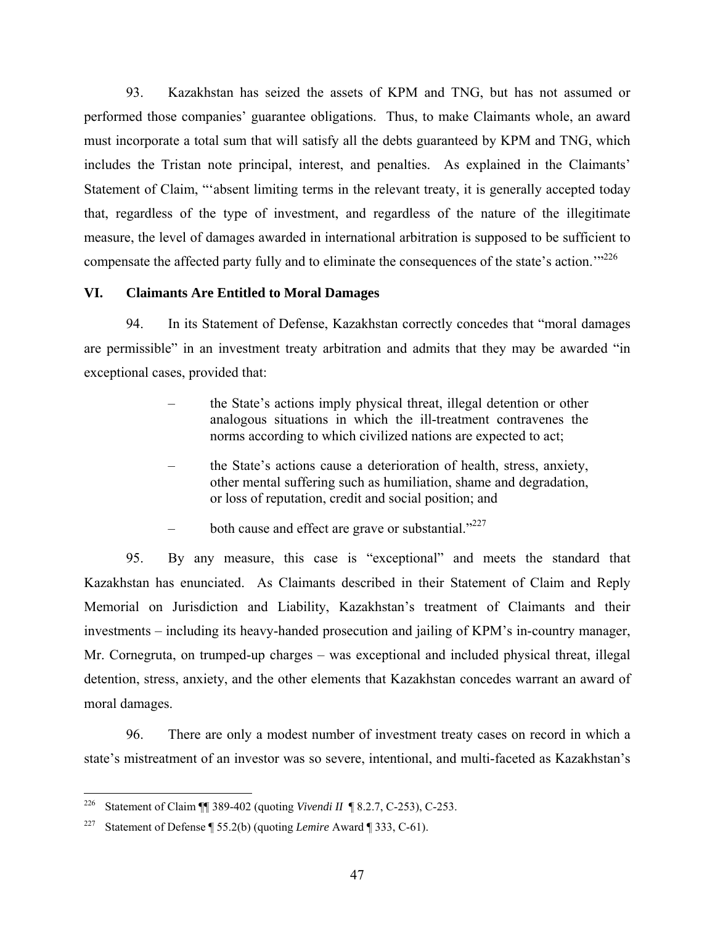93. Kazakhstan has seized the assets of KPM and TNG, but has not assumed or performed those companies' guarantee obligations. Thus, to make Claimants whole, an award must incorporate a total sum that will satisfy all the debts guaranteed by KPM and TNG, which includes the Tristan note principal, interest, and penalties. As explained in the Claimants' Statement of Claim, "'absent limiting terms in the relevant treaty, it is generally accepted today that, regardless of the type of investment, and regardless of the nature of the illegitimate measure, the level of damages awarded in international arbitration is supposed to be sufficient to compensate the affected party fully and to eliminate the consequences of the state's action."<sup>226</sup>

# **VI. Claimants Are Entitled to Moral Damages**

94. In its Statement of Defense, Kazakhstan correctly concedes that "moral damages are permissible" in an investment treaty arbitration and admits that they may be awarded "in exceptional cases, provided that:

- the State's actions imply physical threat, illegal detention or other analogous situations in which the ill-treatment contravenes the norms according to which civilized nations are expected to act;
- the State's actions cause a deterioration of health, stress, anxiety, other mental suffering such as humiliation, shame and degradation, or loss of reputation, credit and social position; and
- both cause and effect are grave or substantial. $"^{227}$

95. By any measure, this case is "exceptional" and meets the standard that Kazakhstan has enunciated. As Claimants described in their Statement of Claim and Reply Memorial on Jurisdiction and Liability, Kazakhstan's treatment of Claimants and their investments – including its heavy-handed prosecution and jailing of KPM's in-country manager, Mr. Cornegruta, on trumped-up charges – was exceptional and included physical threat, illegal detention, stress, anxiety, and the other elements that Kazakhstan concedes warrant an award of moral damages.

96. There are only a modest number of investment treaty cases on record in which a state's mistreatment of an investor was so severe, intentional, and multi-faceted as Kazakhstan's

<sup>226</sup> 226 Statement of Claim ¶¶ 389-402 (quoting *Vivendi II* ¶ 8.2.7, C-253), C-253.

<sup>227</sup> Statement of Defense ¶ 55.2(b) (quoting *Lemire* Award ¶ 333, C-61).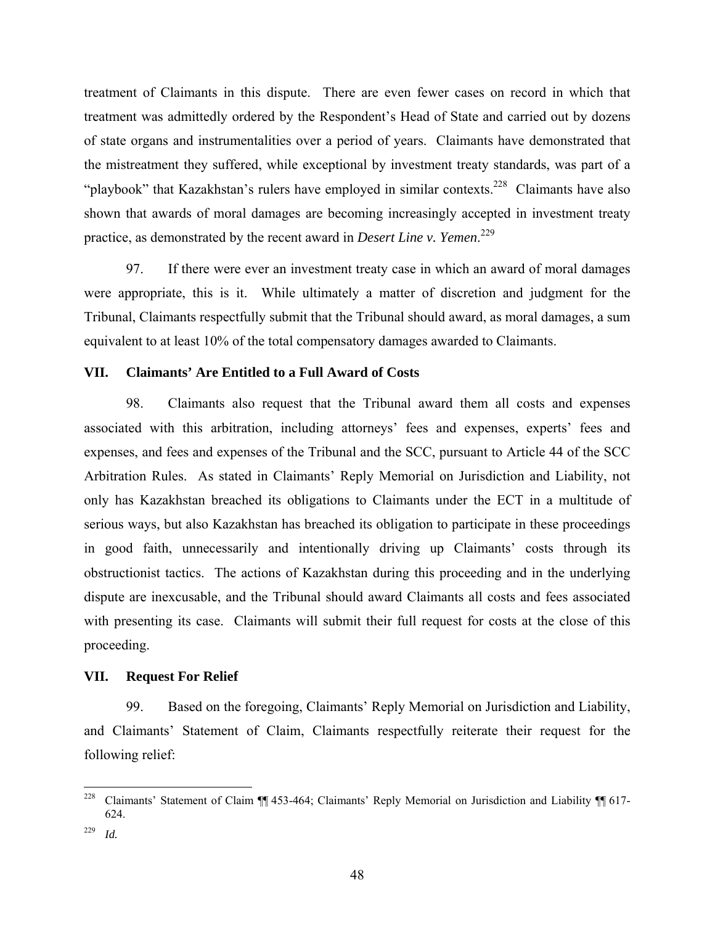treatment of Claimants in this dispute. There are even fewer cases on record in which that treatment was admittedly ordered by the Respondent's Head of State and carried out by dozens of state organs and instrumentalities over a period of years. Claimants have demonstrated that the mistreatment they suffered, while exceptional by investment treaty standards, was part of a "playbook" that Kazakhstan's rulers have employed in similar contexts.<sup>228</sup> Claimants have also shown that awards of moral damages are becoming increasingly accepted in investment treaty practice, as demonstrated by the recent award in *Desert Line v. Yemen*. 229

97. If there were ever an investment treaty case in which an award of moral damages were appropriate, this is it. While ultimately a matter of discretion and judgment for the Tribunal, Claimants respectfully submit that the Tribunal should award, as moral damages, a sum equivalent to at least 10% of the total compensatory damages awarded to Claimants.

# **VII. Claimants' Are Entitled to a Full Award of Costs**

98. Claimants also request that the Tribunal award them all costs and expenses associated with this arbitration, including attorneys' fees and expenses, experts' fees and expenses, and fees and expenses of the Tribunal and the SCC, pursuant to Article 44 of the SCC Arbitration Rules. As stated in Claimants' Reply Memorial on Jurisdiction and Liability, not only has Kazakhstan breached its obligations to Claimants under the ECT in a multitude of serious ways, but also Kazakhstan has breached its obligation to participate in these proceedings in good faith, unnecessarily and intentionally driving up Claimants' costs through its obstructionist tactics. The actions of Kazakhstan during this proceeding and in the underlying dispute are inexcusable, and the Tribunal should award Claimants all costs and fees associated with presenting its case. Claimants will submit their full request for costs at the close of this proceeding.

#### **VII. Request For Relief**

99. Based on the foregoing, Claimants' Reply Memorial on Jurisdiction and Liability, and Claimants' Statement of Claim, Claimants respectfully reiterate their request for the following relief:

<sup>228</sup> 228 Claimants' Statement of Claim ¶¶ 453-464; Claimants' Reply Memorial on Jurisdiction and Liability ¶¶ 617- 624.

<sup>229</sup> *Id.*